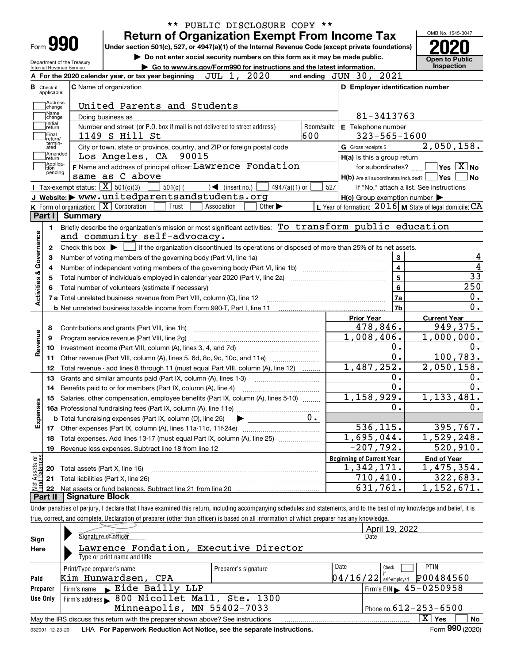|                                        |                                                   | PUBLIC DISCLOSURE COPY **<br><b>Return of Organization Exempt From Income Tax</b>                                                                   |                                                           | OMB No. 1545-0047                                   |
|----------------------------------------|---------------------------------------------------|-----------------------------------------------------------------------------------------------------------------------------------------------------|-----------------------------------------------------------|-----------------------------------------------------|
|                                        | Form 990                                          | Under section 501(c), 527, or 4947(a)(1) of the Internal Revenue Code (except private foundations)                                                  |                                                           |                                                     |
|                                        | Department of the Treasury                        | Do not enter social security numbers on this form as it may be made public.                                                                         |                                                           | <b>Open to Public</b><br>Inspection                 |
|                                        | Internal Revenue Service                          | Go to www.irs.gov/Form990 for instructions and the latest information.<br>2020<br>JUL 1,<br>A For the 2020 calendar year, or tax year beginning     | and ending JUN 30, 2021                                   |                                                     |
|                                        |                                                   |                                                                                                                                                     |                                                           |                                                     |
| <b>B</b> Check if<br>applicable:       |                                                   | <b>C</b> Name of organization                                                                                                                       | D Employer identification number                          |                                                     |
| Address<br>change                      |                                                   | United Parents and Students                                                                                                                         |                                                           |                                                     |
| Name<br>change                         |                                                   | Doing business as                                                                                                                                   | 81-3413763                                                |                                                     |
| Initial<br>return                      |                                                   | Number and street (or P.O. box if mail is not delivered to street address)<br>Room/suite                                                            | E Telephone number                                        |                                                     |
| Final<br>return/                       |                                                   | 600<br>1149 S Hill St                                                                                                                               | $323 - 565 - 1600$                                        |                                                     |
| termin-<br>ated                        |                                                   | City or town, state or province, country, and ZIP or foreign postal code                                                                            | G Gross receipts \$                                       | 2,050,158.                                          |
| ∣return                                | Amended                                           | 90015<br>Los Angeles, CA                                                                                                                            | H(a) Is this a group return                               |                                                     |
| Applica-<br>tion                       |                                                   | <b>F</b> Name and address of principal officer: Lawrence Fondation                                                                                  | for subordinates?                                         | $\sqrt{}$ Yes $\sqrt{}$ X $\sqrt{}$ No              |
| pending                                |                                                   | same as C above                                                                                                                                     | $H(b)$ Are all subordinates included? $\Box$ Yes          |                                                     |
|                                        | Tax-exempt status: $\boxed{\mathbf{X}}$ 501(c)(3) | $501(c)$ (<br>$\sqrt{\phantom{a}}$ (insert no.)<br>$4947(a)(1)$ or                                                                                  | 527                                                       | If "No," attach a list. See instructions            |
|                                        |                                                   | J Website: > www.unitedparentsandstudents.org                                                                                                       | $H(c)$ Group exemption number $\blacktriangleright$       |                                                     |
|                                        |                                                   | K Form of organization: X Corporation<br>Trust<br>Association<br>Other $\blacktriangleright$                                                        | L Year of formation: $2016$ M State of legal domicile: CA |                                                     |
| Part I                                 | <b>Summary</b>                                    |                                                                                                                                                     |                                                           |                                                     |
| 1.                                     |                                                   | Briefly describe the organization's mission or most significant activities: To transform public education                                           |                                                           |                                                     |
|                                        |                                                   | and community self-advocacy.                                                                                                                        |                                                           |                                                     |
| $\mathbf{2}$                           |                                                   | Check this box $\blacktriangleright$ $\blacksquare$ if the organization discontinued its operations or disposed of more than 25% of its net assets. |                                                           |                                                     |
| з                                      |                                                   | Number of voting members of the governing body (Part VI, line 1a)                                                                                   | 3                                                         |                                                     |
| Activities & Governance<br>4           |                                                   |                                                                                                                                                     | 4                                                         |                                                     |
| 5                                      |                                                   |                                                                                                                                                     | 5                                                         |                                                     |
|                                        |                                                   |                                                                                                                                                     | 6                                                         | 250                                                 |
|                                        |                                                   |                                                                                                                                                     | 7a                                                        |                                                     |
|                                        |                                                   |                                                                                                                                                     | 7 <sub>b</sub>                                            |                                                     |
|                                        |                                                   |                                                                                                                                                     | <b>Prior Year</b>                                         | <b>Current Year</b>                                 |
| 8                                      |                                                   | Contributions and grants (Part VIII, line 1h)                                                                                                       | 478,846.                                                  | 949,375.                                            |
| Revenue<br>9                           |                                                   | Program service revenue (Part VIII, line 2g)                                                                                                        | 1,008,406.                                                | 1,000,000.                                          |
| 10                                     |                                                   |                                                                                                                                                     | 0.                                                        |                                                     |
| 11                                     |                                                   | Other revenue (Part VIII, column (A), lines 5, 6d, 8c, 9c, 10c, and 11e)                                                                            | 0.                                                        | 100,783.                                            |
| 12                                     |                                                   | Total revenue - add lines 8 through 11 (must equal Part VIII, column (A), line 12)                                                                  | 1,487,252.                                                | 2,050,158.                                          |
| 13                                     |                                                   | Grants and similar amounts paid (Part IX, column (A), lines 1-3)                                                                                    | 0.                                                        |                                                     |
| 14                                     |                                                   |                                                                                                                                                     | 0.                                                        |                                                     |
|                                        |                                                   | 15 Salaries, other compensation, employee benefits (Part IX, column (A), lines 5-10)                                                                | 1,158,929.                                                | 1,133,481.                                          |
| Expenses                               |                                                   |                                                                                                                                                     | 0.                                                        |                                                     |
|                                        |                                                   | 0.<br><b>b</b> Total fundraising expenses (Part IX, column (D), line 25)                                                                            |                                                           |                                                     |
| 17                                     |                                                   | Other expenses (Part IX, column (A), lines 11a-11d, 11f-24e)                                                                                        | 536,115.                                                  | 395,767.                                            |
|                                        |                                                   | Total expenses. Add lines 13-17 (must equal Part IX, column (A), line 25)                                                                           | 1,695,044.                                                | 1,529,248.                                          |
| 18                                     |                                                   | Revenue less expenses. Subtract line 18 from line 12                                                                                                | $-207,792.$                                               | 520, 910.                                           |
| 19                                     |                                                   |                                                                                                                                                     | <b>Beginning of Current Year</b>                          | <b>End of Year</b>                                  |
|                                        |                                                   |                                                                                                                                                     |                                                           |                                                     |
| 20                                     | Total assets (Part X, line 16)                    |                                                                                                                                                     | 1,342,171.                                                |                                                     |
| t Assets or<br>d Balances<br>21<br>-22 |                                                   | Total liabilities (Part X, line 26)                                                                                                                 | 710,410.<br>631,761.                                      | $\overline{1,475}$ , 354.<br>322,683.<br>1,152,671. |

|          |                                                                                 |                      | April 19, 2022                                    |  |  |  |  |  |  |
|----------|---------------------------------------------------------------------------------|----------------------|---------------------------------------------------|--|--|--|--|--|--|
| Sign     | Signature of efficer                                                            |                      | Date                                              |  |  |  |  |  |  |
| Here     | Lawrence Fondation, Executive Director<br>Type or print name and title          |                      |                                                   |  |  |  |  |  |  |
|          |                                                                                 |                      |                                                   |  |  |  |  |  |  |
|          | Print/Type preparer's name                                                      | Preparer's signature | Date<br><b>PTIN</b><br>Check                      |  |  |  |  |  |  |
| Paid     | Kim Hunwardsen, CPA                                                             |                      | $ 04/16/22 $ self-employed $ 0484560 $            |  |  |  |  |  |  |
| Preparer | Firm's name Eide Bailly LLP                                                     |                      | $'$ Firm's EIN $\blacktriangleright$ 45 - 0250958 |  |  |  |  |  |  |
| Use Only | Firm's address > 800 Nicollet Mall, Ste. 1300                                   |                      |                                                   |  |  |  |  |  |  |
|          | Minneapolis, MN 55402-7033<br>Phone no. $612 - 253 - 6500$                      |                      |                                                   |  |  |  |  |  |  |
|          | May the IRS discuss this return with the preparer shown above? See instructions |                      | $\mathbf{X}$<br>Yes<br>No                         |  |  |  |  |  |  |
|          |                                                                                 |                      | $000 \times 0.00$<br>-                            |  |  |  |  |  |  |

true, correct, and complete. Declaration of preparer (other than officer) is based on all information of which preparer has any knowledge.

|  | 032001 12-23-20 LHA For Paperwork Reduction Act Notice, see the separate instructions. | Form 990 (2020) |
|--|----------------------------------------------------------------------------------------|-----------------|
|--|----------------------------------------------------------------------------------------|-----------------|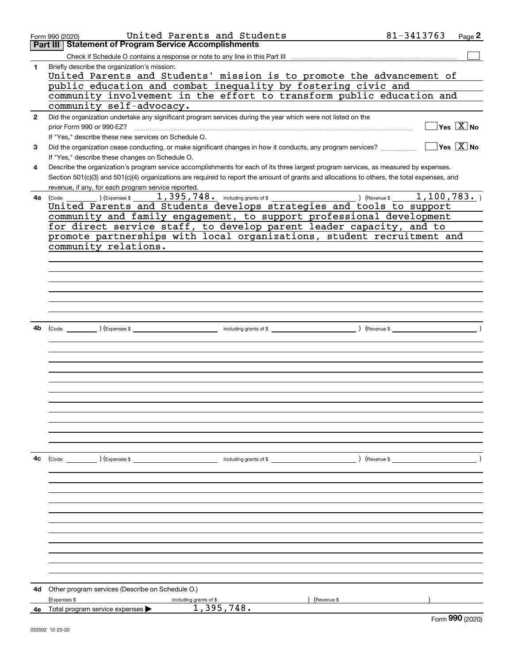|              | United Parents and Students<br>Form 990 (2020)                                                                                               | 81-3413763                             | Page 2                                    |
|--------------|----------------------------------------------------------------------------------------------------------------------------------------------|----------------------------------------|-------------------------------------------|
|              | <b>Statement of Program Service Accomplishments</b><br>Part III                                                                              |                                        |                                           |
|              |                                                                                                                                              |                                        |                                           |
| 1            | Briefly describe the organization's mission:                                                                                                 |                                        |                                           |
|              | United Parents and Students' mission is to promote the advancement of                                                                        |                                        |                                           |
|              | public education and combat inequality by fostering civic and                                                                                |                                        |                                           |
|              | community involvement in the effort to transform public education and                                                                        |                                        |                                           |
|              | community self-advocacy.                                                                                                                     |                                        |                                           |
| $\mathbf{2}$ | Did the organization undertake any significant program services during the year which were not listed on the                                 |                                        |                                           |
|              | prior Form 990 or 990-EZ?                                                                                                                    |                                        | $\overline{\mathsf{Yes} \ \mathbb{X}}$ No |
|              | If "Yes," describe these new services on Schedule O.                                                                                         |                                        |                                           |
| 3            | Did the organization cease conducting, or make significant changes in how it conducts, any program services?                                 | $\sqrt{}$ Yes $\sqrt{}$ X $\sqrt{}$ No |                                           |
|              | If "Yes," describe these changes on Schedule O.                                                                                              |                                        |                                           |
| 4            | Describe the organization's program service accomplishments for each of its three largest program services, as measured by expenses.         |                                        |                                           |
|              | Section 501(c)(3) and 501(c)(4) organizations are required to report the amount of grants and allocations to others, the total expenses, and |                                        |                                           |
|              | revenue, if any, for each program service reported.                                                                                          |                                        |                                           |
| 4a           |                                                                                                                                              |                                        |                                           |
|              | United Parents and Students develops strategies and tools to support                                                                         |                                        |                                           |
|              | community and family engagement, to support professional development                                                                         |                                        |                                           |
|              | for direct service staff, to develop parent leader capacity, and to                                                                          |                                        |                                           |
|              | promote partnerships with local organizations, student recruitment and                                                                       |                                        |                                           |
|              | community relations.                                                                                                                         |                                        |                                           |
|              |                                                                                                                                              |                                        |                                           |
|              |                                                                                                                                              |                                        |                                           |
|              |                                                                                                                                              |                                        |                                           |
|              |                                                                                                                                              |                                        |                                           |
|              |                                                                                                                                              |                                        |                                           |
|              |                                                                                                                                              |                                        |                                           |
|              |                                                                                                                                              |                                        |                                           |
|              |                                                                                                                                              |                                        |                                           |
| 4b           |                                                                                                                                              |                                        |                                           |
|              |                                                                                                                                              |                                        |                                           |
|              |                                                                                                                                              |                                        |                                           |
|              |                                                                                                                                              |                                        |                                           |
|              |                                                                                                                                              |                                        |                                           |
|              |                                                                                                                                              |                                        |                                           |
|              |                                                                                                                                              |                                        |                                           |
|              |                                                                                                                                              |                                        |                                           |
|              |                                                                                                                                              |                                        |                                           |
|              |                                                                                                                                              |                                        |                                           |
|              |                                                                                                                                              |                                        |                                           |
|              |                                                                                                                                              |                                        |                                           |
|              |                                                                                                                                              |                                        |                                           |
| 4с           |                                                                                                                                              | ) (Revenue \$                          |                                           |
|              |                                                                                                                                              |                                        |                                           |
|              |                                                                                                                                              |                                        |                                           |
|              |                                                                                                                                              |                                        |                                           |
|              |                                                                                                                                              |                                        |                                           |
|              |                                                                                                                                              |                                        |                                           |
|              |                                                                                                                                              |                                        |                                           |
|              |                                                                                                                                              |                                        |                                           |
|              |                                                                                                                                              |                                        |                                           |
|              |                                                                                                                                              |                                        |                                           |
|              |                                                                                                                                              |                                        |                                           |
|              |                                                                                                                                              |                                        |                                           |
|              |                                                                                                                                              |                                        |                                           |
|              |                                                                                                                                              |                                        |                                           |
| 4d           | Other program services (Describe on Schedule O.)                                                                                             |                                        |                                           |
|              | (Expenses \$<br>(Revenue \$<br>including grants of \$                                                                                        |                                        |                                           |
|              | 1,395,748.<br>4e Total program service expenses $\blacktriangleright$                                                                        |                                        |                                           |
|              |                                                                                                                                              |                                        | $F_{\text{Orm}}$ 990 (2020)               |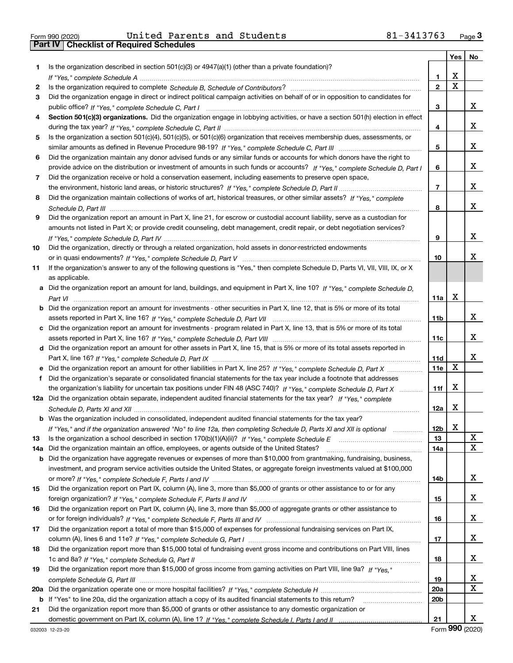|  | Form 990 (2020) |  |
|--|-----------------|--|

Form 990 (2020) United Parents and Students 81-3413763 <sub>Page</sub> 3<br>**Part IV | Checklist of Required Schedules** 

|     |                                                                                                                                  |                 | Yes   No |        |
|-----|----------------------------------------------------------------------------------------------------------------------------------|-----------------|----------|--------|
| 1   | Is the organization described in section $501(c)(3)$ or $4947(a)(1)$ (other than a private foundation)?                          |                 |          |        |
|     |                                                                                                                                  | 1               | х        |        |
| 2   |                                                                                                                                  | $\overline{2}$  | X        |        |
| 3   | Did the organization engage in direct or indirect political campaign activities on behalf of or in opposition to candidates for  |                 |          |        |
|     |                                                                                                                                  | 3               |          | x      |
| 4   | Section 501(c)(3) organizations. Did the organization engage in lobbying activities, or have a section 501(h) election in effect |                 |          |        |
|     |                                                                                                                                  | 4               |          | x      |
| 5   | Is the organization a section 501(c)(4), 501(c)(5), or 501(c)(6) organization that receives membership dues, assessments, or     |                 |          |        |
|     |                                                                                                                                  | 5               |          | x      |
| 6   | Did the organization maintain any donor advised funds or any similar funds or accounts for which donors have the right to        |                 |          |        |
|     | provide advice on the distribution or investment of amounts in such funds or accounts? If "Yes," complete Schedule D, Part I     | 6               |          | x      |
| 7   | Did the organization receive or hold a conservation easement, including easements to preserve open space,                        |                 |          |        |
|     |                                                                                                                                  | $\overline{7}$  |          | x      |
| 8   | Did the organization maintain collections of works of art, historical treasures, or other similar assets? If "Yes," complete     |                 |          |        |
|     |                                                                                                                                  | 8               |          | x      |
| 9   | Did the organization report an amount in Part X, line 21, for escrow or custodial account liability, serve as a custodian for    |                 |          |        |
|     | amounts not listed in Part X; or provide credit counseling, debt management, credit repair, or debt negotiation services?        |                 |          |        |
|     |                                                                                                                                  | 9               |          | x      |
| 10  | Did the organization, directly or through a related organization, hold assets in donor-restricted endowments                     |                 |          |        |
|     |                                                                                                                                  | 10              |          | x      |
| 11  | If the organization's answer to any of the following questions is "Yes," then complete Schedule D, Parts VI, VII, VIII, IX, or X |                 |          |        |
|     | as applicable.                                                                                                                   |                 |          |        |
|     | Did the organization report an amount for land, buildings, and equipment in Part X, line 10? If "Yes," complete Schedule D,      |                 |          |        |
|     |                                                                                                                                  | 11a             | х        |        |
| b   | Did the organization report an amount for investments - other securities in Part X, line 12, that is 5% or more of its total     |                 |          |        |
|     |                                                                                                                                  | 11 <sub>b</sub> |          | x      |
|     | c Did the organization report an amount for investments - program related in Part X, line 13, that is 5% or more of its total    |                 |          |        |
|     |                                                                                                                                  | 11c             |          | x      |
|     | d Did the organization report an amount for other assets in Part X, line 15, that is 5% or more of its total assets reported in  |                 |          |        |
|     |                                                                                                                                  | 11d             |          | x      |
|     |                                                                                                                                  | 11e             | х        |        |
| f   | Did the organization's separate or consolidated financial statements for the tax year include a footnote that addresses          |                 |          |        |
|     | the organization's liability for uncertain tax positions under FIN 48 (ASC 740)? If "Yes," complete Schedule D, Part X           | 11f             | x        |        |
|     | 12a Did the organization obtain separate, independent audited financial statements for the tax year? If "Yes," complete          |                 |          |        |
|     |                                                                                                                                  | 12a             | x        |        |
|     | <b>b</b> Was the organization included in consolidated, independent audited financial statements for the tax year?               |                 |          |        |
|     | If "Yes," and if the organization answered "No" to line 12a, then completing Schedule D, Parts XI and XII is optional            | 12 <sub>b</sub> | Χ        |        |
| 13  | Is the organization a school described in section 170(b)(1)(A)(ii)? If "Yes," complete Schedule E                                | 13              |          | X      |
| 14a | Did the organization maintain an office, employees, or agents outside of the United States?                                      | 14a             |          | X      |
| b   | Did the organization have aggregate revenues or expenses of more than \$10,000 from grantmaking, fundraising, business,          |                 |          |        |
|     | investment, and program service activities outside the United States, or aggregate foreign investments valued at \$100,000       |                 |          |        |
|     |                                                                                                                                  | 14b             |          | x      |
| 15  | Did the organization report on Part IX, column (A), line 3, more than \$5,000 of grants or other assistance to or for any        |                 |          |        |
|     |                                                                                                                                  | 15              |          | x      |
| 16  | Did the organization report on Part IX, column (A), line 3, more than \$5,000 of aggregate grants or other assistance to         |                 |          |        |
|     |                                                                                                                                  | 16              |          | x      |
| 17  | Did the organization report a total of more than \$15,000 of expenses for professional fundraising services on Part IX,          |                 |          |        |
|     |                                                                                                                                  | 17              |          | x      |
| 18  | Did the organization report more than \$15,000 total of fundraising event gross income and contributions on Part VIII, lines     |                 |          |        |
|     |                                                                                                                                  | 18              |          | x      |
| 19  | Did the organization report more than \$15,000 of gross income from gaming activities on Part VIII, line 9a? If "Yes."           |                 |          |        |
|     |                                                                                                                                  | 19              |          | x<br>X |
| 20a |                                                                                                                                  | 20a             |          |        |
| b   | If "Yes" to line 20a, did the organization attach a copy of its audited financial statements to this return?                     | 20 <sub>b</sub> |          |        |
| 21  | Did the organization report more than \$5,000 of grants or other assistance to any domestic organization or                      |                 |          |        |
|     |                                                                                                                                  | 21              |          | x      |

Form (2020) **990**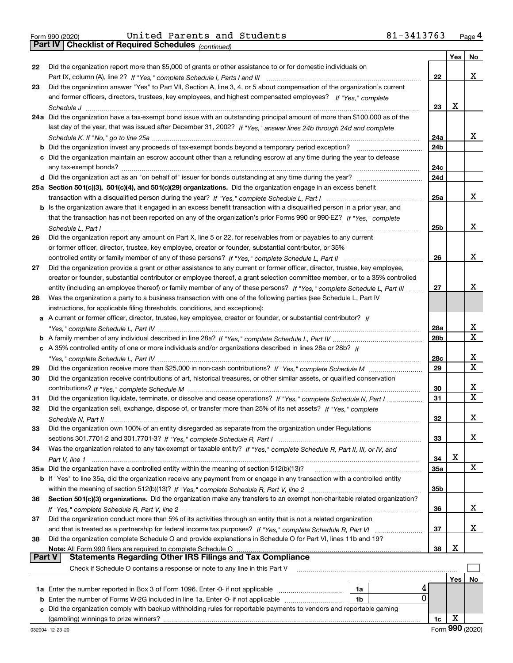*(continued)*

|               |                                                                                                                                                                                                                                                         |                        | Yes        | No     |
|---------------|---------------------------------------------------------------------------------------------------------------------------------------------------------------------------------------------------------------------------------------------------------|------------------------|------------|--------|
| 22            | Did the organization report more than \$5,000 of grants or other assistance to or for domestic individuals on                                                                                                                                           |                        |            |        |
|               |                                                                                                                                                                                                                                                         | 22                     |            | X.     |
| 23            | Did the organization answer "Yes" to Part VII, Section A, line 3, 4, or 5 about compensation of the organization's current                                                                                                                              |                        |            |        |
|               | and former officers, directors, trustees, key employees, and highest compensated employees? If "Yes," complete                                                                                                                                          |                        |            |        |
|               |                                                                                                                                                                                                                                                         | 23                     | х          |        |
|               | 24a Did the organization have a tax-exempt bond issue with an outstanding principal amount of more than \$100,000 as of the                                                                                                                             |                        |            |        |
|               | last day of the year, that was issued after December 31, 2002? If "Yes," answer lines 24b through 24d and complete                                                                                                                                      |                        |            | x      |
|               |                                                                                                                                                                                                                                                         | 24a<br>24 <sub>b</sub> |            |        |
|               | <b>b</b> Did the organization invest any proceeds of tax-exempt bonds beyond a temporary period exception? <i>mmmmmmmmmmm</i><br>c Did the organization maintain an escrow account other than a refunding escrow at any time during the year to defease |                        |            |        |
|               |                                                                                                                                                                                                                                                         | 24c                    |            |        |
|               |                                                                                                                                                                                                                                                         | 24d                    |            |        |
|               | 25a Section 501(c)(3), 501(c)(4), and 501(c)(29) organizations. Did the organization engage in an excess benefit                                                                                                                                        |                        |            |        |
|               |                                                                                                                                                                                                                                                         | 25a                    |            | x      |
|               | b Is the organization aware that it engaged in an excess benefit transaction with a disqualified person in a prior year, and                                                                                                                            |                        |            |        |
|               | that the transaction has not been reported on any of the organization's prior Forms 990 or 990-EZ? If "Yes," complete                                                                                                                                   |                        |            |        |
|               | Schedule L. Part I                                                                                                                                                                                                                                      | 25b                    |            | x      |
| 26            | Did the organization report any amount on Part X, line 5 or 22, for receivables from or payables to any current                                                                                                                                         |                        |            |        |
|               | or former officer, director, trustee, key employee, creator or founder, substantial contributor, or 35%                                                                                                                                                 |                        |            |        |
|               | controlled entity or family member of any of these persons? If "Yes," complete Schedule L, Part II                                                                                                                                                      | 26                     |            | x      |
| 27            | Did the organization provide a grant or other assistance to any current or former officer, director, trustee, key employee,                                                                                                                             |                        |            |        |
|               | creator or founder, substantial contributor or employee thereof, a grant selection committee member, or to a 35% controlled                                                                                                                             |                        |            |        |
|               | entity (including an employee thereof) or family member of any of these persons? If "Yes," complete Schedule L, Part III                                                                                                                                | 27                     |            | x      |
| 28            | Was the organization a party to a business transaction with one of the following parties (see Schedule L, Part IV                                                                                                                                       |                        |            |        |
|               | instructions, for applicable filing thresholds, conditions, and exceptions):                                                                                                                                                                            |                        |            |        |
|               | a A current or former officer, director, trustee, key employee, creator or founder, or substantial contributor? If                                                                                                                                      |                        |            |        |
|               |                                                                                                                                                                                                                                                         | 28a                    |            | х<br>X |
|               | c A 35% controlled entity of one or more individuals and/or organizations described in lines 28a or 28b? If                                                                                                                                             | 28 <sub>b</sub>        |            |        |
|               |                                                                                                                                                                                                                                                         | 28c                    |            | х      |
| 29            |                                                                                                                                                                                                                                                         | 29                     |            | x      |
| 30            | Did the organization receive contributions of art, historical treasures, or other similar assets, or qualified conservation                                                                                                                             |                        |            |        |
|               |                                                                                                                                                                                                                                                         | 30                     |            | x      |
| 31            | Did the organization liquidate, terminate, or dissolve and cease operations? If "Yes," complete Schedule N, Part I                                                                                                                                      | 31                     |            | X      |
| 32            | Did the organization sell, exchange, dispose of, or transfer more than 25% of its net assets? If "Yes," complete                                                                                                                                        |                        |            |        |
|               |                                                                                                                                                                                                                                                         | 32                     |            | x      |
| 33            | Did the organization own 100% of an entity disregarded as separate from the organization under Regulations                                                                                                                                              |                        |            |        |
|               |                                                                                                                                                                                                                                                         | 33                     |            | x      |
| 34            | Was the organization related to any tax-exempt or taxable entity? If "Yes," complete Schedule R, Part II, III, or IV, and                                                                                                                               |                        |            |        |
|               |                                                                                                                                                                                                                                                         | 34                     | х          |        |
|               | 35a Did the organization have a controlled entity within the meaning of section 512(b)(13)?                                                                                                                                                             | 35a                    |            | x      |
|               | b If "Yes" to line 35a, did the organization receive any payment from or engage in any transaction with a controlled entity                                                                                                                             |                        |            |        |
|               |                                                                                                                                                                                                                                                         | 35b                    |            |        |
| 36            | Section 501(c)(3) organizations. Did the organization make any transfers to an exempt non-charitable related organization?                                                                                                                              |                        |            |        |
|               |                                                                                                                                                                                                                                                         | 36                     |            | X.     |
| 37            | Did the organization conduct more than 5% of its activities through an entity that is not a related organization                                                                                                                                        |                        |            |        |
|               |                                                                                                                                                                                                                                                         | 37                     |            | X.     |
| 38            | Did the organization complete Schedule O and provide explanations in Schedule O for Part VI, lines 11b and 19?                                                                                                                                          | 38                     | х          |        |
| <b>Part V</b> | Note: All Form 990 filers are required to complete Schedule O<br><b>Statements Regarding Other IRS Filings and Tax Compliance</b>                                                                                                                       |                        |            |        |
|               | Check if Schedule O contains a response or note to any line in this Part V                                                                                                                                                                              |                        |            |        |
|               |                                                                                                                                                                                                                                                         |                        | <b>Yes</b> | No     |
|               | <b>1a</b> Enter the number reported in Box 3 of Form 1096. Enter -0- if not applicable<br>1a                                                                                                                                                            |                        |            |        |
| b             | 0<br>Enter the number of Forms W-2G included in line 1a. Enter -0- if not applicable<br>1b                                                                                                                                                              |                        |            |        |
| c             | Did the organization comply with backup withholding rules for reportable payments to vendors and reportable gaming                                                                                                                                      |                        |            |        |
|               | (gambling) winnings to prize winners?                                                                                                                                                                                                                   | 1c                     | X          |        |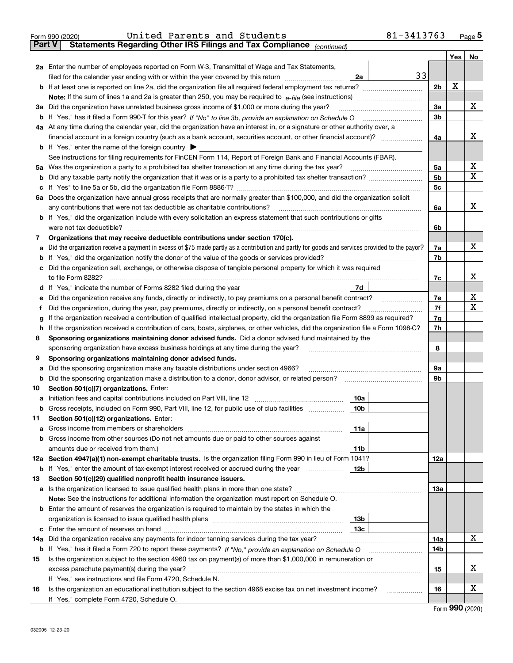|               | 81-3413763<br>United Parents and Students<br>Form 990 (2020)                                                                                    |                |     | Page $5$          |
|---------------|-------------------------------------------------------------------------------------------------------------------------------------------------|----------------|-----|-------------------|
| <b>Part V</b> | Statements Regarding Other IRS Filings and Tax Compliance (continued)                                                                           |                |     |                   |
|               |                                                                                                                                                 |                | Yes | No                |
|               | 2a Enter the number of employees reported on Form W-3, Transmittal of Wage and Tax Statements,                                                  |                |     |                   |
|               | 33<br>filed for the calendar year ending with or within the year covered by this return<br>2a                                                   |                |     |                   |
|               |                                                                                                                                                 | 2 <sub>b</sub> | X   |                   |
|               |                                                                                                                                                 |                |     |                   |
|               | 3a Did the organization have unrelated business gross income of \$1,000 or more during the year?                                                | За             |     | х                 |
|               |                                                                                                                                                 | 3b             |     |                   |
|               | 4a At any time during the calendar year, did the organization have an interest in, or a signature or other authority over, a                    |                |     |                   |
|               |                                                                                                                                                 | 4a             |     | х                 |
|               | <b>b</b> If "Yes," enter the name of the foreign country $\triangleright$                                                                       |                |     |                   |
|               | See instructions for filing requirements for FinCEN Form 114, Report of Foreign Bank and Financial Accounts (FBAR).                             |                |     |                   |
|               |                                                                                                                                                 | 5a             |     | X                 |
|               |                                                                                                                                                 | 5 <sub>b</sub> |     | х                 |
| b             |                                                                                                                                                 |                |     |                   |
|               |                                                                                                                                                 | 5c             |     |                   |
|               | 6a Does the organization have annual gross receipts that are normally greater than \$100,000, and did the organization solicit                  |                |     | x                 |
|               |                                                                                                                                                 | 6a             |     |                   |
|               | <b>b</b> If "Yes," did the organization include with every solicitation an express statement that such contributions or gifts                   |                |     |                   |
|               |                                                                                                                                                 | 6b             |     |                   |
| 7             | Organizations that may receive deductible contributions under section 170(c).                                                                   |                |     |                   |
| а             | Did the organization receive a payment in excess of \$75 made partly as a contribution and partly for goods and services provided to the payor? | 7a             |     | х                 |
| b             | If "Yes," did the organization notify the donor of the value of the goods or services provided?                                                 | 7b             |     |                   |
|               | c Did the organization sell, exchange, or otherwise dispose of tangible personal property for which it was required                             |                |     |                   |
|               |                                                                                                                                                 | 7c             |     | х                 |
|               |                                                                                                                                                 |                |     |                   |
| е             | Did the organization receive any funds, directly or indirectly, to pay premiums on a personal benefit contract?                                 | 7е             |     | X                 |
| f             | Did the organization, during the year, pay premiums, directly or indirectly, on a personal benefit contract?                                    | 7f             |     | х                 |
| g             | If the organization received a contribution of qualified intellectual property, did the organization file Form 8899 as required?                | 7g             |     |                   |
| h.            | If the organization received a contribution of cars, boats, airplanes, or other vehicles, did the organization file a Form 1098-C?              | 7h             |     |                   |
| 8             | Sponsoring organizations maintaining donor advised funds. Did a donor advised fund maintained by the                                            |                |     |                   |
|               | sponsoring organization have excess business holdings at any time during the year?                                                              | 8              |     |                   |
| 9             | Sponsoring organizations maintaining donor advised funds.                                                                                       |                |     |                   |
| а             | Did the sponsoring organization make any taxable distributions under section 4966?                                                              | 9а             |     |                   |
|               |                                                                                                                                                 | 9b             |     |                   |
| 10            | Section 501(c)(7) organizations. Enter:                                                                                                         |                |     |                   |
|               | 10a                                                                                                                                             |                |     |                   |
|               | 10b <br>Gross receipts, included on Form 990, Part VIII, line 12, for public use of club facilities                                             |                |     |                   |
| 11            | Section 501(c)(12) organizations. Enter:                                                                                                        |                |     |                   |
| а             | Gross income from members or shareholders<br>11a                                                                                                |                |     |                   |
| b             | Gross income from other sources (Do not net amounts due or paid to other sources against                                                        |                |     |                   |
|               | amounts due or received from them.)<br>11b                                                                                                      |                |     |                   |
|               | 12a Section 4947(a)(1) non-exempt charitable trusts. Is the organization filing Form 990 in lieu of Form 1041?                                  | 12a            |     |                   |
|               | 12b<br><b>b</b> If "Yes," enter the amount of tax-exempt interest received or accrued during the year <i>manument</i> of                        |                |     |                   |
| 13            | Section 501(c)(29) qualified nonprofit health insurance issuers.                                                                                |                |     |                   |
| a             | Is the organization licensed to issue qualified health plans in more than one state?                                                            | 13a            |     |                   |
|               | Note: See the instructions for additional information the organization must report on Schedule O.                                               |                |     |                   |
|               | <b>b</b> Enter the amount of reserves the organization is required to maintain by the states in which the                                       |                |     |                   |
|               | 13b                                                                                                                                             |                |     |                   |
|               | 13с                                                                                                                                             |                |     |                   |
|               | 14a Did the organization receive any payments for indoor tanning services during the tax year?                                                  | 14a            |     | х                 |
|               | <b>b</b> If "Yes," has it filed a Form 720 to report these payments? If "No," provide an explanation on Schedule O                              | 14b            |     |                   |
| 15            | Is the organization subject to the section 4960 tax on payment(s) of more than \$1,000,000 in remuneration or                                   |                |     |                   |
|               |                                                                                                                                                 |                |     | x                 |
|               |                                                                                                                                                 | 15             |     |                   |
|               | If "Yes," see instructions and file Form 4720, Schedule N.                                                                                      |                |     | х                 |
| 16            | Is the organization an educational institution subject to the section 4968 excise tax on net investment income?                                 | 16             |     |                   |
|               | If "Yes," complete Form 4720, Schedule O.                                                                                                       |                |     | $000 \; \text{m}$ |

Form (2020) **990**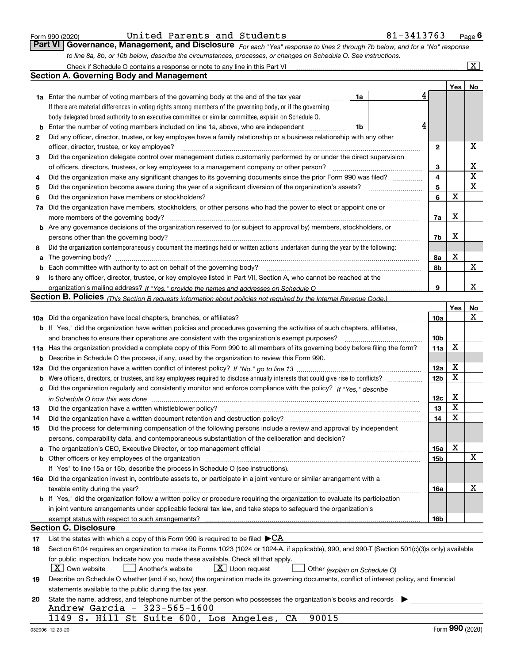|  | Form 990 (2020) |
|--|-----------------|
|  |                 |

| Form 990 (2020) |                                                                                                                             |  |  |  | United Parents and Students                                                                                      | 81-3413763 | $P$ <sub>age</sub> $6$ |
|-----------------|-----------------------------------------------------------------------------------------------------------------------------|--|--|--|------------------------------------------------------------------------------------------------------------------|------------|------------------------|
|                 | Part VI Governance, Management, and Disclosure For each "Yes" response to lines 2 through 7b below, and for a "No" response |  |  |  |                                                                                                                  |            |                        |
|                 |                                                                                                                             |  |  |  | to line 8a, 8b, or 10b below, describe the circumstances, processes, or changes on Schedule O. See instructions. |            |                        |

|     | Check if Schedule O contains a response or note to any line in this Part VI                                                                                                                                                    |    |                 |             | X  |
|-----|--------------------------------------------------------------------------------------------------------------------------------------------------------------------------------------------------------------------------------|----|-----------------|-------------|----|
|     | Section A. Governing Body and Management                                                                                                                                                                                       |    |                 |             |    |
|     |                                                                                                                                                                                                                                |    |                 | Yes         | No |
|     | <b>1a</b> Enter the number of voting members of the governing body at the end of the tax year                                                                                                                                  | 1a |                 |             |    |
|     | If there are material differences in voting rights among members of the governing body, or if the governing                                                                                                                    |    |                 |             |    |
|     | body delegated broad authority to an executive committee or similar committee, explain on Schedule O.                                                                                                                          |    |                 |             |    |
| b   | Enter the number of voting members included on line 1a, above, who are independent                                                                                                                                             | 1b |                 |             |    |
| 2   | Did any officer, director, trustee, or key employee have a family relationship or a business relationship with any other                                                                                                       |    |                 |             |    |
|     | officer, director, trustee, or key employee?                                                                                                                                                                                   |    | $\mathbf{2}$    |             | X  |
| 3   | Did the organization delegate control over management duties customarily performed by or under the direct supervision                                                                                                          |    |                 |             |    |
|     | of officers, directors, trustees, or key employees to a management company or other person?                                                                                                                                    |    | 3               |             | X  |
| 4   | Did the organization make any significant changes to its governing documents since the prior Form 990 was filed?                                                                                                               |    | $\overline{4}$  |             | X  |
| 5   |                                                                                                                                                                                                                                |    | 5               |             | X  |
| 6   | Did the organization have members or stockholders?                                                                                                                                                                             |    | 6               | X           |    |
| 7a  | Did the organization have members, stockholders, or other persons who had the power to elect or appoint one or                                                                                                                 |    |                 |             |    |
|     | more members of the governing body?                                                                                                                                                                                            |    | 7a              | X           |    |
|     | <b>b</b> Are any governance decisions of the organization reserved to (or subject to approval by) members, stockholders, or                                                                                                    |    |                 |             |    |
|     | persons other than the governing body?                                                                                                                                                                                         |    | 7b              | X           |    |
| 8   | Did the organization contemporaneously document the meetings held or written actions undertaken during the year by the following:                                                                                              |    |                 |             |    |
| a   |                                                                                                                                                                                                                                |    | 8а              | X           |    |
| b   | Each committee with authority to act on behalf of the governing body?                                                                                                                                                          |    | 8b              |             | X  |
| 9   | Is there any officer, director, trustee, or key employee listed in Part VII, Section A, who cannot be reached at the                                                                                                           |    |                 |             |    |
|     |                                                                                                                                                                                                                                |    | 9               |             | x  |
|     | Section B. Policies <sub>(This Section B requests information about policies not required by the Internal Revenue Code.)</sub>                                                                                                 |    |                 |             |    |
|     |                                                                                                                                                                                                                                |    |                 | Yes         | No |
|     |                                                                                                                                                                                                                                |    | 10a             |             | x  |
|     | <b>b</b> If "Yes," did the organization have written policies and procedures governing the activities of such chapters, affiliates,                                                                                            |    |                 |             |    |
|     | and branches to ensure their operations are consistent with the organization's exempt purposes?                                                                                                                                |    | 10 <sub>b</sub> |             |    |
| 11a | Has the organization provided a complete copy of this Form 990 to all members of its governing body before filing the form?                                                                                                    |    | 11a             | $\mathbf X$ |    |
| b   | Describe in Schedule O the process, if any, used by the organization to review this Form 990.                                                                                                                                  |    |                 |             |    |
| 12a |                                                                                                                                                                                                                                |    | 12a             | X           |    |
| b   | Were officers, directors, or trustees, and key employees required to disclose annually interests that could give rise to conflicts?                                                                                            |    | 12 <sub>b</sub> | X           |    |
| с   | Did the organization regularly and consistently monitor and enforce compliance with the policy? If "Yes," describe                                                                                                             |    |                 |             |    |
|     | in Schedule O how this was done measured and the control of the control of the state of the control of the control of the control of the control of the control of the control of the control of the control of the control of |    | 12c             | X           |    |
| 13  | Did the organization have a written whistleblower policy?                                                                                                                                                                      |    | 13              | X           |    |
| 14  | Did the organization have a written document retention and destruction policy?                                                                                                                                                 |    | 14              | X           |    |
| 15  | Did the process for determining compensation of the following persons include a review and approval by independent                                                                                                             |    |                 |             |    |
|     | persons, comparability data, and contemporaneous substantiation of the deliberation and decision?                                                                                                                              |    |                 |             |    |
| а   | The organization's CEO, Executive Director, or top management official manufactured content of the organization's CEO, Executive Director, or top management official                                                          |    | 15a             | X           |    |
|     | b Other officers or key employees of the organization manufactured content to the organization manufactured content of the organization manufactured content of the organization manufactured content of the organization manu |    | 15b             |             | X  |
|     | If "Yes" to line 15a or 15b, describe the process in Schedule O (see instructions).                                                                                                                                            |    |                 |             |    |
|     | 16a Did the organization invest in, contribute assets to, or participate in a joint venture or similar arrangement with a                                                                                                      |    |                 |             |    |
|     | taxable entity during the year?                                                                                                                                                                                                |    | 16a             |             | X  |
|     | <b>b</b> If "Yes," did the organization follow a written policy or procedure requiring the organization to evaluate its participation                                                                                          |    |                 |             |    |
|     | in joint venture arrangements under applicable federal tax law, and take steps to safequard the organization's                                                                                                                 |    |                 |             |    |
|     | exempt status with respect to such arrangements?                                                                                                                                                                               |    | 16b             |             |    |
|     | <b>Section C. Disclosure</b>                                                                                                                                                                                                   |    |                 |             |    |
| 17  | List the states with which a copy of this Form 990 is required to be filed $\blacktriangleright$ CA                                                                                                                            |    |                 |             |    |
| 18  | Section 6104 requires an organization to make its Forms 1023 (1024 or 1024-A, if applicable), 990, and 990-T (Section 501(c)(3)s only) available                                                                               |    |                 |             |    |
|     | for public inspection. Indicate how you made these available. Check all that apply.                                                                                                                                            |    |                 |             |    |
|     | $X$ Own website<br>$X$ Upon request<br>Another's website<br>Other (explain on Schedule O)                                                                                                                                      |    |                 |             |    |
| 19  | Describe on Schedule O whether (and if so, how) the organization made its governing documents, conflict of interest policy, and financial                                                                                      |    |                 |             |    |
|     | statements available to the public during the tax year.                                                                                                                                                                        |    |                 |             |    |
| 20  | State the name, address, and telephone number of the person who possesses the organization's books and records<br>Andrew Garcia - 323-565-1600                                                                                 |    |                 |             |    |
|     | 1149 S. Hill St Suite 600, Los Angeles, CA<br>90015                                                                                                                                                                            |    |                 |             |    |
|     |                                                                                                                                                                                                                                |    |                 |             |    |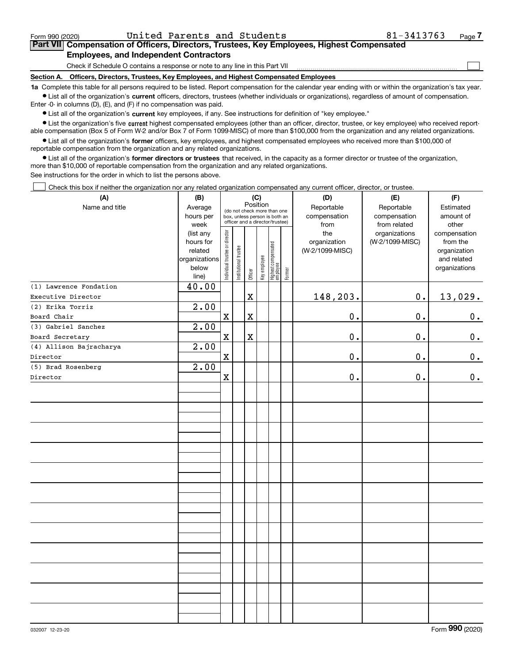$\mathcal{L}^{\text{max}}$ 

# **7Part VII Compensation of Officers, Directors, Trustees, Key Employees, Highest Compensated Employees, and Independent Contractors**

Check if Schedule O contains a response or note to any line in this Part VII

**Section A. Officers, Directors, Trustees, Key Employees, and Highest Compensated Employees**

**1a**  Complete this table for all persons required to be listed. Report compensation for the calendar year ending with or within the organization's tax year. **•** List all of the organization's current officers, directors, trustees (whether individuals or organizations), regardless of amount of compensation.

Enter -0- in columns (D), (E), and (F) if no compensation was paid.

 $\bullet$  List all of the organization's  $\,$ current key employees, if any. See instructions for definition of "key employee."

**•** List the organization's five current highest compensated employees (other than an officer, director, trustee, or key employee) who received reportable compensation (Box 5 of Form W-2 and/or Box 7 of Form 1099-MISC) of more than \$100,000 from the organization and any related organizations.

**•** List all of the organization's former officers, key employees, and highest compensated employees who received more than \$100,000 of reportable compensation from the organization and any related organizations.

**former directors or trustees**  ¥ List all of the organization's that received, in the capacity as a former director or trustee of the organization, more than \$10,000 of reportable compensation from the organization and any related organizations.

See instructions for the order in which to list the persons above.

Check this box if neither the organization nor any related organization compensated any current officer, director, or trustee.  $\mathcal{L}^{\text{max}}$ 

| (A)                            | (B)                                                                  | (C)                            |                                                                                                             |             |              |                                  |        | (D)                                    | (E)                                        | (F)                                                                      |
|--------------------------------|----------------------------------------------------------------------|--------------------------------|-------------------------------------------------------------------------------------------------------------|-------------|--------------|----------------------------------|--------|----------------------------------------|--------------------------------------------|--------------------------------------------------------------------------|
| Name and title                 | Average<br>hours per<br>week                                         |                                | Position<br>(do not check more than one<br>box, unless person is both an<br>officer and a director/trustee) |             |              |                                  |        | Reportable<br>compensation<br>from     | Reportable<br>compensation<br>from related | Estimated<br>amount of<br>other                                          |
|                                | (list any<br>hours for<br>related<br>organizations<br>below<br>line) | Individual trustee or director | Institutional trustee                                                                                       | Officer     | Key employee | Highest compensated<br> employee | Former | the<br>organization<br>(W-2/1099-MISC) | organizations<br>(W-2/1099-MISC)           | compensation<br>from the<br>organization<br>and related<br>organizations |
| (1) Lawrence Fondation         | 40.00                                                                |                                |                                                                                                             |             |              |                                  |        |                                        |                                            |                                                                          |
| Executive Director             |                                                                      |                                |                                                                                                             | $\mathbf X$ |              |                                  |        | 148,203.                               | $0$ .                                      | 13,029.                                                                  |
| (2) Erika Torriz               | 2.00                                                                 |                                |                                                                                                             |             |              |                                  |        |                                        |                                            |                                                                          |
| Board Chair                    |                                                                      | $\mathbf X$                    |                                                                                                             | $\mathbf X$ |              |                                  |        | $\mathbf 0$ .                          | 0.                                         | $0_{.}$                                                                  |
| (3) Gabriel Sanchez            | 2.00                                                                 |                                |                                                                                                             |             |              |                                  |        |                                        |                                            |                                                                          |
| Board Secretary                |                                                                      | $\mathbf X$                    |                                                                                                             | $\mathbf X$ |              |                                  |        | 0.                                     | 0.                                         | 0.                                                                       |
| (4) Allison Bajracharya        | 2.00                                                                 |                                |                                                                                                             |             |              |                                  |        |                                        |                                            |                                                                          |
| Director                       |                                                                      | $\mathbf X$                    |                                                                                                             |             |              |                                  |        | $\mathbf 0$ .                          | $0$ .                                      | 0.                                                                       |
| (5) Brad Rosenberg<br>Director | $\overline{2.00}$                                                    | $\mathbf X$                    |                                                                                                             |             |              |                                  |        | 0.                                     | 0.                                         | $\mathbf 0$ .                                                            |
|                                |                                                                      |                                |                                                                                                             |             |              |                                  |        |                                        |                                            |                                                                          |
|                                |                                                                      |                                |                                                                                                             |             |              |                                  |        |                                        |                                            |                                                                          |
|                                |                                                                      |                                |                                                                                                             |             |              |                                  |        |                                        |                                            |                                                                          |
|                                |                                                                      |                                |                                                                                                             |             |              |                                  |        |                                        |                                            |                                                                          |
|                                |                                                                      |                                |                                                                                                             |             |              |                                  |        |                                        |                                            |                                                                          |
|                                |                                                                      |                                |                                                                                                             |             |              |                                  |        |                                        |                                            |                                                                          |
|                                |                                                                      |                                |                                                                                                             |             |              |                                  |        |                                        |                                            |                                                                          |
|                                |                                                                      |                                |                                                                                                             |             |              |                                  |        |                                        |                                            |                                                                          |
|                                |                                                                      |                                |                                                                                                             |             |              |                                  |        |                                        |                                            |                                                                          |
|                                |                                                                      |                                |                                                                                                             |             |              |                                  |        |                                        |                                            |                                                                          |
|                                |                                                                      |                                |                                                                                                             |             |              |                                  |        |                                        |                                            |                                                                          |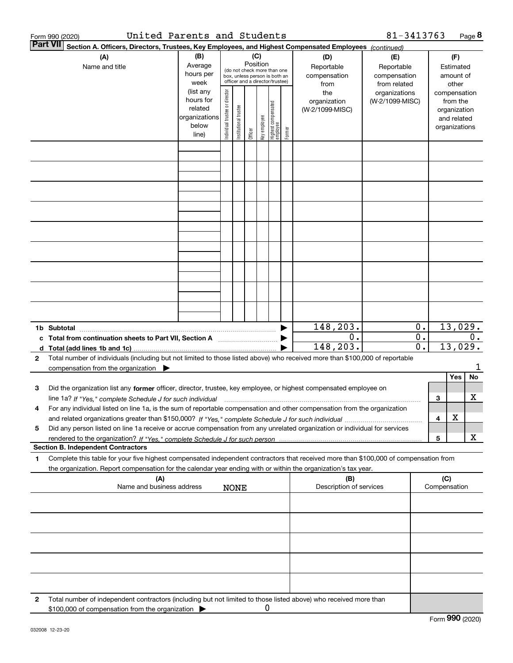|   | United Parents and Students<br>Form 990 (2020)                                                                                                                                                                                                                         |                                                                      |                                |                            |          |              |                                                                                                 |        |                                           | 81-3413763                                        |                                               |                     |                                                                          | Page 8  |
|---|------------------------------------------------------------------------------------------------------------------------------------------------------------------------------------------------------------------------------------------------------------------------|----------------------------------------------------------------------|--------------------------------|----------------------------|----------|--------------|-------------------------------------------------------------------------------------------------|--------|-------------------------------------------|---------------------------------------------------|-----------------------------------------------|---------------------|--------------------------------------------------------------------------|---------|
|   | Part VII<br>Section A. Officers, Directors, Trustees, Key Employees, and Highest Compensated Employees (continued)                                                                                                                                                     |                                                                      |                                |                            |          |              |                                                                                                 |        |                                           |                                                   |                                               |                     |                                                                          |         |
|   | (A)<br>Name and title                                                                                                                                                                                                                                                  | (B)<br>Average<br>hours per<br>week                                  |                                |                            | Position | (C)          | (do not check more than one<br>box, unless person is both an<br>officer and a director/trustee) |        | (D)<br>Reportable<br>compensation<br>from | (E)<br>Reportable<br>compensation<br>from related |                                               |                     | (F)<br>Estimated<br>amount of<br>other                                   |         |
|   |                                                                                                                                                                                                                                                                        | (list any<br>hours for<br>related<br>organizations<br>below<br>line) | Individual trustee or director | trustee<br>Institutional t | Officer  | Key employee | Highest compensated<br>employee                                                                 | Former | the<br>organization<br>(W-2/1099-MISC)    | organizations<br>(W-2/1099-MISC)                  |                                               |                     | compensation<br>from the<br>organization<br>and related<br>organizations |         |
|   |                                                                                                                                                                                                                                                                        |                                                                      |                                |                            |          |              |                                                                                                 |        |                                           |                                                   |                                               |                     |                                                                          |         |
|   |                                                                                                                                                                                                                                                                        |                                                                      |                                |                            |          |              |                                                                                                 |        |                                           |                                                   |                                               |                     |                                                                          |         |
|   |                                                                                                                                                                                                                                                                        |                                                                      |                                |                            |          |              |                                                                                                 |        |                                           |                                                   |                                               |                     |                                                                          |         |
|   |                                                                                                                                                                                                                                                                        |                                                                      |                                |                            |          |              |                                                                                                 |        |                                           |                                                   |                                               |                     |                                                                          |         |
|   |                                                                                                                                                                                                                                                                        |                                                                      |                                |                            |          |              |                                                                                                 |        |                                           |                                                   |                                               |                     |                                                                          |         |
|   |                                                                                                                                                                                                                                                                        |                                                                      |                                |                            |          |              |                                                                                                 |        |                                           |                                                   |                                               |                     |                                                                          |         |
|   |                                                                                                                                                                                                                                                                        |                                                                      |                                |                            |          |              |                                                                                                 |        |                                           |                                                   |                                               |                     |                                                                          |         |
|   |                                                                                                                                                                                                                                                                        |                                                                      |                                |                            |          |              |                                                                                                 |        |                                           |                                                   |                                               |                     |                                                                          |         |
|   | 1b Subtotal                                                                                                                                                                                                                                                            |                                                                      |                                |                            |          |              |                                                                                                 |        | 148,203.                                  |                                                   | 0.                                            |                     |                                                                          | 13,029. |
|   | c Total from continuation sheets to Part VII, Section A <b>manual</b> contains the Total from continuum                                                                                                                                                                |                                                                      |                                |                            |          |              |                                                                                                 |        | 0.<br>148,203.                            |                                                   | $\overline{\mathbf{0}}$ .<br>$\overline{0}$ . |                     | 13,029.                                                                  | 0.      |
| 2 | Total number of individuals (including but not limited to those listed above) who received more than \$100,000 of reportable<br>compensation from the organization $\blacktriangleright$                                                                               |                                                                      |                                |                            |          |              |                                                                                                 |        |                                           |                                                   |                                               |                     |                                                                          | l       |
|   |                                                                                                                                                                                                                                                                        |                                                                      |                                |                            |          |              |                                                                                                 |        |                                           |                                                   |                                               |                     | Yes                                                                      | No      |
| з | Did the organization list any former officer, director, trustee, key employee, or highest compensated employee on<br>line 1a? If "Yes," complete Schedule J for such individual material content content to the content of the complete schedule J for such individual |                                                                      |                                |                            |          |              |                                                                                                 |        |                                           |                                                   |                                               | З                   |                                                                          | x       |
| 4 | For any individual listed on line 1a, is the sum of reportable compensation and other compensation from the organization                                                                                                                                               |                                                                      |                                |                            |          |              |                                                                                                 |        |                                           |                                                   |                                               | 4                   | X                                                                        |         |
| 5 | Did any person listed on line 1a receive or accrue compensation from any unrelated organization or individual for services                                                                                                                                             |                                                                      |                                |                            |          |              |                                                                                                 |        |                                           |                                                   |                                               | 5                   |                                                                          | x       |
|   | <b>Section B. Independent Contractors</b>                                                                                                                                                                                                                              |                                                                      |                                |                            |          |              |                                                                                                 |        |                                           |                                                   |                                               |                     |                                                                          |         |
| 1 | Complete this table for your five highest compensated independent contractors that received more than \$100,000 of compensation from<br>the organization. Report compensation for the calendar year ending with or within the organization's tax year.                 |                                                                      |                                |                            |          |              |                                                                                                 |        |                                           |                                                   |                                               |                     |                                                                          |         |
|   | (A)<br>Name and business address                                                                                                                                                                                                                                       |                                                                      |                                | <b>NONE</b>                |          |              |                                                                                                 |        | (B)<br>Description of services            |                                                   |                                               | (C)<br>Compensation |                                                                          |         |
|   |                                                                                                                                                                                                                                                                        |                                                                      |                                |                            |          |              |                                                                                                 |        |                                           |                                                   |                                               |                     |                                                                          |         |
|   |                                                                                                                                                                                                                                                                        |                                                                      |                                |                            |          |              |                                                                                                 |        |                                           |                                                   |                                               |                     |                                                                          |         |
|   |                                                                                                                                                                                                                                                                        |                                                                      |                                |                            |          |              |                                                                                                 |        |                                           |                                                   |                                               |                     |                                                                          |         |
|   |                                                                                                                                                                                                                                                                        |                                                                      |                                |                            |          |              |                                                                                                 |        |                                           |                                                   |                                               |                     |                                                                          |         |
| 2 | Total number of independent contractors (including but not limited to those listed above) who received more than                                                                                                                                                       |                                                                      |                                |                            |          |              |                                                                                                 |        |                                           |                                                   |                                               |                     |                                                                          |         |
|   | \$100,000 of compensation from the organization                                                                                                                                                                                                                        |                                                                      |                                |                            |          | 0            |                                                                                                 |        |                                           |                                                   |                                               |                     |                                                                          |         |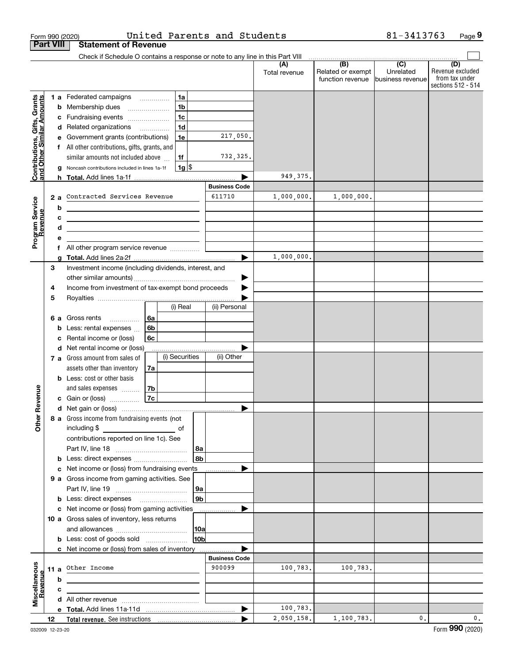|                                                           | Form 990 (2020)  |                                                                                                |                |                |                 | United Parents and Students |                      |                                              | 81-3413763                                        | Page 9                                                          |
|-----------------------------------------------------------|------------------|------------------------------------------------------------------------------------------------|----------------|----------------|-----------------|-----------------------------|----------------------|----------------------------------------------|---------------------------------------------------|-----------------------------------------------------------------|
|                                                           | <b>Part VIII</b> | <b>Statement of Revenue</b>                                                                    |                |                |                 |                             |                      |                                              |                                                   |                                                                 |
|                                                           |                  | Check if Schedule O contains a response or note to any line in this Part VIII                  |                |                |                 |                             |                      |                                              |                                                   |                                                                 |
|                                                           |                  |                                                                                                |                |                |                 |                             | (A)<br>Total revenue | (B)<br>Related or exempt<br>function revenue | $\overline{(C)}$<br>Unrelated<br>business revenue | (D)<br>Revenue excluded<br>from tax under<br>sections 512 - 514 |
|                                                           |                  | <b>1 a</b> Federated campaigns                                                                 |                | 1a             |                 |                             |                      |                                              |                                                   |                                                                 |
|                                                           |                  | <b>b</b> Membership dues                                                                       |                | 1 <sub>b</sub> |                 |                             |                      |                                              |                                                   |                                                                 |
|                                                           |                  | c Fundraising events                                                                           |                | 1 <sub>c</sub> |                 |                             |                      |                                              |                                                   |                                                                 |
|                                                           |                  | d Related organizations                                                                        |                | 1 <sub>d</sub> |                 |                             |                      |                                              |                                                   |                                                                 |
|                                                           |                  | e Government grants (contributions)                                                            |                | 1e             |                 | 217,050.                    |                      |                                              |                                                   |                                                                 |
|                                                           |                  | f All other contributions, gifts, grants, and                                                  |                |                |                 |                             |                      |                                              |                                                   |                                                                 |
| Contributions, Gifts, Grants<br>and Other Similar Amounts |                  | similar amounts not included above                                                             |                | 1f             |                 | 732,325.                    |                      |                                              |                                                   |                                                                 |
|                                                           |                  | g Noncash contributions included in lines 1a-1f                                                |                | $1g$ \$        |                 |                             |                      |                                              |                                                   |                                                                 |
|                                                           |                  |                                                                                                |                |                |                 | <b>Business Code</b>        | 949,375.             |                                              |                                                   |                                                                 |
|                                                           |                  | Contracted Services Revenue                                                                    |                |                |                 | 611710                      | 1,000,000.           | 1,000,000.                                   |                                                   |                                                                 |
|                                                           | 2a               |                                                                                                |                |                |                 |                             |                      |                                              |                                                   |                                                                 |
|                                                           | b<br>c           | the control of the control of the control of the control of the control of the control of      |                |                |                 |                             |                      |                                              |                                                   |                                                                 |
|                                                           | d                | the control of the control of the control of the control of the control of the control of      |                |                |                 |                             |                      |                                              |                                                   |                                                                 |
| Program Service<br>Revenue                                | е                |                                                                                                |                |                |                 |                             |                      |                                              |                                                   |                                                                 |
|                                                           |                  | All other program service revenue                                                              |                |                |                 |                             |                      |                                              |                                                   |                                                                 |
|                                                           |                  |                                                                                                |                |                |                 |                             | 1,000,000.           |                                              |                                                   |                                                                 |
|                                                           | 3                | Investment income (including dividends, interest, and                                          |                |                |                 |                             |                      |                                              |                                                   |                                                                 |
|                                                           |                  |                                                                                                |                |                |                 |                             |                      |                                              |                                                   |                                                                 |
|                                                           | 4                | Income from investment of tax-exempt bond proceeds                                             |                |                |                 |                             |                      |                                              |                                                   |                                                                 |
|                                                           | 5                |                                                                                                |                |                |                 |                             |                      |                                              |                                                   |                                                                 |
|                                                           |                  |                                                                                                |                | (i) Real       |                 | (ii) Personal               |                      |                                              |                                                   |                                                                 |
|                                                           |                  | 6 a Gross rents                                                                                | 6a             |                |                 |                             |                      |                                              |                                                   |                                                                 |
|                                                           |                  | <b>b</b> Less: rental expenses $\ldots$                                                        | 6 <sub>b</sub> |                |                 |                             |                      |                                              |                                                   |                                                                 |
|                                                           | с                | Rental income or (loss)                                                                        | 6c             |                |                 |                             |                      |                                              |                                                   |                                                                 |
|                                                           |                  | d Net rental income or (loss)<br>7 a Gross amount from sales of                                |                | (i) Securities |                 | (ii) Other                  |                      |                                              |                                                   |                                                                 |
|                                                           |                  | assets other than inventory                                                                    | 7a             |                |                 |                             |                      |                                              |                                                   |                                                                 |
|                                                           |                  | <b>b</b> Less: cost or other basis                                                             |                |                |                 |                             |                      |                                              |                                                   |                                                                 |
|                                                           |                  | and sales expenses                                                                             | 7b             |                |                 |                             |                      |                                              |                                                   |                                                                 |
| venue                                                     |                  | c Gain or (loss)                                                                               | 7c             |                |                 |                             |                      |                                              |                                                   |                                                                 |
|                                                           |                  |                                                                                                |                |                |                 |                             |                      |                                              |                                                   |                                                                 |
| Other R                                                   |                  | 8 a Gross income from fundraising events (not                                                  |                |                |                 |                             |                      |                                              |                                                   |                                                                 |
|                                                           |                  |                                                                                                |                |                |                 |                             |                      |                                              |                                                   |                                                                 |
|                                                           |                  | contributions reported on line 1c). See                                                        |                |                |                 |                             |                      |                                              |                                                   |                                                                 |
|                                                           |                  |                                                                                                |                |                | 8a              |                             |                      |                                              |                                                   |                                                                 |
|                                                           |                  |                                                                                                |                |                | 8b              |                             |                      |                                              |                                                   |                                                                 |
|                                                           |                  | c Net income or (loss) from fundraising events<br>9 a Gross income from gaming activities. See |                |                |                 |                             |                      |                                              |                                                   |                                                                 |
|                                                           |                  |                                                                                                |                |                | 9а              |                             |                      |                                              |                                                   |                                                                 |
|                                                           |                  | <b>b</b> Less: direct expenses <b>manually</b>                                                 |                |                | 9 <sub>b</sub>  |                             |                      |                                              |                                                   |                                                                 |
|                                                           |                  | c Net income or (loss) from gaming activities                                                  |                |                |                 |                             |                      |                                              |                                                   |                                                                 |
|                                                           |                  | 10 a Gross sales of inventory, less returns                                                    |                |                |                 |                             |                      |                                              |                                                   |                                                                 |
|                                                           |                  |                                                                                                |                |                | 10a             |                             |                      |                                              |                                                   |                                                                 |
|                                                           |                  |                                                                                                |                |                | 10 <sub>b</sub> |                             |                      |                                              |                                                   |                                                                 |
|                                                           |                  | c Net income or (loss) from sales of inventory                                                 |                |                |                 |                             |                      |                                              |                                                   |                                                                 |
|                                                           |                  |                                                                                                |                |                |                 | <b>Business Code</b>        |                      |                                              |                                                   |                                                                 |
| Miscellaneous<br>Revenue                                  |                  | 11 a Other Income                                                                              |                |                |                 | 900099                      | 100,783.             | 100,783.                                     |                                                   |                                                                 |
|                                                           | b                |                                                                                                |                |                |                 |                             |                      |                                              |                                                   |                                                                 |
|                                                           | c                |                                                                                                |                |                |                 |                             |                      |                                              |                                                   |                                                                 |
|                                                           |                  |                                                                                                |                |                |                 |                             | 100, 783.            |                                              |                                                   |                                                                 |
|                                                           | 12               |                                                                                                |                |                |                 |                             | 2,050,158.           | 1,100,783.                                   | 0.                                                | 0.                                                              |
|                                                           |                  |                                                                                                |                |                |                 |                             |                      |                                              |                                                   |                                                                 |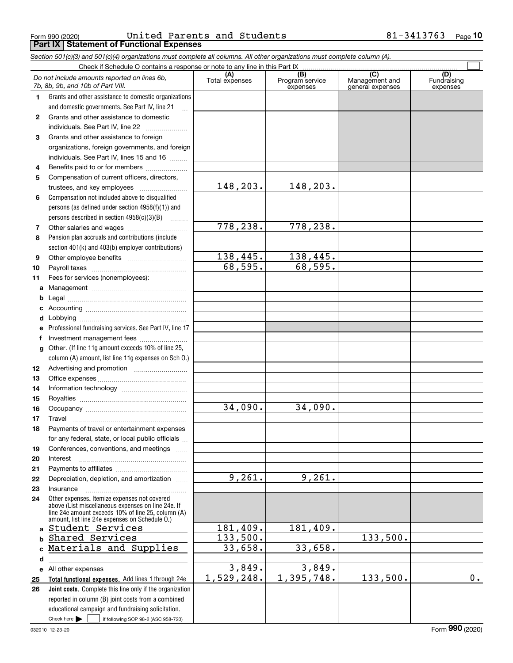Form 990 (2020) Page **Part IX Statement of Functional Expenses** United Parents and Students 81-3413763

*Section 501(c)(3) and 501(c)(4) organizations must complete all columns. All other organizations must complete column (A).*

|          | Do not include amounts reported on lines 6b,<br>7b, 8b, 9b, and 10b of Part VIII.                    | (A)<br>Total expenses | (B)<br>Program service<br>expenses | $\overline{C}$<br>Management and<br>general expenses | (D)<br>Fundraising<br>expenses |
|----------|------------------------------------------------------------------------------------------------------|-----------------------|------------------------------------|------------------------------------------------------|--------------------------------|
| 1        | Grants and other assistance to domestic organizations                                                |                       |                                    |                                                      |                                |
|          | and domestic governments. See Part IV, line 21                                                       |                       |                                    |                                                      |                                |
| 2        | Grants and other assistance to domestic                                                              |                       |                                    |                                                      |                                |
|          | individuals. See Part IV, line 22                                                                    |                       |                                    |                                                      |                                |
| 3        | Grants and other assistance to foreign                                                               |                       |                                    |                                                      |                                |
|          | organizations, foreign governments, and foreign                                                      |                       |                                    |                                                      |                                |
|          | individuals. See Part IV, lines 15 and 16                                                            |                       |                                    |                                                      |                                |
| 4        | Benefits paid to or for members                                                                      |                       |                                    |                                                      |                                |
| 5        | Compensation of current officers, directors,                                                         |                       |                                    |                                                      |                                |
|          | trustees, and key employees                                                                          | 148,203.              | 148,203.                           |                                                      |                                |
| 6        | Compensation not included above to disqualified                                                      |                       |                                    |                                                      |                                |
|          | persons (as defined under section $4958(f)(1)$ ) and                                                 |                       |                                    |                                                      |                                |
|          | persons described in section 4958(c)(3)(B)                                                           |                       |                                    |                                                      |                                |
| 7        |                                                                                                      | 778,238.              | 778,238.                           |                                                      |                                |
| 8        | Pension plan accruals and contributions (include                                                     |                       |                                    |                                                      |                                |
|          | section 401(k) and 403(b) employer contributions)                                                    |                       |                                    |                                                      |                                |
| 9        |                                                                                                      | 138,445.              | 138,445.                           |                                                      |                                |
| 10       |                                                                                                      | 68,595.               | 68,595.                            |                                                      |                                |
| 11       | Fees for services (nonemployees):                                                                    |                       |                                    |                                                      |                                |
| a        |                                                                                                      |                       |                                    |                                                      |                                |
| b        |                                                                                                      |                       |                                    |                                                      |                                |
| c        |                                                                                                      |                       |                                    |                                                      |                                |
| d        |                                                                                                      |                       |                                    |                                                      |                                |
| е        | Professional fundraising services. See Part IV, line 17                                              |                       |                                    |                                                      |                                |
| f        | Investment management fees                                                                           |                       |                                    |                                                      |                                |
| g        | Other. (If line 11g amount exceeds 10% of line 25,                                                   |                       |                                    |                                                      |                                |
|          | column (A) amount, list line 11g expenses on Sch O.)                                                 |                       |                                    |                                                      |                                |
| 12       |                                                                                                      |                       |                                    |                                                      |                                |
| 13       |                                                                                                      |                       |                                    |                                                      |                                |
| 14       |                                                                                                      |                       |                                    |                                                      |                                |
| 15       |                                                                                                      | 34,090.               | 34,090.                            |                                                      |                                |
| 16       |                                                                                                      |                       |                                    |                                                      |                                |
| 17       | Travel                                                                                               |                       |                                    |                                                      |                                |
| 18       | Payments of travel or entertainment expenses<br>for any federal, state, or local public officials    |                       |                                    |                                                      |                                |
|          | Conferences, conventions, and meetings                                                               |                       |                                    |                                                      |                                |
| 19<br>20 | Interest                                                                                             |                       |                                    |                                                      |                                |
| 21       |                                                                                                      |                       |                                    |                                                      |                                |
| 22       | Depreciation, depletion, and amortization                                                            | 9,261.                | 9,261.                             |                                                      |                                |
| 23       | Insurance                                                                                            |                       |                                    |                                                      |                                |
| 24       | Other expenses. Itemize expenses not covered                                                         |                       |                                    |                                                      |                                |
|          | above (List miscellaneous expenses on line 24e. If                                                   |                       |                                    |                                                      |                                |
|          | line 24e amount exceeds 10% of line 25, column (A)<br>amount, list line 24e expenses on Schedule O.) |                       |                                    |                                                      |                                |
| a        | Student Services                                                                                     | 181,409.              | 181,409.                           |                                                      |                                |
| b.       | Shared Services                                                                                      | 133,500.              |                                    | 133,500.                                             |                                |
| c        | Materials and Supplies                                                                               | 33,658.               | 33,658.                            |                                                      |                                |
| d        |                                                                                                      |                       |                                    |                                                      |                                |
|          | e All other expenses                                                                                 | 3,849.                | 3,849.                             |                                                      |                                |
| 25       | Total functional expenses. Add lines 1 through 24e                                                   | 1,529,248.            | 1,395,748.                         | 133,500.                                             | $\overline{0}$ .               |
| 26       | <b>Joint costs.</b> Complete this line only if the organization                                      |                       |                                    |                                                      |                                |
|          | reported in column (B) joint costs from a combined                                                   |                       |                                    |                                                      |                                |
|          | educational campaign and fundraising solicitation.                                                   |                       |                                    |                                                      |                                |
|          | Check here $\blacktriangleright$<br>if following SOP 98-2 (ASC 958-720)<br>$\sim$ 1                  |                       |                                    |                                                      |                                |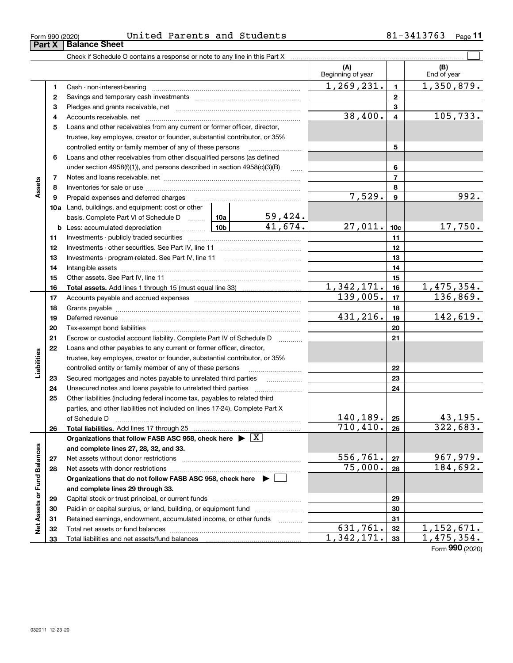| Form 990 (2020) | United |  | <sup>4</sup> Parents and Students | 3413763 | Page |
|-----------------|--------|--|-----------------------------------|---------|------|
|                 |        |  |                                   |         |      |

|                             |              |                                                                                                                                                                                                                                |          |                 | (A)<br>Beginning of year |                          | (B)<br>End of year         |
|-----------------------------|--------------|--------------------------------------------------------------------------------------------------------------------------------------------------------------------------------------------------------------------------------|----------|-----------------|--------------------------|--------------------------|----------------------------|
|                             | 1            |                                                                                                                                                                                                                                |          |                 | 1, 269, 231.             | $\mathbf{1}$             | 1,350,879.                 |
|                             | $\mathbf{2}$ |                                                                                                                                                                                                                                |          | $\mathbf{2}$    |                          |                          |                            |
|                             | 3            |                                                                                                                                                                                                                                |          | 3               |                          |                          |                            |
|                             | 4            |                                                                                                                                                                                                                                |          | 38,400.         | $\overline{\mathbf{4}}$  | 105,733.                 |                            |
|                             | 5            | Loans and other receivables from any current or former officer, director,                                                                                                                                                      |          |                 |                          |                          |                            |
|                             |              | trustee, key employee, creator or founder, substantial contributor, or 35%                                                                                                                                                     |          |                 |                          |                          |                            |
|                             |              | controlled entity or family member of any of these persons                                                                                                                                                                     |          | 5               |                          |                          |                            |
|                             | 6            | Loans and other receivables from other disqualified persons (as defined                                                                                                                                                        |          |                 |                          |                          |                            |
|                             |              | under section 4958(f)(1)), and persons described in section 4958(c)(3)(B)                                                                                                                                                      |          | $\ldots$        |                          | 6                        |                            |
|                             | 7            |                                                                                                                                                                                                                                |          |                 |                          | $\overline{\phantom{a}}$ |                            |
| Assets                      | 8            |                                                                                                                                                                                                                                |          |                 |                          | 8                        |                            |
|                             | 9            |                                                                                                                                                                                                                                |          |                 | 7,529.                   | 9                        | 992.                       |
|                             |              | 10a Land, buildings, and equipment: cost or other                                                                                                                                                                              |          |                 |                          |                          |                            |
|                             |              | basis. Complete Part VI of Schedule D  10a                                                                                                                                                                                     |          | 5 <u>9,424.</u> |                          |                          |                            |
|                             |              | <b>b</b> Less: accumulated depreciation                                                                                                                                                                                        |          | 41.674.         | 27,011.                  | 10 <sub>c</sub>          | 17,750.                    |
|                             | 11           |                                                                                                                                                                                                                                |          |                 | 11                       |                          |                            |
|                             | 12           |                                                                                                                                                                                                                                |          | 12              |                          |                          |                            |
|                             | 13           |                                                                                                                                                                                                                                |          | 13              |                          |                          |                            |
|                             | 14           |                                                                                                                                                                                                                                |          | 14              |                          |                          |                            |
|                             | 15           |                                                                                                                                                                                                                                |          |                 |                          | 15                       |                            |
|                             | 16           |                                                                                                                                                                                                                                |          |                 | 1,342,171.               | 16                       | 1,475,354.                 |
|                             | 17           |                                                                                                                                                                                                                                |          |                 | 139,005.                 | 17                       | 136,869.                   |
|                             | 18           |                                                                                                                                                                                                                                |          | 18              |                          |                          |                            |
|                             | 19           | Deferred revenue manual contracts and contracts are all the manual contracts and contracts are contracted and contracts are contracted and contract are contracted and contract are contracted and contract are contracted and | 431,216. | 19              | 142,619.                 |                          |                            |
|                             | 20           |                                                                                                                                                                                                                                |          |                 |                          | 20                       |                            |
|                             | 21           | Escrow or custodial account liability. Complete Part IV of Schedule D                                                                                                                                                          |          |                 |                          | 21                       |                            |
|                             | 22           | Loans and other payables to any current or former officer, director,                                                                                                                                                           |          |                 |                          |                          |                            |
| Liabilities                 |              | trustee, key employee, creator or founder, substantial contributor, or 35%                                                                                                                                                     |          |                 |                          |                          |                            |
|                             |              | controlled entity or family member of any of these persons                                                                                                                                                                     |          |                 |                          | 22                       |                            |
|                             | 23           |                                                                                                                                                                                                                                |          |                 |                          | 23                       |                            |
|                             | 24           |                                                                                                                                                                                                                                |          |                 |                          | 24                       |                            |
|                             | 25           | Other liabilities (including federal income tax, payables to related third                                                                                                                                                     |          |                 |                          |                          |                            |
|                             |              | parties, and other liabilities not included on lines 17-24). Complete Part X                                                                                                                                                   |          |                 |                          |                          |                            |
|                             |              | of Schedule D <b>www.communications.communications.com</b>                                                                                                                                                                     |          |                 | 140, 189.                | 25                       | 43,195.                    |
|                             | 26           |                                                                                                                                                                                                                                |          |                 | 710, 410.                | 26                       | 322, 683.                  |
|                             |              | Organizations that follow FASB ASC 958, check here $\triangleright \lfloor X \rfloor$                                                                                                                                          |          |                 |                          |                          |                            |
|                             |              | and complete lines 27, 28, 32, and 33.                                                                                                                                                                                         |          |                 |                          |                          |                            |
|                             | 27           |                                                                                                                                                                                                                                |          |                 | 556,761.                 | 27                       | 967,979.                   |
|                             | 28           |                                                                                                                                                                                                                                | 75,000.  | 28              | 184,692.                 |                          |                            |
|                             |              | Organizations that do not follow FASB ASC 958, check here ▶ □                                                                                                                                                                  |          |                 |                          |                          |                            |
|                             |              | and complete lines 29 through 33.                                                                                                                                                                                              |          |                 |                          |                          |                            |
|                             | 29           |                                                                                                                                                                                                                                |          |                 |                          | 29                       |                            |
|                             | 30           | Paid-in or capital surplus, or land, building, or equipment fund                                                                                                                                                               |          |                 |                          | 30                       |                            |
| Net Assets or Fund Balances | 31           | Retained earnings, endowment, accumulated income, or other funds                                                                                                                                                               |          | .               | 631,761.                 | 31                       |                            |
|                             | 32           |                                                                                                                                                                                                                                |          |                 | 1,342,171.               | 32                       | 1, 152, 671.<br>1,475,354. |
|                             | 33           |                                                                                                                                                                                                                                |          |                 |                          | 33                       |                            |

Form (2020) **990**

# **Part X Balance Sheet**

|  | Form 990 (2020) |
|--|-----------------|
|  |                 |

 $\overline{a}$ 

 $\overline{\phantom{a}}$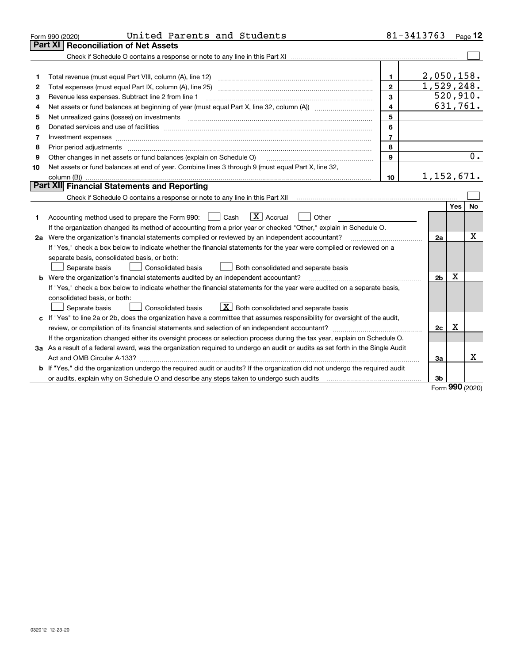|    | United Parents and Students<br>Form 990 (2020)                                                                                  | 81-3413763              |                |            | Page $12$              |
|----|---------------------------------------------------------------------------------------------------------------------------------|-------------------------|----------------|------------|------------------------|
|    | Part XI<br><b>Reconciliation of Net Assets</b>                                                                                  |                         |                |            |                        |
|    |                                                                                                                                 |                         |                |            |                        |
|    |                                                                                                                                 |                         |                |            |                        |
| 1  |                                                                                                                                 | 1                       | 2,050,158.     |            |                        |
| 2  |                                                                                                                                 | $\mathbf{2}$            | 1,529,248.     |            |                        |
| 3  | Revenue less expenses. Subtract line 2 from line 1                                                                              | 3                       | 520, 910.      |            |                        |
| 4  |                                                                                                                                 | $\overline{\mathbf{4}}$ |                |            | $\overline{631,761}$ . |
| 5  |                                                                                                                                 | 5                       |                |            |                        |
| 6  |                                                                                                                                 | 6                       |                |            |                        |
| 7  | Investment expenses www.communication.com/www.communication.com/www.communication.com/www.communication.com                     | $\overline{7}$          |                |            |                        |
| 8  | Prior period adjustments                                                                                                        | 8                       |                |            |                        |
| 9  | Other changes in net assets or fund balances (explain on Schedule O)                                                            | 9                       |                |            | 0.                     |
| 10 | Net assets or fund balances at end of year. Combine lines 3 through 9 (must equal Part X, line 32,                              |                         |                |            |                        |
|    |                                                                                                                                 | 10                      | 1,152,671.     |            |                        |
|    | Part XII Financial Statements and Reporting                                                                                     |                         |                |            |                        |
|    |                                                                                                                                 |                         |                |            |                        |
|    |                                                                                                                                 |                         |                | <b>Yes</b> | <b>No</b>              |
| 1  | $\boxed{\mathbf{X}}$ Accrual<br>Accounting method used to prepare the Form 990: <u>[</u> Cash<br>Other                          |                         |                |            |                        |
|    | If the organization changed its method of accounting from a prior year or checked "Other," explain in Schedule O.               |                         |                |            |                        |
|    | 2a Were the organization's financial statements compiled or reviewed by an independent accountant?                              |                         | 2a             |            | x                      |
|    | If "Yes," check a box below to indicate whether the financial statements for the year were compiled or reviewed on a            |                         |                |            |                        |
|    | separate basis, consolidated basis, or both:                                                                                    |                         |                |            |                        |
|    | Separate basis<br>Consolidated basis<br>Both consolidated and separate basis                                                    |                         |                |            |                        |
|    | <b>b</b> Were the organization's financial statements audited by an independent accountant?                                     |                         | 2 <sub>b</sub> | Х          |                        |
|    | If "Yes," check a box below to indicate whether the financial statements for the year were audited on a separate basis,         |                         |                |            |                        |
|    | consolidated basis, or both:                                                                                                    |                         |                |            |                        |
|    | $X$ Both consolidated and separate basis<br>Separate basis<br>Consolidated basis                                                |                         |                |            |                        |
| c  | If "Yes" to line 2a or 2b, does the organization have a committee that assumes responsibility for oversight of the audit,       |                         |                |            |                        |
|    |                                                                                                                                 |                         | 2c             | х          |                        |
|    | If the organization changed either its oversight process or selection process during the tax year, explain on Schedule O.       |                         |                |            |                        |
|    | 3a As a result of a federal award, was the organization required to undergo an audit or audits as set forth in the Single Audit |                         |                |            |                        |
|    | Act and OMB Circular A-133?                                                                                                     |                         | За             |            | x                      |
|    | b If "Yes," did the organization undergo the required audit or audits? If the organization did not undergo the required audit   |                         |                |            |                        |
|    |                                                                                                                                 |                         | 3 <sub>b</sub> |            |                        |

Form (2020) **990**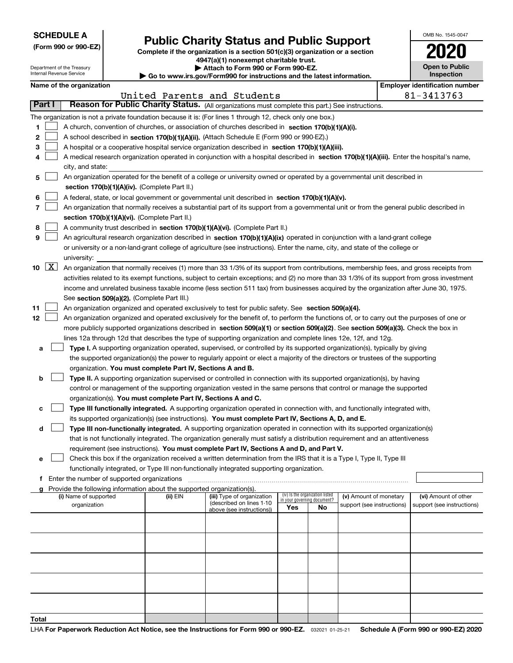|  |  | <b>SCHEDULE A</b> |  |
|--|--|-------------------|--|
|--|--|-------------------|--|

Department of the Treasury Internal Revenue Service

# **Public Charity Status and Public Support**

**Complete if the organization is a section 501(c)(3) organization or a section 4947(a)(1) nonexempt charitable trust.**

| Attach to Form 990 or Form 990-EZ. |  |
|------------------------------------|--|
|------------------------------------|--|

**| Go to www.irs.gov/Form990 for instructions and the latest information.**

| OMB No. 1545-0047                   |
|-------------------------------------|
| 020                                 |
| <b>Open to Public</b><br>Inspection |

ï

# **Name of the organization Employer identification number**

|                       |                                                                                                                                                                                                                                                                                                                                                                                                                                                                                                                                                                                     |                                                                                                                                                                                                                                                                                                                                                                                                                                                                                                                                                                                                                                                                                                                                                                                                                                                |          | United Parents and Students                                                         |                                                                       |    |                                                      |  | 81-3413763                                         |
|-----------------------|-------------------------------------------------------------------------------------------------------------------------------------------------------------------------------------------------------------------------------------------------------------------------------------------------------------------------------------------------------------------------------------------------------------------------------------------------------------------------------------------------------------------------------------------------------------------------------------|------------------------------------------------------------------------------------------------------------------------------------------------------------------------------------------------------------------------------------------------------------------------------------------------------------------------------------------------------------------------------------------------------------------------------------------------------------------------------------------------------------------------------------------------------------------------------------------------------------------------------------------------------------------------------------------------------------------------------------------------------------------------------------------------------------------------------------------------|----------|-------------------------------------------------------------------------------------|-----------------------------------------------------------------------|----|------------------------------------------------------|--|----------------------------------------------------|
|                       | Part I                                                                                                                                                                                                                                                                                                                                                                                                                                                                                                                                                                              | Reason for Public Charity Status. (All organizations must complete this part.) See instructions.                                                                                                                                                                                                                                                                                                                                                                                                                                                                                                                                                                                                                                                                                                                                               |          |                                                                                     |                                                                       |    |                                                      |  |                                                    |
| 1<br>2<br>3<br>4      | The organization is not a private foundation because it is: (For lines 1 through 12, check only one box.)<br>A church, convention of churches, or association of churches described in section 170(b)(1)(A)(i).<br>A school described in section 170(b)(1)(A)(ii). (Attach Schedule E (Form 990 or 990-EZ).)<br>A hospital or a cooperative hospital service organization described in section 170(b)(1)(A)(iii).<br>A medical research organization operated in conjunction with a hospital described in section 170(b)(1)(A)(iii). Enter the hospital's name,<br>city, and state: |                                                                                                                                                                                                                                                                                                                                                                                                                                                                                                                                                                                                                                                                                                                                                                                                                                                |          |                                                                                     |                                                                       |    |                                                      |  |                                                    |
| 5<br>6<br>7<br>8<br>9 |                                                                                                                                                                                                                                                                                                                                                                                                                                                                                                                                                                                     | An organization operated for the benefit of a college or university owned or operated by a governmental unit described in<br>section 170(b)(1)(A)(iv). (Complete Part II.)<br>A federal, state, or local government or governmental unit described in section 170(b)(1)(A)(v).<br>An organization that normally receives a substantial part of its support from a governmental unit or from the general public described in<br>section 170(b)(1)(A)(vi). (Complete Part II.)<br>A community trust described in section 170(b)(1)(A)(vi). (Complete Part II.)<br>An agricultural research organization described in section 170(b)(1)(A)(ix) operated in conjunction with a land-grant college<br>or university or a non-land-grant college of agriculture (see instructions). Enter the name, city, and state of the college or<br>university: |          |                                                                                     |                                                                       |    |                                                      |  |                                                    |
|                       | 10 $X$                                                                                                                                                                                                                                                                                                                                                                                                                                                                                                                                                                              | An organization that normally receives (1) more than 33 1/3% of its support from contributions, membership fees, and gross receipts from<br>activities related to its exempt functions, subject to certain exceptions; and (2) no more than 33 1/3% of its support from gross investment<br>income and unrelated business taxable income (less section 511 tax) from businesses acquired by the organization after June 30, 1975.<br>See section 509(a)(2). (Complete Part III.)                                                                                                                                                                                                                                                                                                                                                               |          |                                                                                     |                                                                       |    |                                                      |  |                                                    |
| 11<br>12<br>a         |                                                                                                                                                                                                                                                                                                                                                                                                                                                                                                                                                                                     | An organization organized and operated exclusively to test for public safety. See section 509(a)(4).<br>An organization organized and operated exclusively for the benefit of, to perform the functions of, or to carry out the purposes of one or<br>more publicly supported organizations described in section 509(a)(1) or section 509(a)(2). See section 509(a)(3). Check the box in<br>lines 12a through 12d that describes the type of supporting organization and complete lines 12e, 12f, and 12g.<br>Type I. A supporting organization operated, supervised, or controlled by its supported organization(s), typically by giving                                                                                                                                                                                                      |          |                                                                                     |                                                                       |    |                                                      |  |                                                    |
| b                     |                                                                                                                                                                                                                                                                                                                                                                                                                                                                                                                                                                                     | the supported organization(s) the power to regularly appoint or elect a majority of the directors or trustees of the supporting<br>organization. You must complete Part IV, Sections A and B.<br>Type II. A supporting organization supervised or controlled in connection with its supported organization(s), by having<br>control or management of the supporting organization vested in the same persons that control or manage the supported<br>organization(s). You must complete Part IV, Sections A and C.                                                                                                                                                                                                                                                                                                                              |          |                                                                                     |                                                                       |    |                                                      |  |                                                    |
| c                     |                                                                                                                                                                                                                                                                                                                                                                                                                                                                                                                                                                                     | Type III functionally integrated. A supporting organization operated in connection with, and functionally integrated with,<br>its supported organization(s) (see instructions). You must complete Part IV, Sections A, D, and E.                                                                                                                                                                                                                                                                                                                                                                                                                                                                                                                                                                                                               |          |                                                                                     |                                                                       |    |                                                      |  |                                                    |
|                       | Type III non-functionally integrated. A supporting organization operated in connection with its supported organization(s)<br>d<br>that is not functionally integrated. The organization generally must satisfy a distribution requirement and an attentiveness<br>requirement (see instructions). You must complete Part IV, Sections A and D, and Part V.<br>Check this box if the organization received a written determination from the IRS that it is a Type I, Type II, Type III<br>е                                                                                          |                                                                                                                                                                                                                                                                                                                                                                                                                                                                                                                                                                                                                                                                                                                                                                                                                                                |          |                                                                                     |                                                                       |    |                                                      |  |                                                    |
| f                     |                                                                                                                                                                                                                                                                                                                                                                                                                                                                                                                                                                                     | functionally integrated, or Type III non-functionally integrated supporting organization.<br>Enter the number of supported organizations                                                                                                                                                                                                                                                                                                                                                                                                                                                                                                                                                                                                                                                                                                       |          |                                                                                     |                                                                       |    |                                                      |  |                                                    |
| a                     |                                                                                                                                                                                                                                                                                                                                                                                                                                                                                                                                                                                     | Provide the following information about the supported organization(s).                                                                                                                                                                                                                                                                                                                                                                                                                                                                                                                                                                                                                                                                                                                                                                         |          |                                                                                     |                                                                       |    |                                                      |  |                                                    |
|                       |                                                                                                                                                                                                                                                                                                                                                                                                                                                                                                                                                                                     | (i) Name of supported<br>organization                                                                                                                                                                                                                                                                                                                                                                                                                                                                                                                                                                                                                                                                                                                                                                                                          | (ii) EIN | (iii) Type of organization<br>(described on lines 1-10<br>above (see instructions)) | (iv) Is the organization listed<br>in your governing document?<br>Yes | No | (v) Amount of monetary<br>support (see instructions) |  | (vi) Amount of other<br>support (see instructions) |
|                       |                                                                                                                                                                                                                                                                                                                                                                                                                                                                                                                                                                                     |                                                                                                                                                                                                                                                                                                                                                                                                                                                                                                                                                                                                                                                                                                                                                                                                                                                |          |                                                                                     |                                                                       |    |                                                      |  |                                                    |
|                       |                                                                                                                                                                                                                                                                                                                                                                                                                                                                                                                                                                                     |                                                                                                                                                                                                                                                                                                                                                                                                                                                                                                                                                                                                                                                                                                                                                                                                                                                |          |                                                                                     |                                                                       |    |                                                      |  |                                                    |
|                       |                                                                                                                                                                                                                                                                                                                                                                                                                                                                                                                                                                                     |                                                                                                                                                                                                                                                                                                                                                                                                                                                                                                                                                                                                                                                                                                                                                                                                                                                |          |                                                                                     |                                                                       |    |                                                      |  |                                                    |
|                       |                                                                                                                                                                                                                                                                                                                                                                                                                                                                                                                                                                                     |                                                                                                                                                                                                                                                                                                                                                                                                                                                                                                                                                                                                                                                                                                                                                                                                                                                |          |                                                                                     |                                                                       |    |                                                      |  |                                                    |
|                       |                                                                                                                                                                                                                                                                                                                                                                                                                                                                                                                                                                                     |                                                                                                                                                                                                                                                                                                                                                                                                                                                                                                                                                                                                                                                                                                                                                                                                                                                |          |                                                                                     |                                                                       |    |                                                      |  |                                                    |
| Total                 |                                                                                                                                                                                                                                                                                                                                                                                                                                                                                                                                                                                     |                                                                                                                                                                                                                                                                                                                                                                                                                                                                                                                                                                                                                                                                                                                                                                                                                                                |          |                                                                                     |                                                                       |    |                                                      |  |                                                    |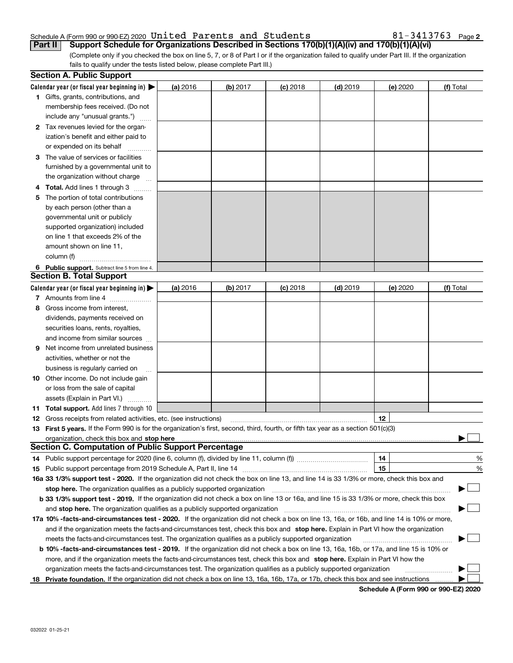## Schedule A (Form 990 or 990-EZ) 2020 Page United Parents and Students 81-3413763

**2**

(Complete only if you checked the box on line 5, 7, or 8 of Part I or if the organization failed to qualify under Part III. If the organization fails to qualify under the tests listed below, please complete Part III.) **Part II Support Schedule for Organizations Described in Sections 170(b)(1)(A)(iv) and 170(b)(1)(A)(vi)**

|    | <b>Section A. Public Support</b>                                                                                                               |          |            |            |            |          |           |
|----|------------------------------------------------------------------------------------------------------------------------------------------------|----------|------------|------------|------------|----------|-----------|
|    | Calendar year (or fiscal year beginning in) $\blacktriangleright$                                                                              | (a) 2016 | $(b)$ 2017 | $(c)$ 2018 | $(d)$ 2019 | (e) 2020 | (f) Total |
|    | <b>1</b> Gifts, grants, contributions, and                                                                                                     |          |            |            |            |          |           |
|    | membership fees received. (Do not                                                                                                              |          |            |            |            |          |           |
|    | include any "unusual grants.")                                                                                                                 |          |            |            |            |          |           |
|    | 2 Tax revenues levied for the organ-                                                                                                           |          |            |            |            |          |           |
|    | ization's benefit and either paid to                                                                                                           |          |            |            |            |          |           |
|    | or expended on its behalf                                                                                                                      |          |            |            |            |          |           |
|    | 3 The value of services or facilities                                                                                                          |          |            |            |            |          |           |
|    | furnished by a governmental unit to                                                                                                            |          |            |            |            |          |           |
|    | the organization without charge                                                                                                                |          |            |            |            |          |           |
|    | 4 Total. Add lines 1 through 3                                                                                                                 |          |            |            |            |          |           |
| 5. | The portion of total contributions                                                                                                             |          |            |            |            |          |           |
|    | by each person (other than a                                                                                                                   |          |            |            |            |          |           |
|    | governmental unit or publicly                                                                                                                  |          |            |            |            |          |           |
|    | supported organization) included                                                                                                               |          |            |            |            |          |           |
|    | on line 1 that exceeds 2% of the                                                                                                               |          |            |            |            |          |           |
|    | amount shown on line 11,                                                                                                                       |          |            |            |            |          |           |
|    | column (f)                                                                                                                                     |          |            |            |            |          |           |
|    | 6 Public support. Subtract line 5 from line 4.                                                                                                 |          |            |            |            |          |           |
|    | <b>Section B. Total Support</b>                                                                                                                |          |            |            |            |          |           |
|    | Calendar year (or fiscal year beginning in) $\blacktriangleright$                                                                              | (a) 2016 | (b) 2017   | $(c)$ 2018 | $(d)$ 2019 | (e) 2020 | (f) Total |
|    | 7 Amounts from line 4                                                                                                                          |          |            |            |            |          |           |
|    | 8 Gross income from interest,                                                                                                                  |          |            |            |            |          |           |
|    | dividends, payments received on                                                                                                                |          |            |            |            |          |           |
|    | securities loans, rents, royalties,                                                                                                            |          |            |            |            |          |           |
|    | and income from similar sources                                                                                                                |          |            |            |            |          |           |
| 9. | Net income from unrelated business                                                                                                             |          |            |            |            |          |           |
|    | activities, whether or not the                                                                                                                 |          |            |            |            |          |           |
|    | business is regularly carried on                                                                                                               |          |            |            |            |          |           |
|    | <b>10</b> Other income. Do not include gain                                                                                                    |          |            |            |            |          |           |
|    | or loss from the sale of capital                                                                                                               |          |            |            |            |          |           |
|    | assets (Explain in Part VI.)                                                                                                                   |          |            |            |            |          |           |
|    | 11 Total support. Add lines 7 through 10                                                                                                       |          |            |            |            |          |           |
|    | <b>12</b> Gross receipts from related activities, etc. (see instructions)                                                                      |          |            |            |            | 12       |           |
|    | 13 First 5 years. If the Form 990 is for the organization's first, second, third, fourth, or fifth tax year as a section 501(c)(3)             |          |            |            |            |          |           |
|    |                                                                                                                                                |          |            |            |            |          |           |
|    | <b>Section C. Computation of Public Support Percentage</b>                                                                                     |          |            |            |            |          |           |
|    | 14 Public support percentage for 2020 (line 6, column (f), divided by line 11, column (f) <i>marrourcommum</i>                                 |          |            |            |            | 14       | %         |
|    |                                                                                                                                                |          |            |            |            | 15       | %         |
|    | 16a 33 1/3% support test - 2020. If the organization did not check the box on line 13, and line 14 is 33 1/3% or more, check this box and      |          |            |            |            |          |           |
|    | stop here. The organization qualifies as a publicly supported organization                                                                     |          |            |            |            |          | ▔▁▏       |
|    | b 33 1/3% support test - 2019. If the organization did not check a box on line 13 or 16a, and line 15 is 33 1/3% or more, check this box       |          |            |            |            |          |           |
|    | and stop here. The organization qualifies as a publicly supported organization                                                                 |          |            |            |            |          |           |
|    | 17a 10% -facts-and-circumstances test - 2020. If the organization did not check a box on line 13, 16a, or 16b, and line 14 is 10% or more,     |          |            |            |            |          |           |
|    | and if the organization meets the facts-and-circumstances test, check this box and stop here. Explain in Part VI how the organization          |          |            |            |            |          |           |
|    | meets the facts-and-circumstances test. The organization qualifies as a publicly supported organization                                        |          |            |            |            |          |           |
|    | <b>b 10% -facts-and-circumstances test - 2019.</b> If the organization did not check a box on line 13, 16a, 16b, or 17a, and line 15 is 10% or |          |            |            |            |          |           |
|    | more, and if the organization meets the facts-and-circumstances test, check this box and stop here. Explain in Part VI how the                 |          |            |            |            |          |           |
|    | organization meets the facts-and-circumstances test. The organization qualifies as a publicly supported organization                           |          |            |            |            |          |           |
|    | 18 Private foundation. If the organization did not check a box on line 13, 16a, 16b, 17a, or 17b, check this box and see instructions          |          |            |            |            |          |           |
|    |                                                                                                                                                |          |            |            |            |          |           |

**Schedule A (Form 990 or 990-EZ) 2020**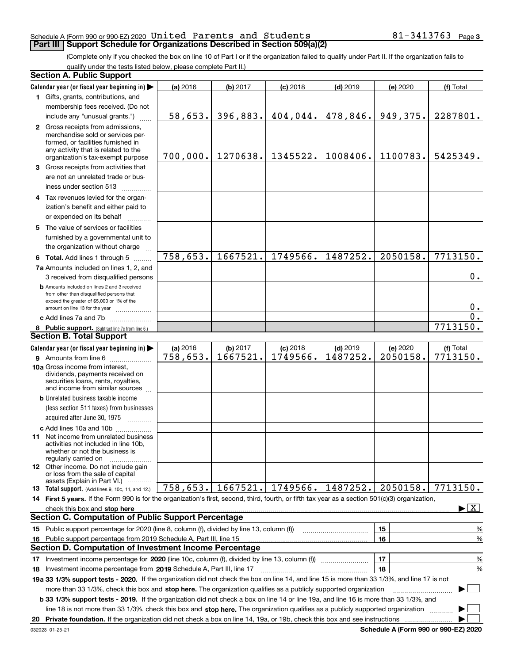## Schedule A (Form 990 or 990-EZ) 2020 Page United Parents and Students 81-3413763 **Part III Support Schedule for Organizations Described in Section 509(a)(2)**

(Complete only if you checked the box on line 10 of Part I or if the organization failed to qualify under Part II. If the organization fails to qualify under the tests listed below, please complete Part II.)

|     | <b>Section A. Public Support</b>                                                                                                                                                                                                                          |          |                   |            |            |          |                                 |
|-----|-----------------------------------------------------------------------------------------------------------------------------------------------------------------------------------------------------------------------------------------------------------|----------|-------------------|------------|------------|----------|---------------------------------|
|     | Calendar year (or fiscal year beginning in)                                                                                                                                                                                                               | (a) 2016 | (b) 2017          | $(c)$ 2018 | $(d)$ 2019 | (e) 2020 | (f) Total                       |
|     | 1 Gifts, grants, contributions, and                                                                                                                                                                                                                       |          |                   |            |            |          |                                 |
|     | membership fees received. (Do not                                                                                                                                                                                                                         |          |                   |            |            |          |                                 |
|     | include any "unusual grants.")                                                                                                                                                                                                                            | 58,653.  | 396,883.          | 404,044.   | 478,846.   | 949,375. | 2287801.                        |
|     | 2 Gross receipts from admissions,<br>merchandise sold or services per-<br>formed, or facilities furnished in<br>any activity that is related to the<br>organization's tax-exempt purpose                                                                  | 700,000. | 1270638.          | 1345522.   | 1008406.   | 1100783. | 5425349.                        |
|     | 3 Gross receipts from activities that                                                                                                                                                                                                                     |          |                   |            |            |          |                                 |
|     | are not an unrelated trade or bus-<br>iness under section 513                                                                                                                                                                                             |          |                   |            |            |          |                                 |
|     | 4 Tax revenues levied for the organ-                                                                                                                                                                                                                      |          |                   |            |            |          |                                 |
|     | ization's benefit and either paid to                                                                                                                                                                                                                      |          |                   |            |            |          |                                 |
|     | or expended on its behalf<br>.                                                                                                                                                                                                                            |          |                   |            |            |          |                                 |
|     | 5 The value of services or facilities<br>furnished by a governmental unit to<br>the organization without charge                                                                                                                                           |          |                   |            |            |          |                                 |
|     | 6 Total. Add lines 1 through 5                                                                                                                                                                                                                            | 758,653. | 1667521.          | 1749566.   | 1487252.   | 2050158. | 7713150.                        |
|     | 7a Amounts included on lines 1, 2, and<br>3 received from disqualified persons                                                                                                                                                                            |          |                   |            |            |          | 0.                              |
|     | <b>b</b> Amounts included on lines 2 and 3 received<br>from other than disqualified persons that<br>exceed the greater of \$5,000 or 1% of the                                                                                                            |          |                   |            |            |          | $0$ .                           |
|     | amount on line 13 for the year<br>c Add lines 7a and 7b                                                                                                                                                                                                   |          |                   |            |            |          | $\overline{0}$ .                |
|     |                                                                                                                                                                                                                                                           |          |                   |            |            |          | 7713150.                        |
|     | 8 Public support. (Subtract line 7c from line 6.)<br><b>Section B. Total Support</b>                                                                                                                                                                      |          |                   |            |            |          |                                 |
|     | Calendar year (or fiscal year beginning in)                                                                                                                                                                                                               | (a) 2016 | (b) 2017          | $(c)$ 2018 | $(d)$ 2019 | (e) 2020 | (f) Total                       |
|     | 9 Amounts from line 6                                                                                                                                                                                                                                     | 758,653. | 1667521.          | 1749566.   | 1487252.   | 2050158. | 7713150.                        |
|     | 10a Gross income from interest,<br>dividends, payments received on<br>securities loans, rents, royalties,<br>and income from similar sources                                                                                                              |          |                   |            |            |          |                                 |
|     | <b>b</b> Unrelated business taxable income                                                                                                                                                                                                                |          |                   |            |            |          |                                 |
|     | (less section 511 taxes) from businesses<br>acquired after June 30, 1975                                                                                                                                                                                  |          |                   |            |            |          |                                 |
|     | c Add lines 10a and 10b                                                                                                                                                                                                                                   |          |                   |            |            |          |                                 |
|     | <b>11</b> Net income from unrelated business<br>activities not included in line 10b,<br>whether or not the business is<br>regularly carried on                                                                                                            |          |                   |            |            |          |                                 |
|     | <b>12</b> Other income. Do not include gain<br>or loss from the sale of capital<br>assets (Explain in Part VI.)                                                                                                                                           |          |                   |            |            |          |                                 |
|     | <b>13</b> Total support. (Add lines 9, 10c, 11, and 12.)                                                                                                                                                                                                  |          | 758,653. 1667521. | 1749566.   | 1487252.   | 2050158. | 7713150.                        |
|     | 14 First 5 years. If the Form 990 is for the organization's first, second, third, fourth, or fifth tax year as a section 501(c)(3) organization,                                                                                                          |          |                   |            |            |          |                                 |
|     | check this box and stop here with the continuum control to the state of the state of the state of the state of                                                                                                                                            |          |                   |            |            |          | $\blacktriangleright$ $\vert$ X |
|     | <b>Section C. Computation of Public Support Percentage</b>                                                                                                                                                                                                |          |                   |            |            |          |                                 |
|     | 15 Public support percentage for 2020 (line 8, column (f), divided by line 13, column (f))                                                                                                                                                                |          |                   |            |            | 15       | %                               |
| 16. | Public support percentage from 2019 Schedule A, Part III, line 15                                                                                                                                                                                         |          |                   |            |            | 16       | %                               |
|     | Section D. Computation of Investment Income Percentage                                                                                                                                                                                                    |          |                   |            |            |          |                                 |
| 17  | Investment income percentage for 2020 (line 10c, column (f), divided by line 13, column (f))                                                                                                                                                              |          |                   |            |            | 17       | %                               |
|     | <b>18</b> Investment income percentage from <b>2019</b> Schedule A, Part III, line 17                                                                                                                                                                     |          |                   |            |            | 18       | %                               |
|     | 19a 33 1/3% support tests - 2020. If the organization did not check the box on line 14, and line 15 is more than 33 1/3%, and line 17 is not                                                                                                              |          |                   |            |            |          |                                 |
|     | more than 33 1/3%, check this box and stop here. The organization qualifies as a publicly supported organization<br>b 33 1/3% support tests - 2019. If the organization did not check a box on line 14 or line 19a, and line 16 is more than 33 1/3%, and |          |                   |            |            |          |                                 |
|     | line 18 is not more than 33 1/3%, check this box and stop here. The organization qualifies as a publicly supported organization                                                                                                                           |          |                   |            |            |          |                                 |
|     |                                                                                                                                                                                                                                                           |          |                   |            |            |          |                                 |

**Schedule A (Form 990 or 990-EZ) 2020**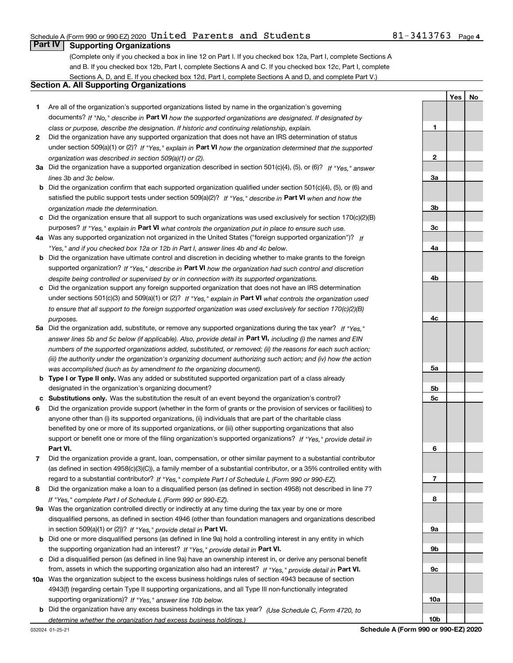# Schedule A (Form 990 or 990-EZ) 2020 Page United Parents and Students 81-3413763

# **Part IV Supporting Organizations**

(Complete only if you checked a box in line 12 on Part I. If you checked box 12a, Part I, complete Sections A and B. If you checked box 12b, Part I, complete Sections A and C. If you checked box 12c, Part I, complete Sections A, D, and E. If you checked box 12d, Part I, complete Sections A and D, and complete Part V.)

# **Section A. All Supporting Organizations**

- **1** Are all of the organization's supported organizations listed by name in the organization's governing documents? If "No," describe in **Part VI** how the supported organizations are designated. If designated by *class or purpose, describe the designation. If historic and continuing relationship, explain.*
- **2** Did the organization have any supported organization that does not have an IRS determination of status under section 509(a)(1) or (2)? If "Yes," explain in Part VI how the organization determined that the supported *organization was described in section 509(a)(1) or (2).*
- **3a** Did the organization have a supported organization described in section 501(c)(4), (5), or (6)? If "Yes," answer *lines 3b and 3c below.*
- **b** Did the organization confirm that each supported organization qualified under section 501(c)(4), (5), or (6) and satisfied the public support tests under section 509(a)(2)? If "Yes," describe in **Part VI** when and how the *organization made the determination.*
- **c**Did the organization ensure that all support to such organizations was used exclusively for section 170(c)(2)(B) purposes? If "Yes," explain in **Part VI** what controls the organization put in place to ensure such use.
- **4a***If* Was any supported organization not organized in the United States ("foreign supported organization")? *"Yes," and if you checked box 12a or 12b in Part I, answer lines 4b and 4c below.*
- **b** Did the organization have ultimate control and discretion in deciding whether to make grants to the foreign supported organization? If "Yes," describe in **Part VI** how the organization had such control and discretion *despite being controlled or supervised by or in connection with its supported organizations.*
- **c** Did the organization support any foreign supported organization that does not have an IRS determination under sections 501(c)(3) and 509(a)(1) or (2)? If "Yes," explain in **Part VI** what controls the organization used *to ensure that all support to the foreign supported organization was used exclusively for section 170(c)(2)(B) purposes.*
- **5a***If "Yes,"* Did the organization add, substitute, or remove any supported organizations during the tax year? answer lines 5b and 5c below (if applicable). Also, provide detail in **Part VI,** including (i) the names and EIN *numbers of the supported organizations added, substituted, or removed; (ii) the reasons for each such action; (iii) the authority under the organization's organizing document authorizing such action; and (iv) how the action was accomplished (such as by amendment to the organizing document).*
- **b** Type I or Type II only. Was any added or substituted supported organization part of a class already designated in the organization's organizing document?
- **cSubstitutions only.**  Was the substitution the result of an event beyond the organization's control?
- **6** Did the organization provide support (whether in the form of grants or the provision of services or facilities) to **Part VI.** *If "Yes," provide detail in* support or benefit one or more of the filing organization's supported organizations? anyone other than (i) its supported organizations, (ii) individuals that are part of the charitable class benefited by one or more of its supported organizations, or (iii) other supporting organizations that also
- **7**Did the organization provide a grant, loan, compensation, or other similar payment to a substantial contributor *If "Yes," complete Part I of Schedule L (Form 990 or 990-EZ).* regard to a substantial contributor? (as defined in section 4958(c)(3)(C)), a family member of a substantial contributor, or a 35% controlled entity with
- **8** Did the organization make a loan to a disqualified person (as defined in section 4958) not described in line 7? *If "Yes," complete Part I of Schedule L (Form 990 or 990-EZ).*
- **9a** Was the organization controlled directly or indirectly at any time during the tax year by one or more in section 509(a)(1) or (2))? If "Yes," *provide detail in* <code>Part VI.</code> disqualified persons, as defined in section 4946 (other than foundation managers and organizations described
- **b** Did one or more disqualified persons (as defined in line 9a) hold a controlling interest in any entity in which the supporting organization had an interest? If "Yes," provide detail in P**art VI**.
- **c**Did a disqualified person (as defined in line 9a) have an ownership interest in, or derive any personal benefit from, assets in which the supporting organization also had an interest? If "Yes," provide detail in P**art VI.**
- **10a** Was the organization subject to the excess business holdings rules of section 4943 because of section supporting organizations)? If "Yes," answer line 10b below. 4943(f) (regarding certain Type II supporting organizations, and all Type III non-functionally integrated
- **b** Did the organization have any excess business holdings in the tax year? (Use Schedule C, Form 4720, to *determine whether the organization had excess business holdings.)*

032024 01-25-21

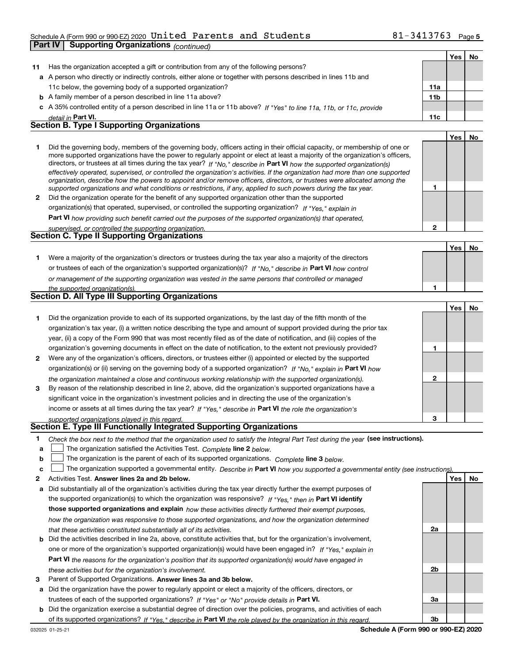# Schedule A (Form 990 or 990-EZ) 2020 Page United Parents and Students 81-3413763

|              | Part IV                        | <b>Supporting Organizations (continued)</b>                                                                                                                                                                                                               |                 |            |    |
|--------------|--------------------------------|-----------------------------------------------------------------------------------------------------------------------------------------------------------------------------------------------------------------------------------------------------------|-----------------|------------|----|
|              |                                |                                                                                                                                                                                                                                                           |                 | Yes        | No |
| 11           |                                | Has the organization accepted a gift or contribution from any of the following persons?                                                                                                                                                                   |                 |            |    |
|              |                                | a A person who directly or indirectly controls, either alone or together with persons described in lines 11b and                                                                                                                                          |                 |            |    |
|              |                                | 11c below, the governing body of a supported organization?                                                                                                                                                                                                | 11a             |            |    |
|              |                                | <b>b</b> A family member of a person described in line 11a above?                                                                                                                                                                                         | 11 <sub>b</sub> |            |    |
|              |                                | c A 35% controlled entity of a person described in line 11a or 11b above? If "Yes" to line 11a, 11b, or 11c, provide                                                                                                                                      |                 |            |    |
|              | detail in Part VI.             |                                                                                                                                                                                                                                                           | 11c             |            |    |
|              |                                | <b>Section B. Type I Supporting Organizations</b>                                                                                                                                                                                                         |                 |            |    |
|              |                                |                                                                                                                                                                                                                                                           |                 | Yes        | No |
| 1.           |                                | Did the governing body, members of the governing body, officers acting in their official capacity, or membership of one or                                                                                                                                |                 |            |    |
|              |                                | more supported organizations have the power to regularly appoint or elect at least a majority of the organization's officers,                                                                                                                             |                 |            |    |
|              |                                | directors, or trustees at all times during the tax year? If "No," describe in Part VI how the supported organization(s)<br>effectively operated, supervised, or controlled the organization's activities. If the organization had more than one supported |                 |            |    |
|              |                                | organization, describe how the powers to appoint and/or remove officers, directors, or trustees were allocated among the                                                                                                                                  |                 |            |    |
|              |                                | supported organizations and what conditions or restrictions, if any, applied to such powers during the tax year.                                                                                                                                          | 1               |            |    |
| $\mathbf{2}$ |                                | Did the organization operate for the benefit of any supported organization other than the supported                                                                                                                                                       |                 |            |    |
|              |                                | organization(s) that operated, supervised, or controlled the supporting organization? If "Yes," explain in                                                                                                                                                |                 |            |    |
|              |                                | Part VI how providing such benefit carried out the purposes of the supported organization(s) that operated,                                                                                                                                               |                 |            |    |
|              |                                | supervised, or controlled the supporting organization.                                                                                                                                                                                                    | $\mathbf{2}$    |            |    |
|              |                                | Section C. Type II Supporting Organizations                                                                                                                                                                                                               |                 |            |    |
|              |                                |                                                                                                                                                                                                                                                           |                 | <b>Yes</b> | No |
| 1.           |                                | Were a majority of the organization's directors or trustees during the tax year also a majority of the directors                                                                                                                                          |                 |            |    |
|              |                                | or trustees of each of the organization's supported organization(s)? If "No," describe in Part VI how control                                                                                                                                             |                 |            |    |
|              |                                | or management of the supporting organization was vested in the same persons that controlled or managed                                                                                                                                                    |                 |            |    |
|              | the supported organization(s). |                                                                                                                                                                                                                                                           | 1               |            |    |
|              |                                | <b>Section D. All Type III Supporting Organizations</b>                                                                                                                                                                                                   |                 |            |    |
|              |                                |                                                                                                                                                                                                                                                           |                 | Yes        | No |
| 1.           |                                | Did the organization provide to each of its supported organizations, by the last day of the fifth month of the                                                                                                                                            |                 |            |    |
|              |                                | organization's tax year, (i) a written notice describing the type and amount of support provided during the prior tax                                                                                                                                     |                 |            |    |
|              |                                | year, (ii) a copy of the Form 990 that was most recently filed as of the date of notification, and (iii) copies of the                                                                                                                                    |                 |            |    |
|              |                                | organization's governing documents in effect on the date of notification, to the extent not previously provided?                                                                                                                                          | 1               |            |    |
| $\mathbf{2}$ |                                | Were any of the organization's officers, directors, or trustees either (i) appointed or elected by the supported                                                                                                                                          |                 |            |    |
|              |                                | organization(s) or (ii) serving on the governing body of a supported organization? If "No," explain in Part VI how                                                                                                                                        |                 |            |    |
|              |                                | the organization maintained a close and continuous working relationship with the supported organization(s).                                                                                                                                               | $\mathbf{2}$    |            |    |
| 3            |                                | By reason of the relationship described in line 2, above, did the organization's supported organizations have a                                                                                                                                           |                 |            |    |
|              |                                | significant voice in the organization's investment policies and in directing the use of the organization's                                                                                                                                                |                 |            |    |
|              |                                | income or assets at all times during the tax year? If "Yes," describe in Part VI the role the organization's                                                                                                                                              |                 |            |    |
|              |                                | supported organizations played in this regard.<br>Section E. Type III Functionally Integrated Supporting Organizations                                                                                                                                    | з               |            |    |
|              |                                |                                                                                                                                                                                                                                                           |                 |            |    |
| 1.           |                                | Check the box next to the method that the organization used to satisfy the Integral Part Test during the year (see instructions).                                                                                                                         |                 |            |    |
| а            |                                | The organization satisfied the Activities Test. Complete line 2 below.                                                                                                                                                                                    |                 |            |    |
| b            |                                | The organization is the parent of each of its supported organizations. Complete line 3 below.                                                                                                                                                             |                 |            |    |
| c            |                                | The organization supported a governmental entity. Describe in Part VI how you supported a governmental entity (see instructions)                                                                                                                          |                 |            |    |
| 2            |                                | Activities Test. Answer lines 2a and 2b below.                                                                                                                                                                                                            |                 | Yes        | No |
| а            |                                | Did substantially all of the organization's activities during the tax year directly further the exempt purposes of                                                                                                                                        |                 |            |    |
|              |                                | the supported organization(s) to which the organization was responsive? If "Yes." then in Part VI identify                                                                                                                                                |                 |            |    |

**those supported organizations and explain**  *how these activities directly furthered their exempt purposes, how the organization was responsive to those supported organizations, and how the organization determined that these activities constituted substantially all of its activities.*

| <b>b</b> Did the activities described in line 2a, above, constitute activities that, but for the organization's involvement, |
|------------------------------------------------------------------------------------------------------------------------------|
| one or more of the organization's supported organization(s) would have been engaged in? If "Yes." explain in                 |
| <b>Part VI</b> the reasons for the organization's position that its supported organization(s) would have engaged in          |
| these activities but for the organization's involvement.                                                                     |

**3** Parent of Supported Organizations. Answer lines 3a and 3b below.

**a** Did the organization have the power to regularly appoint or elect a majority of the officers, directors, or trustees of each of the supported organizations? If "Yes" or "No" provide details in **Part VI.** 

**b** Did the organization exercise a substantial degree of direction over the policies, programs, and activities of each of its supported organizations? If "Yes," describe in Part VI the role played by the organization in this regard.

**2a**

**2b**

**3a**

**3b**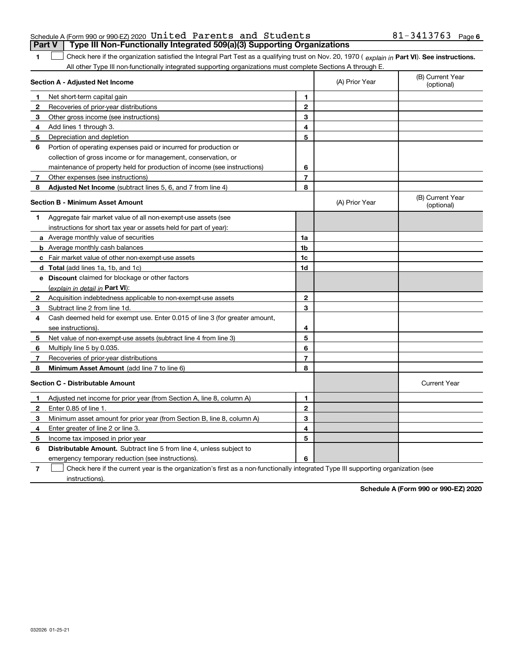**1**

## Schedule A (Form 990 or 990-EZ) 2020 Page United Parents and Students 81-3413763**Part V Type III Non-Functionally Integrated 509(a)(3) Supporting Organizations**

1 Check here if the organization satisfied the Integral Part Test as a qualifying trust on Nov. 20, 1970 (explain in Part VI). See instructions. All other Type III non-functionally integrated supporting organizations must complete Sections A through E.

|              | Section A - Adjusted Net Income                                             | (A) Prior Year | (B) Current Year<br>(optional) |                                |
|--------------|-----------------------------------------------------------------------------|----------------|--------------------------------|--------------------------------|
| 1            | Net short-term capital gain                                                 | 1              |                                |                                |
| 2            | Recoveries of prior-year distributions                                      | $\overline{2}$ |                                |                                |
| 3            | Other gross income (see instructions)                                       | 3              |                                |                                |
| 4            | Add lines 1 through 3.                                                      | 4              |                                |                                |
| 5            | Depreciation and depletion                                                  | 5              |                                |                                |
| 6            | Portion of operating expenses paid or incurred for production or            |                |                                |                                |
|              | collection of gross income or for management, conservation, or              |                |                                |                                |
|              | maintenance of property held for production of income (see instructions)    | 6              |                                |                                |
| 7            | Other expenses (see instructions)                                           | $\overline{7}$ |                                |                                |
| 8            | Adjusted Net Income (subtract lines 5, 6, and 7 from line 4)                | 8              |                                |                                |
|              | <b>Section B - Minimum Asset Amount</b>                                     |                | (A) Prior Year                 | (B) Current Year<br>(optional) |
| 1            | Aggregate fair market value of all non-exempt-use assets (see               |                |                                |                                |
|              | instructions for short tax year or assets held for part of year):           |                |                                |                                |
|              | a Average monthly value of securities                                       | 1a             |                                |                                |
|              | <b>b</b> Average monthly cash balances                                      | 1b             |                                |                                |
|              | c Fair market value of other non-exempt-use assets                          | 1c             |                                |                                |
|              | d Total (add lines 1a, 1b, and 1c)                                          | 1d             |                                |                                |
|              | <b>e</b> Discount claimed for blockage or other factors                     |                |                                |                                |
|              | (explain in detail in <b>Part VI</b> ):                                     |                |                                |                                |
| $\mathbf{2}$ | Acquisition indebtedness applicable to non-exempt-use assets                | $\mathbf{2}$   |                                |                                |
| 3            | Subtract line 2 from line 1d.                                               | 3              |                                |                                |
| 4            | Cash deemed held for exempt use. Enter 0.015 of line 3 (for greater amount, |                |                                |                                |
|              | see instructions).                                                          | 4              |                                |                                |
| 5            | Net value of non-exempt-use assets (subtract line 4 from line 3)            | 5              |                                |                                |
| 6            | Multiply line 5 by 0.035.                                                   | 6              |                                |                                |
| 7            | Recoveries of prior-year distributions                                      | $\overline{7}$ |                                |                                |
| 8            | Minimum Asset Amount (add line 7 to line 6)                                 | 8              |                                |                                |
|              | <b>Section C - Distributable Amount</b>                                     |                |                                | <b>Current Year</b>            |
| $\mathbf{1}$ | Adjusted net income for prior year (from Section A, line 8, column A)       | 1              |                                |                                |
| $\mathbf{2}$ | Enter 0.85 of line 1.                                                       | $\mathbf{2}$   |                                |                                |
| 3            | Minimum asset amount for prior year (from Section B, line 8, column A)      | 3              |                                |                                |
| 4            | Enter greater of line 2 or line 3.                                          | 4              |                                |                                |
| 5            | Income tax imposed in prior year                                            | 5              |                                |                                |
| 6            | <b>Distributable Amount.</b> Subtract line 5 from line 4, unless subject to |                |                                |                                |
|              | emergency temporary reduction (see instructions).                           | 6              |                                |                                |
|              |                                                                             |                |                                |                                |

**7**Check here if the current year is the organization's first as a non-functionally integrated Type III supporting organization (see instructions).

**Schedule A (Form 990 or 990-EZ) 2020**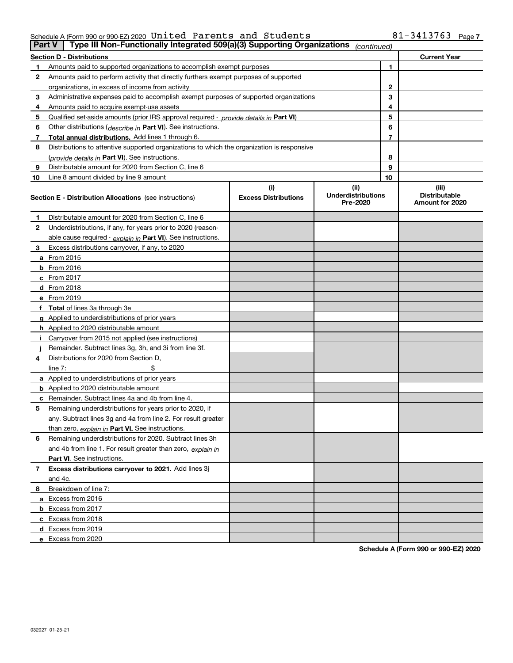# Schedule A (Form 990 or 990-EZ) 2020 Page United Parents and Students 81-3413763

|    | Type III Non-Functionally Integrated 509(a)(3) Supporting Organizations<br><b>Part V</b><br>(continued) |                             |                                       |    |                                         |  |
|----|---------------------------------------------------------------------------------------------------------|-----------------------------|---------------------------------------|----|-----------------------------------------|--|
|    | <b>Section D - Distributions</b>                                                                        |                             |                                       |    | <b>Current Year</b>                     |  |
| 1  | Amounts paid to supported organizations to accomplish exempt purposes                                   | 1                           |                                       |    |                                         |  |
| 2  | Amounts paid to perform activity that directly furthers exempt purposes of supported                    |                             |                                       |    |                                         |  |
|    | organizations, in excess of income from activity                                                        |                             | $\mathbf{2}$                          |    |                                         |  |
| 3  | Administrative expenses paid to accomplish exempt purposes of supported organizations                   |                             |                                       | 3  |                                         |  |
| 4  | Amounts paid to acquire exempt-use assets                                                               |                             |                                       | 4  |                                         |  |
| 5  | Qualified set-aside amounts (prior IRS approval required - provide details in Part VI)                  |                             |                                       | 5  |                                         |  |
| 6  | Other distributions ( <i>describe in</i> Part VI). See instructions.                                    |                             |                                       | 6  |                                         |  |
| 7  | Total annual distributions. Add lines 1 through 6.                                                      |                             |                                       | 7  |                                         |  |
| 8  | Distributions to attentive supported organizations to which the organization is responsive              |                             |                                       |    |                                         |  |
|    | (provide details in Part VI). See instructions.                                                         |                             |                                       | 8  |                                         |  |
| 9  | Distributable amount for 2020 from Section C, line 6                                                    |                             |                                       | 9  |                                         |  |
| 10 | Line 8 amount divided by line 9 amount                                                                  |                             |                                       | 10 |                                         |  |
|    |                                                                                                         | (i)                         | (ii)                                  |    | (iii)                                   |  |
|    | Section E - Distribution Allocations (see instructions)                                                 | <b>Excess Distributions</b> | <b>Underdistributions</b><br>Pre-2020 |    | <b>Distributable</b><br>Amount for 2020 |  |
| 1  | Distributable amount for 2020 from Section C, line 6                                                    |                             |                                       |    |                                         |  |
| 2  | Underdistributions, if any, for years prior to 2020 (reason-                                            |                             |                                       |    |                                         |  |
|    | able cause required - explain in Part VI). See instructions.                                            |                             |                                       |    |                                         |  |
| 3  | Excess distributions carryover, if any, to 2020                                                         |                             |                                       |    |                                         |  |
|    | <b>a</b> From 2015                                                                                      |                             |                                       |    |                                         |  |
|    | <b>b</b> From 2016                                                                                      |                             |                                       |    |                                         |  |
|    | c From 2017                                                                                             |                             |                                       |    |                                         |  |
|    | <b>d</b> From 2018                                                                                      |                             |                                       |    |                                         |  |
|    | e From 2019                                                                                             |                             |                                       |    |                                         |  |
|    | f Total of lines 3a through 3e                                                                          |                             |                                       |    |                                         |  |
|    | g Applied to underdistributions of prior years                                                          |                             |                                       |    |                                         |  |
|    | <b>h</b> Applied to 2020 distributable amount                                                           |                             |                                       |    |                                         |  |
|    | Carryover from 2015 not applied (see instructions)                                                      |                             |                                       |    |                                         |  |
|    | Remainder. Subtract lines 3g, 3h, and 3i from line 3f.                                                  |                             |                                       |    |                                         |  |
| 4  | Distributions for 2020 from Section D,                                                                  |                             |                                       |    |                                         |  |
|    | line $7:$                                                                                               |                             |                                       |    |                                         |  |
|    | a Applied to underdistributions of prior years                                                          |                             |                                       |    |                                         |  |
|    | <b>b</b> Applied to 2020 distributable amount                                                           |                             |                                       |    |                                         |  |
|    | c Remainder. Subtract lines 4a and 4b from line 4.                                                      |                             |                                       |    |                                         |  |
| 5  | Remaining underdistributions for years prior to 2020, if                                                |                             |                                       |    |                                         |  |
|    | any. Subtract lines 3g and 4a from line 2. For result greater                                           |                             |                                       |    |                                         |  |
|    | than zero, explain in Part VI. See instructions.                                                        |                             |                                       |    |                                         |  |
| 6  | Remaining underdistributions for 2020. Subtract lines 3h                                                |                             |                                       |    |                                         |  |
|    | and 4b from line 1. For result greater than zero, explain in                                            |                             |                                       |    |                                         |  |
|    | Part VI. See instructions.                                                                              |                             |                                       |    |                                         |  |
| 7  | Excess distributions carryover to 2021. Add lines 3j                                                    |                             |                                       |    |                                         |  |
|    | and 4c.                                                                                                 |                             |                                       |    |                                         |  |
| 8  | Breakdown of line 7:                                                                                    |                             |                                       |    |                                         |  |
|    | a Excess from 2016                                                                                      |                             |                                       |    |                                         |  |
|    | <b>b</b> Excess from 2017                                                                               |                             |                                       |    |                                         |  |
|    | c Excess from 2018                                                                                      |                             |                                       |    |                                         |  |
|    | d Excess from 2019                                                                                      |                             |                                       |    |                                         |  |
|    | e Excess from 2020                                                                                      |                             |                                       |    |                                         |  |

**Schedule A (Form 990 or 990-EZ) 2020**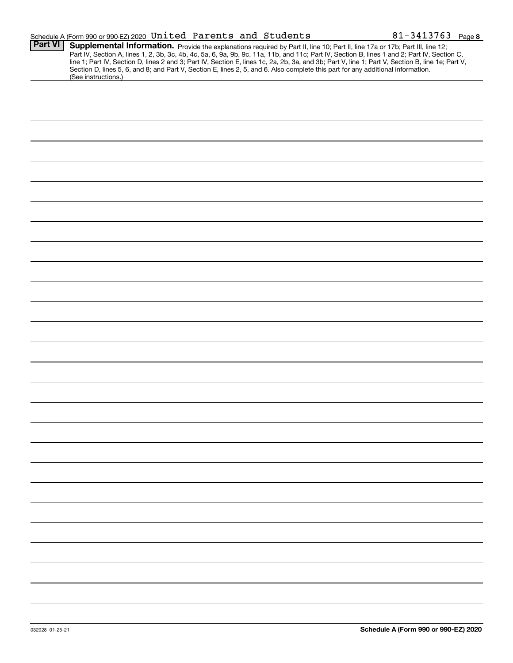|                | Schedule A (Form 990 or 990-EZ) 2020 United Parents and Students                                                                                                                                                                                                                                                                                                                                                                                                                                                                                                                            | $81 - 3413763$ Page 8 |
|----------------|---------------------------------------------------------------------------------------------------------------------------------------------------------------------------------------------------------------------------------------------------------------------------------------------------------------------------------------------------------------------------------------------------------------------------------------------------------------------------------------------------------------------------------------------------------------------------------------------|-----------------------|
| <b>Part VI</b> | Supplemental Information. Provide the explanations required by Part II, line 10; Part II, line 17a or 17b; Part III, line 12;<br>Part IV, Section A, lines 1, 2, 3b, 3c, 4b, 4c, 5a, 6, 9a, 9b, 9c, 11a, 11b, and 11c; Part IV, Section B, lines 1 and 2; Part IV, Section C,<br>line 1; Part IV, Section D, lines 2 and 3; Part IV, Section E, lines 1c, 2a, 2b, 3a, and 3b; Part V, line 1; Part V, Section B, line 1e; Part V,<br>Section D, lines 5, 6, and 8; and Part V, Section E, lines 2, 5, and 6. Also complete this part for any additional information.<br>(See instructions.) |                       |
|                |                                                                                                                                                                                                                                                                                                                                                                                                                                                                                                                                                                                             |                       |
|                |                                                                                                                                                                                                                                                                                                                                                                                                                                                                                                                                                                                             |                       |
|                |                                                                                                                                                                                                                                                                                                                                                                                                                                                                                                                                                                                             |                       |
|                |                                                                                                                                                                                                                                                                                                                                                                                                                                                                                                                                                                                             |                       |
|                |                                                                                                                                                                                                                                                                                                                                                                                                                                                                                                                                                                                             |                       |
|                |                                                                                                                                                                                                                                                                                                                                                                                                                                                                                                                                                                                             |                       |
|                |                                                                                                                                                                                                                                                                                                                                                                                                                                                                                                                                                                                             |                       |
|                |                                                                                                                                                                                                                                                                                                                                                                                                                                                                                                                                                                                             |                       |
|                |                                                                                                                                                                                                                                                                                                                                                                                                                                                                                                                                                                                             |                       |
|                |                                                                                                                                                                                                                                                                                                                                                                                                                                                                                                                                                                                             |                       |
|                |                                                                                                                                                                                                                                                                                                                                                                                                                                                                                                                                                                                             |                       |
|                |                                                                                                                                                                                                                                                                                                                                                                                                                                                                                                                                                                                             |                       |
|                |                                                                                                                                                                                                                                                                                                                                                                                                                                                                                                                                                                                             |                       |
|                |                                                                                                                                                                                                                                                                                                                                                                                                                                                                                                                                                                                             |                       |
|                |                                                                                                                                                                                                                                                                                                                                                                                                                                                                                                                                                                                             |                       |
|                |                                                                                                                                                                                                                                                                                                                                                                                                                                                                                                                                                                                             |                       |
|                |                                                                                                                                                                                                                                                                                                                                                                                                                                                                                                                                                                                             |                       |
|                |                                                                                                                                                                                                                                                                                                                                                                                                                                                                                                                                                                                             |                       |
|                |                                                                                                                                                                                                                                                                                                                                                                                                                                                                                                                                                                                             |                       |
|                |                                                                                                                                                                                                                                                                                                                                                                                                                                                                                                                                                                                             |                       |
|                |                                                                                                                                                                                                                                                                                                                                                                                                                                                                                                                                                                                             |                       |
|                |                                                                                                                                                                                                                                                                                                                                                                                                                                                                                                                                                                                             |                       |
|                |                                                                                                                                                                                                                                                                                                                                                                                                                                                                                                                                                                                             |                       |
|                |                                                                                                                                                                                                                                                                                                                                                                                                                                                                                                                                                                                             |                       |
|                |                                                                                                                                                                                                                                                                                                                                                                                                                                                                                                                                                                                             |                       |
|                |                                                                                                                                                                                                                                                                                                                                                                                                                                                                                                                                                                                             |                       |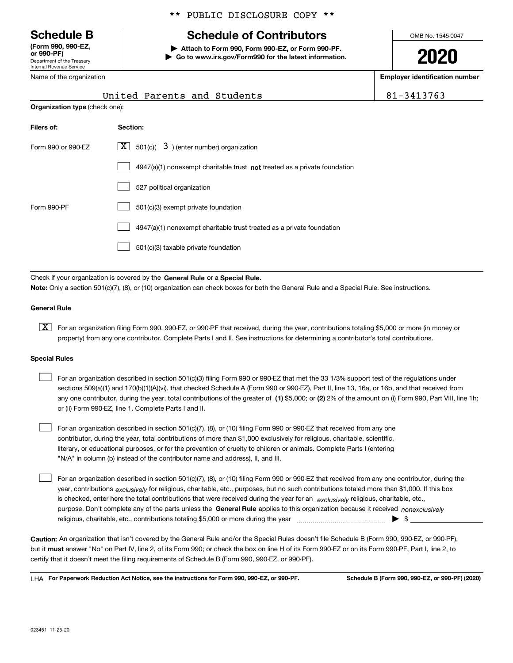Department of the Treasury Internal Revenue Service **(Form 990, 990-EZ, or 990-PF)**

Name of the organization

# \*\* PUBLIC DISCLOSURE COPY \*\*

# **Schedule B Schedule of Contributors**

**| Attach to Form 990, Form 990-EZ, or Form 990-PF. | Go to www.irs.gov/Form990 for the latest information.** OMB No. 1545-0047

**2020**

**Employer identification number**

|                    | United Parents and Students                                                        | 81-3413763 |  |  |  |  |
|--------------------|------------------------------------------------------------------------------------|------------|--|--|--|--|
|                    | <b>Organization type (check one):</b>                                              |            |  |  |  |  |
| Filers of:         | Section:                                                                           |            |  |  |  |  |
| Form 990 or 990-EZ | $X$ 501(c)(<br>$3$ ) (enter number) organization                                   |            |  |  |  |  |
|                    | $4947(a)(1)$ nonexempt charitable trust <b>not</b> treated as a private foundation |            |  |  |  |  |
|                    | 527 political organization                                                         |            |  |  |  |  |
| Form 990-PF        | 501(c)(3) exempt private foundation                                                |            |  |  |  |  |
|                    | 4947(a)(1) nonexempt charitable trust treated as a private foundation              |            |  |  |  |  |

501(c)(3) taxable private foundation  $\mathcal{L}^{\text{max}}$ 

Check if your organization is covered by the **General Rule** or a **Special Rule. Note:**  Only a section 501(c)(7), (8), or (10) organization can check boxes for both the General Rule and a Special Rule. See instructions.

# **General Rule**

 $\boxed{\textbf{X}}$  For an organization filing Form 990, 990-EZ, or 990-PF that received, during the year, contributions totaling \$5,000 or more (in money or property) from any one contributor. Complete Parts I and II. See instructions for determining a contributor's total contributions.

#### **Special Rules**

| For an organization described in section 501(c)(3) filing Form 990 or 990-EZ that met the 33 1/3% support test of the regulations under               |
|-------------------------------------------------------------------------------------------------------------------------------------------------------|
| sections 509(a)(1) and 170(b)(1)(A)(vi), that checked Schedule A (Form 990 or 990-EZ), Part II, line 13, 16a, or 16b, and that received from          |
| any one contributor, during the year, total contributions of the greater of (1) \$5,000; or (2) 2% of the amount on (i) Form 990, Part VIII, line 1h; |
| or (ii) Form 990-EZ, line 1. Complete Parts I and II.                                                                                                 |

For an organization described in section 501(c)(7), (8), or (10) filing Form 990 or 990-EZ that received from any one contributor, during the year, total contributions of more than \$1,000 exclusively for religious, charitable, scientific, literary, or educational purposes, or for the prevention of cruelty to children or animals. Complete Parts I (entering "N/A" in column (b) instead of the contributor name and address), II, and III.  $\mathcal{L}^{\text{max}}$ 

purpose. Don't complete any of the parts unless the **General Rule** applies to this organization because it received *nonexclusively* year, contributions <sub>exclusively</sub> for religious, charitable, etc., purposes, but no such contributions totaled more than \$1,000. If this box is checked, enter here the total contributions that were received during the year for an  $\;$ exclusively religious, charitable, etc., For an organization described in section 501(c)(7), (8), or (10) filing Form 990 or 990-EZ that received from any one contributor, during the religious, charitable, etc., contributions totaling \$5,000 or more during the year  $\Box$ — $\Box$   $\Box$  $\mathcal{L}^{\text{max}}$ 

**Caution:**  An organization that isn't covered by the General Rule and/or the Special Rules doesn't file Schedule B (Form 990, 990-EZ, or 990-PF),  **must** but it answer "No" on Part IV, line 2, of its Form 990; or check the box on line H of its Form 990-EZ or on its Form 990-PF, Part I, line 2, to certify that it doesn't meet the filing requirements of Schedule B (Form 990, 990-EZ, or 990-PF).

**For Paperwork Reduction Act Notice, see the instructions for Form 990, 990-EZ, or 990-PF. Schedule B (Form 990, 990-EZ, or 990-PF) (2020)** LHA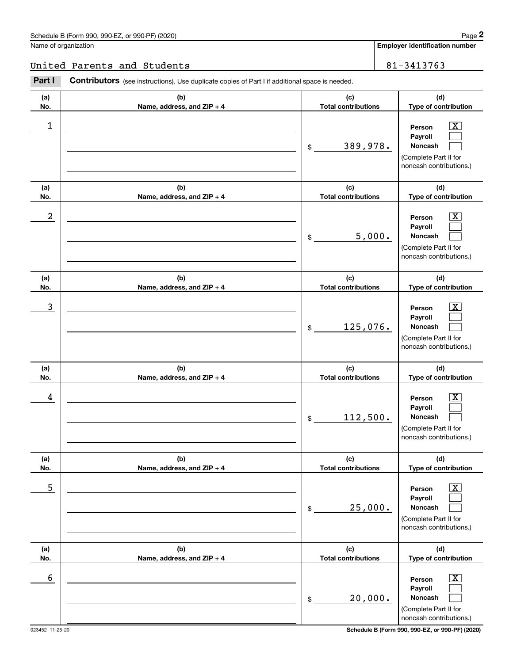# United Parents and Students 81-3413763

|                      | Schedule B (Form 990, 990-EZ, or 990-PF) (2020)                                                       |                                   |        | Page 2                                                                                                      |
|----------------------|-------------------------------------------------------------------------------------------------------|-----------------------------------|--------|-------------------------------------------------------------------------------------------------------------|
| Name of organization |                                                                                                       |                                   |        | <b>Employer identification number</b>                                                                       |
|                      | United Parents and Students                                                                           |                                   |        | 81-3413763                                                                                                  |
| Part I               | <b>Contributors</b> (see instructions). Use duplicate copies of Part I if additional space is needed. |                                   |        |                                                                                                             |
| (a)<br>No.           | (b)<br>Name, address, and ZIP + 4                                                                     | (c)<br><b>Total contributions</b> |        | (d)<br>Type of contribution                                                                                 |
| 1                    |                                                                                                       | 389,978.<br>\$                    |        | $\overline{\mathbf{X}}$<br>Person<br>Payroll<br>Noncash<br>(Complete Part II for<br>noncash contributions.) |
| (a)<br>No.           | (b)<br>Name, address, and ZIP + 4                                                                     | (c)<br><b>Total contributions</b> |        | (d)<br>Type of contribution                                                                                 |
| 2                    |                                                                                                       | \$                                | 5,000. | $\overline{\mathbf{X}}$<br>Person<br>Payroll<br>Noncash<br>(Complete Part II for<br>noncash contributions.) |
| (a)<br>No.           | (b)<br>Name, address, and ZIP + 4                                                                     | (c)<br><b>Total contributions</b> |        | (d)<br>Type of contribution                                                                                 |
| 3                    |                                                                                                       | 125,076.<br>\$                    |        | $\overline{\text{X}}$<br>Person<br>Payroll<br>Noncash<br>(Complete Part II for<br>noncash contributions.)   |
| (a)<br>No.           | (b)<br>Name, address, and ZIP + 4                                                                     | (c)<br><b>Total contributions</b> |        | (d)<br>Type of contribution                                                                                 |
| 4                    |                                                                                                       | 112,500.<br>\$                    |        | $\mathbf{X}$<br>Person<br>Payroll<br>Noncash<br>(Complete Part II for<br>noncash contributions.)            |
| (a)<br>No.           | (b)<br>Name, address, and ZIP + 4                                                                     | (c)<br><b>Total contributions</b> |        | (d)<br>Type of contribution                                                                                 |
| 5                    |                                                                                                       | 25,000.<br>\$                     |        | $\boxed{\text{X}}$<br>Person<br>Payroll<br>Noncash<br>(Complete Part II for<br>noncash contributions.)      |
| (a)<br>No.           | (b)<br>Name, address, and ZIP + 4                                                                     | (c)<br><b>Total contributions</b> |        | (d)<br>Type of contribution                                                                                 |
| 6                    |                                                                                                       | 20,000.<br>\$                     |        | $\boxed{\text{X}}$<br>Person<br>Payroll<br>Noncash<br>(Complete Part II for<br>noncash contributions.)      |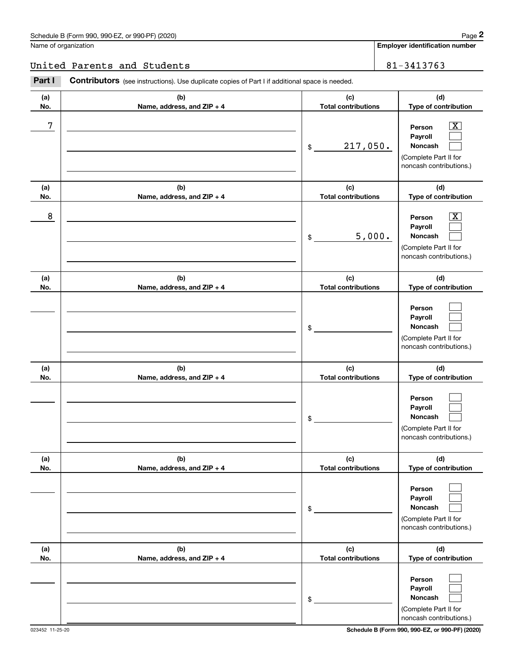# United Parents and Students 81-3413763

|            | Schedule B (Form 990, 990-EZ, or 990-PF) (2020)                                                |                                            | Page 2                                                                                                                              |
|------------|------------------------------------------------------------------------------------------------|--------------------------------------------|-------------------------------------------------------------------------------------------------------------------------------------|
|            | Name of organization                                                                           |                                            | <b>Employer identification number</b>                                                                                               |
|            | United Parents and Students                                                                    |                                            | 81-3413763                                                                                                                          |
| Part I     | Contributors (see instructions). Use duplicate copies of Part I if additional space is needed. |                                            |                                                                                                                                     |
| (a)<br>No. | (b)<br>Name, address, and ZIP + 4                                                              | (c)<br><b>Total contributions</b>          | (d)<br>Type of contribution                                                                                                         |
| 7          |                                                                                                | 217,050.<br>\$                             | $\overline{\mathbf{X}}$<br>Person<br>Payroll<br>Noncash<br>(Complete Part II for<br>noncash contributions.)                         |
| (a)        | (b)                                                                                            | (c)                                        | (d)                                                                                                                                 |
| No.<br>8   | Name, address, and ZIP + 4                                                                     | <b>Total contributions</b><br>5,000.<br>\$ | Type of contribution<br>$\overline{\mathbf{X}}$<br>Person<br>Payroll<br>Noncash<br>(Complete Part II for<br>noncash contributions.) |
| (a)<br>No. | (b)<br>Name, address, and ZIP + 4                                                              | (c)<br><b>Total contributions</b>          | (d)<br>Type of contribution                                                                                                         |
|            |                                                                                                | \$                                         | Person<br>Payroll<br>Noncash<br>(Complete Part II for<br>noncash contributions.)                                                    |
| (a)<br>No. | (b)<br>Name, address, and ZIP + 4                                                              | (c)<br><b>Total contributions</b>          | (d)<br>Type of contribution                                                                                                         |
|            |                                                                                                | \$                                         | Person<br>Payroll<br>Noncash<br>(Complete Part II for<br>noncash contributions.)                                                    |
| (a)<br>No. | (b)<br>Name, address, and ZIP + 4                                                              | (c)<br><b>Total contributions</b>          | (d)<br>Type of contribution                                                                                                         |
|            |                                                                                                | \$                                         | Person<br>Payroll<br>Noncash<br>(Complete Part II for<br>noncash contributions.)                                                    |
| (a)<br>No. | (b)<br>Name, address, and ZIP + 4                                                              | (c)<br><b>Total contributions</b>          | (d)<br>Type of contribution                                                                                                         |
|            |                                                                                                | \$                                         | Person<br>Payroll<br>Noncash<br>(Complete Part II for<br>noncash contributions.)                                                    |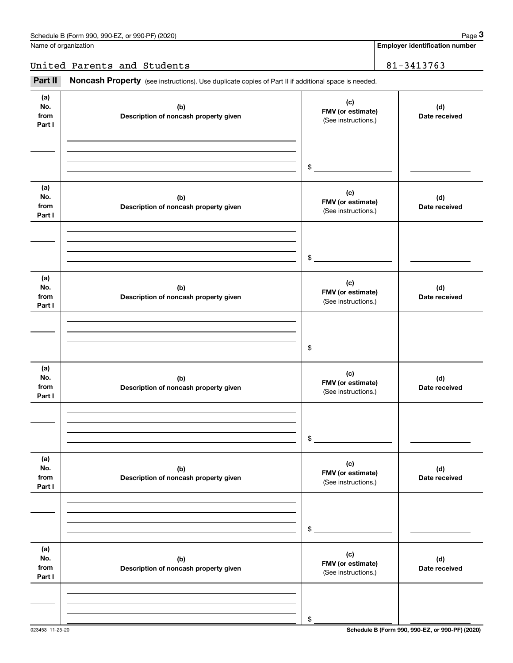Name of organization

**Employer identification number**

United Parents and Students 81-3413763

(see instructions). Use duplicate copies of Part II if additional space is needed.<br> **3Part II if Noncash Property** (see instructions). Use duplicate copies of Part II if additional space is needed.

| (a)<br>No.<br>from<br>Part I | (b)<br>Description of noncash property given | (c)<br>FMV (or estimate)<br>(See instructions.) | (d)<br>Date received |
|------------------------------|----------------------------------------------|-------------------------------------------------|----------------------|
|                              |                                              |                                                 |                      |
|                              |                                              |                                                 |                      |
|                              |                                              | $\frac{1}{2}$                                   |                      |
| (a)<br>No.<br>from<br>Part I | (b)<br>Description of noncash property given | (c)<br>FMV (or estimate)<br>(See instructions.) | (d)<br>Date received |
|                              |                                              |                                                 |                      |
|                              |                                              |                                                 |                      |
|                              |                                              | $\frac{1}{2}$                                   |                      |
| (a)<br>No.<br>from<br>Part I | (b)<br>Description of noncash property given | (c)<br>FMV (or estimate)<br>(See instructions.) | (d)<br>Date received |
|                              |                                              |                                                 |                      |
|                              |                                              |                                                 |                      |
|                              |                                              | $\sim$                                          |                      |
| (a)<br>No.<br>from<br>Part I | (b)<br>Description of noncash property given | (c)<br>FMV (or estimate)<br>(See instructions.) | (d)<br>Date received |
|                              |                                              |                                                 |                      |
|                              |                                              |                                                 |                      |
|                              |                                              | \$                                              |                      |
| (a)<br>No.<br>from<br>Part I | (b)<br>Description of noncash property given | (c)<br>FMV (or estimate)<br>(See instructions.) | (d)<br>Date received |
|                              |                                              |                                                 |                      |
|                              |                                              |                                                 |                      |
|                              |                                              | \$                                              |                      |
| (a)<br>No.<br>from<br>Part I | (b)<br>Description of noncash property given | (c)<br>FMV (or estimate)<br>(See instructions.) | (d)<br>Date received |
|                              |                                              |                                                 |                      |
|                              |                                              |                                                 |                      |
|                              |                                              | \$                                              |                      |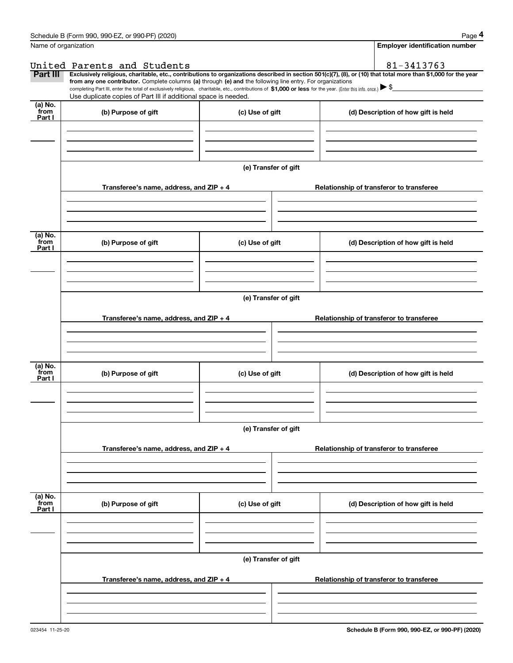|                           | Schedule B (Form 990, 990-EZ, or 990-PF) (2020)                                                                                                                                                                                                      |                      | Page 4                                                                                                                                                         |
|---------------------------|------------------------------------------------------------------------------------------------------------------------------------------------------------------------------------------------------------------------------------------------------|----------------------|----------------------------------------------------------------------------------------------------------------------------------------------------------------|
| Name of organization      |                                                                                                                                                                                                                                                      |                      | <b>Employer identification number</b>                                                                                                                          |
|                           | United Parents and Students                                                                                                                                                                                                                          |                      | 81-3413763                                                                                                                                                     |
| Part III                  | from any one contributor. Complete columns (a) through (e) and the following line entry. For organizations                                                                                                                                           |                      | Exclusively religious, charitable, etc., contributions to organizations described in section 501(c)(7), (8), or (10) that total more than \$1,000 for the year |
|                           | completing Part III, enter the total of exclusively religious, charitable, etc., contributions of \$1,000 or less for the year. (Enter this info. once.) $\blacktriangleright$ \$<br>Use duplicate copies of Part III if additional space is needed. |                      |                                                                                                                                                                |
| (a) No.                   |                                                                                                                                                                                                                                                      |                      |                                                                                                                                                                |
| from<br>Part I            | (b) Purpose of gift                                                                                                                                                                                                                                  | (c) Use of gift      | (d) Description of how gift is held                                                                                                                            |
|                           |                                                                                                                                                                                                                                                      |                      |                                                                                                                                                                |
|                           |                                                                                                                                                                                                                                                      |                      |                                                                                                                                                                |
|                           |                                                                                                                                                                                                                                                      |                      |                                                                                                                                                                |
|                           |                                                                                                                                                                                                                                                      | (e) Transfer of gift |                                                                                                                                                                |
|                           | Transferee's name, address, and ZIP + 4                                                                                                                                                                                                              |                      | Relationship of transferor to transferee                                                                                                                       |
|                           |                                                                                                                                                                                                                                                      |                      |                                                                                                                                                                |
|                           |                                                                                                                                                                                                                                                      |                      |                                                                                                                                                                |
|                           |                                                                                                                                                                                                                                                      |                      |                                                                                                                                                                |
| (a) No.<br>from<br>Part I | (b) Purpose of gift                                                                                                                                                                                                                                  | (c) Use of gift      | (d) Description of how gift is held                                                                                                                            |
|                           |                                                                                                                                                                                                                                                      |                      |                                                                                                                                                                |
|                           |                                                                                                                                                                                                                                                      |                      |                                                                                                                                                                |
|                           |                                                                                                                                                                                                                                                      |                      |                                                                                                                                                                |
|                           |                                                                                                                                                                                                                                                      | (e) Transfer of gift |                                                                                                                                                                |
|                           |                                                                                                                                                                                                                                                      |                      |                                                                                                                                                                |
|                           | Transferee's name, address, and $ZIP + 4$                                                                                                                                                                                                            |                      | Relationship of transferor to transferee                                                                                                                       |
|                           |                                                                                                                                                                                                                                                      |                      |                                                                                                                                                                |
|                           |                                                                                                                                                                                                                                                      |                      |                                                                                                                                                                |
|                           |                                                                                                                                                                                                                                                      |                      |                                                                                                                                                                |
| (a) No.<br>from           |                                                                                                                                                                                                                                                      | (c) Use of gift      |                                                                                                                                                                |
| Part I                    | (b) Purpose of gift                                                                                                                                                                                                                                  |                      | (d) Description of how gift is held                                                                                                                            |
|                           |                                                                                                                                                                                                                                                      |                      |                                                                                                                                                                |
|                           |                                                                                                                                                                                                                                                      |                      |                                                                                                                                                                |
|                           |                                                                                                                                                                                                                                                      |                      |                                                                                                                                                                |
|                           |                                                                                                                                                                                                                                                      | (e) Transfer of gift |                                                                                                                                                                |
|                           |                                                                                                                                                                                                                                                      |                      |                                                                                                                                                                |
|                           | Transferee's name, address, and $ZIP + 4$                                                                                                                                                                                                            |                      | Relationship of transferor to transferee                                                                                                                       |
|                           |                                                                                                                                                                                                                                                      |                      |                                                                                                                                                                |
|                           |                                                                                                                                                                                                                                                      |                      |                                                                                                                                                                |
|                           |                                                                                                                                                                                                                                                      |                      |                                                                                                                                                                |
| (a) No.<br>from           | (b) Purpose of gift                                                                                                                                                                                                                                  | (c) Use of gift      | (d) Description of how gift is held                                                                                                                            |
| Part I                    |                                                                                                                                                                                                                                                      |                      |                                                                                                                                                                |
|                           |                                                                                                                                                                                                                                                      |                      |                                                                                                                                                                |
|                           |                                                                                                                                                                                                                                                      |                      |                                                                                                                                                                |
|                           |                                                                                                                                                                                                                                                      |                      |                                                                                                                                                                |
|                           |                                                                                                                                                                                                                                                      | (e) Transfer of gift |                                                                                                                                                                |
|                           |                                                                                                                                                                                                                                                      |                      |                                                                                                                                                                |
|                           | Transferee's name, address, and $ZIP + 4$                                                                                                                                                                                                            |                      | Relationship of transferor to transferee                                                                                                                       |
|                           |                                                                                                                                                                                                                                                      |                      |                                                                                                                                                                |
|                           |                                                                                                                                                                                                                                                      |                      |                                                                                                                                                                |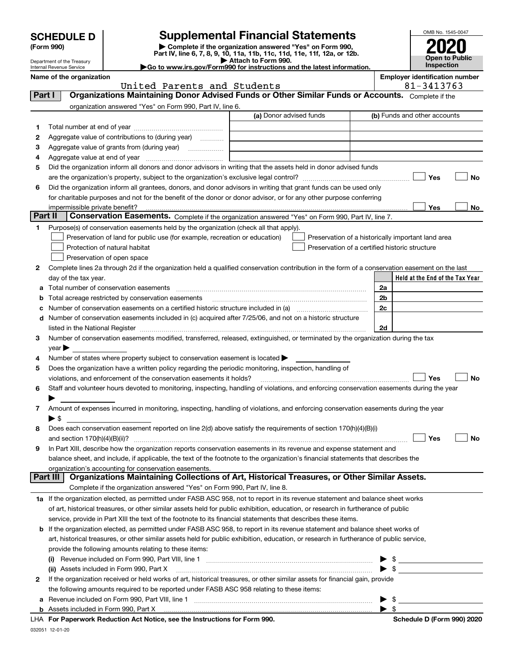| <b>SCHEDULE D</b> |  |
|-------------------|--|
|-------------------|--|

Department of the Treasury

| (Form 990) |  |
|------------|--|
|------------|--|

# **SCHEDULE D Supplemental Financial Statements**

**(Form 990)** (**Form 990,**<br>Part IV, line 6, 7, 8, 9, 10, 11a, 11b, 11c, 11d, 11e, 11f, 12a, or 12b.<br>Department of the Treasury **and Exercise Connect Connect Connect Connect Connect Connect Connect Connect Connect** 

|  | ► Attach to Form 990. |  |  |                                                   |  |
|--|-----------------------|--|--|---------------------------------------------------|--|
|  |                       |  |  |                                                   |  |
|  |                       |  |  |                                                   |  |
|  |                       |  |  | n990 for instructions and the latest information. |  |
|  |                       |  |  |                                                   |  |



|         | Internal Revenue Service       |                                                                                                                                                                                                                                                          | Go to www.irs.gov/Form990 for instructions and the latest information. |                                                      | <b>Inspection</b>                                  |
|---------|--------------------------------|----------------------------------------------------------------------------------------------------------------------------------------------------------------------------------------------------------------------------------------------------------|------------------------------------------------------------------------|------------------------------------------------------|----------------------------------------------------|
|         | Name of the organization       |                                                                                                                                                                                                                                                          |                                                                        |                                                      | <b>Employer identification number</b>              |
| Part I  |                                | United Parents and Students<br>Organizations Maintaining Donor Advised Funds or Other Similar Funds or Accounts. Complete if the                                                                                                                         |                                                                        |                                                      | 81-3413763                                         |
|         |                                |                                                                                                                                                                                                                                                          |                                                                        |                                                      |                                                    |
|         |                                | organization answered "Yes" on Form 990, Part IV, line 6.                                                                                                                                                                                                | (a) Donor advised funds                                                |                                                      | (b) Funds and other accounts                       |
| 1       |                                |                                                                                                                                                                                                                                                          |                                                                        |                                                      |                                                    |
| 2       |                                | Aggregate value of contributions to (during year)                                                                                                                                                                                                        |                                                                        |                                                      |                                                    |
| з       |                                | Aggregate value of grants from (during year)                                                                                                                                                                                                             |                                                                        |                                                      |                                                    |
| 4       |                                |                                                                                                                                                                                                                                                          |                                                                        |                                                      |                                                    |
| 5       |                                | Did the organization inform all donors and donor advisors in writing that the assets held in donor advised funds                                                                                                                                         |                                                                        |                                                      |                                                    |
|         |                                |                                                                                                                                                                                                                                                          |                                                                        |                                                      | Yes<br>No                                          |
| 6       |                                | Did the organization inform all grantees, donors, and donor advisors in writing that grant funds can be used only                                                                                                                                        |                                                                        |                                                      |                                                    |
|         |                                | for charitable purposes and not for the benefit of the donor or donor advisor, or for any other purpose conferring                                                                                                                                       |                                                                        |                                                      |                                                    |
|         | impermissible private benefit? |                                                                                                                                                                                                                                                          |                                                                        |                                                      | Yes<br>No                                          |
| Part II |                                | Conservation Easements. Complete if the organization answered "Yes" on Form 990, Part IV, line 7.                                                                                                                                                        |                                                                        |                                                      |                                                    |
| 1.      |                                | Purpose(s) of conservation easements held by the organization (check all that apply).                                                                                                                                                                    |                                                                        |                                                      |                                                    |
|         |                                | Preservation of land for public use (for example, recreation or education)                                                                                                                                                                               |                                                                        |                                                      | Preservation of a historically important land area |
|         |                                | Protection of natural habitat                                                                                                                                                                                                                            |                                                                        | Preservation of a certified historic structure       |                                                    |
|         |                                | Preservation of open space                                                                                                                                                                                                                               |                                                                        |                                                      |                                                    |
| 2       |                                | Complete lines 2a through 2d if the organization held a qualified conservation contribution in the form of a conservation easement on the last                                                                                                           |                                                                        |                                                      |                                                    |
|         | day of the tax year.           |                                                                                                                                                                                                                                                          |                                                                        | 2a                                                   | Held at the End of the Tax Year                    |
| а<br>b  |                                | Total acreage restricted by conservation easements                                                                                                                                                                                                       |                                                                        | 2b                                                   |                                                    |
| с       |                                |                                                                                                                                                                                                                                                          |                                                                        | 2c                                                   |                                                    |
|         |                                | d Number of conservation easements included in (c) acquired after 7/25/06, and not on a historic structure                                                                                                                                               |                                                                        |                                                      |                                                    |
|         |                                |                                                                                                                                                                                                                                                          |                                                                        | 2d                                                   |                                                    |
| 3       |                                | Number of conservation easements modified, transferred, released, extinguished, or terminated by the organization during the tax                                                                                                                         |                                                                        |                                                      |                                                    |
|         | year                           |                                                                                                                                                                                                                                                          |                                                                        |                                                      |                                                    |
| 4       |                                | Number of states where property subject to conservation easement is located >                                                                                                                                                                            |                                                                        |                                                      |                                                    |
| 5       |                                | Does the organization have a written policy regarding the periodic monitoring, inspection, handling of                                                                                                                                                   |                                                                        |                                                      |                                                    |
|         |                                | violations, and enforcement of the conservation easements it holds?                                                                                                                                                                                      |                                                                        |                                                      | Yes<br>No                                          |
| 6       |                                | Staff and volunteer hours devoted to monitoring, inspecting, handling of violations, and enforcing conservation easements during the year                                                                                                                |                                                                        |                                                      |                                                    |
|         |                                |                                                                                                                                                                                                                                                          |                                                                        |                                                      |                                                    |
| 7       |                                | Amount of expenses incurred in monitoring, inspecting, handling of violations, and enforcing conservation easements during the year                                                                                                                      |                                                                        |                                                      |                                                    |
|         | ▶ \$                           |                                                                                                                                                                                                                                                          |                                                                        |                                                      |                                                    |
| 8       |                                | Does each conservation easement reported on line 2(d) above satisfy the requirements of section 170(h)(4)(B)(i)                                                                                                                                          |                                                                        |                                                      |                                                    |
|         |                                |                                                                                                                                                                                                                                                          |                                                                        |                                                      | Yes                                                |
| 9       |                                | In Part XIII, describe how the organization reports conservation easements in its revenue and expense statement and<br>balance sheet, and include, if applicable, the text of the footnote to the organization's financial statements that describes the |                                                                        |                                                      |                                                    |
|         |                                | organization's accounting for conservation easements.                                                                                                                                                                                                    |                                                                        |                                                      |                                                    |
|         | Part III                       | Organizations Maintaining Collections of Art, Historical Treasures, or Other Similar Assets.                                                                                                                                                             |                                                                        |                                                      |                                                    |
|         |                                | Complete if the organization answered "Yes" on Form 990, Part IV, line 8.                                                                                                                                                                                |                                                                        |                                                      |                                                    |
|         |                                | 1a If the organization elected, as permitted under FASB ASC 958, not to report in its revenue statement and balance sheet works                                                                                                                          |                                                                        |                                                      |                                                    |
|         |                                | of art, historical treasures, or other similar assets held for public exhibition, education, or research in furtherance of public                                                                                                                        |                                                                        |                                                      |                                                    |
|         |                                | service, provide in Part XIII the text of the footnote to its financial statements that describes these items.                                                                                                                                           |                                                                        |                                                      |                                                    |
|         |                                | <b>b</b> If the organization elected, as permitted under FASB ASC 958, to report in its revenue statement and balance sheet works of                                                                                                                     |                                                                        |                                                      |                                                    |
|         |                                | art, historical treasures, or other similar assets held for public exhibition, education, or research in furtherance of public service,                                                                                                                  |                                                                        |                                                      |                                                    |
|         |                                | provide the following amounts relating to these items:                                                                                                                                                                                                   |                                                                        |                                                      |                                                    |
|         | $\left( 1\right)$              |                                                                                                                                                                                                                                                          |                                                                        | $\blacktriangleright$ \$                             |                                                    |
|         |                                | (ii) Assets included in Form 990, Part X                                                                                                                                                                                                                 |                                                                        | $\blacktriangleright$ \$                             |                                                    |
| 2       |                                | If the organization received or held works of art, historical treasures, or other similar assets for financial gain, provide                                                                                                                             |                                                                        |                                                      |                                                    |
|         |                                | the following amounts required to be reported under FASB ASC 958 relating to these items:                                                                                                                                                                |                                                                        |                                                      |                                                    |
| а       |                                |                                                                                                                                                                                                                                                          |                                                                        | $\blacktriangleright$ \$<br>$\blacktriangleright$ \$ |                                                    |
|         |                                | <b>b</b> Assets included in Form 990, Part X <b>much and the contract of the contract of Assets</b> included in Form 990, Part X                                                                                                                         |                                                                        |                                                      |                                                    |

**b** Assets included in Form 990, Part X **For Paperwork Reduction Act Notice, see the Instructions for Form 990. Schedule D (Form 990) 2020** LHA 

032051 12-01-20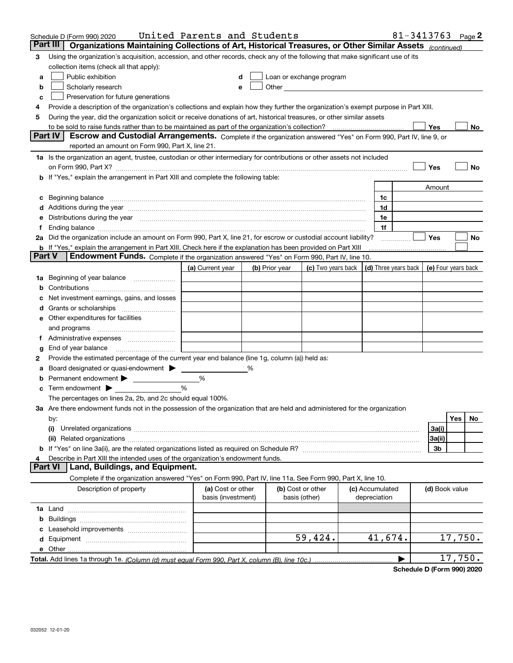|               | Schedule D (Form 990) 2020                                                                                                                                                                                                     | United Parents and Students |   |                          |                                                                             |                 | 81-3413763 $Page 2$ |                |         |     |
|---------------|--------------------------------------------------------------------------------------------------------------------------------------------------------------------------------------------------------------------------------|-----------------------------|---|--------------------------|-----------------------------------------------------------------------------|-----------------|---------------------|----------------|---------|-----|
|               | Part III<br>Organizations Maintaining Collections of Art, Historical Treasures, or Other Similar Assets (continued)                                                                                                            |                             |   |                          |                                                                             |                 |                     |                |         |     |
| 3             | Using the organization's acquisition, accession, and other records, check any of the following that make significant use of its                                                                                                |                             |   |                          |                                                                             |                 |                     |                |         |     |
|               | collection items (check all that apply):                                                                                                                                                                                       |                             |   |                          |                                                                             |                 |                     |                |         |     |
| a             | Public exhibition                                                                                                                                                                                                              |                             |   | Loan or exchange program |                                                                             |                 |                     |                |         |     |
| b             | Scholarly research                                                                                                                                                                                                             |                             |   |                          |                                                                             |                 |                     |                |         |     |
| с             | Preservation for future generations                                                                                                                                                                                            |                             |   |                          |                                                                             |                 |                     |                |         |     |
| 4             | Provide a description of the organization's collections and explain how they further the organization's exempt purpose in Part XIII.                                                                                           |                             |   |                          |                                                                             |                 |                     |                |         |     |
| 5             | During the year, did the organization solicit or receive donations of art, historical treasures, or other similar assets                                                                                                       |                             |   |                          |                                                                             |                 |                     |                |         |     |
|               |                                                                                                                                                                                                                                |                             |   |                          |                                                                             |                 |                     | Yes            |         | No  |
|               | <b>Part IV</b><br>Escrow and Custodial Arrangements. Complete if the organization answered "Yes" on Form 990, Part IV, line 9, or                                                                                              |                             |   |                          |                                                                             |                 |                     |                |         |     |
|               | reported an amount on Form 990, Part X, line 21.                                                                                                                                                                               |                             |   |                          |                                                                             |                 |                     |                |         |     |
|               | 1a Is the organization an agent, trustee, custodian or other intermediary for contributions or other assets not included                                                                                                       |                             |   |                          |                                                                             |                 |                     |                |         |     |
|               | on Form 990, Part X? [11] matter and the contract of the contract of the contract of the contract of the contract of the contract of the contract of the contract of the contract of the contract of the contract of the contr |                             |   |                          |                                                                             |                 |                     | Yes            |         | No  |
|               | b If "Yes," explain the arrangement in Part XIII and complete the following table:                                                                                                                                             |                             |   |                          |                                                                             |                 |                     |                |         |     |
|               |                                                                                                                                                                                                                                |                             |   |                          |                                                                             |                 |                     | Amount         |         |     |
|               |                                                                                                                                                                                                                                |                             |   |                          |                                                                             | 1c              |                     |                |         |     |
|               | d Additions during the year manufactured and an intervention of the state of Additions during the year manufactured and a state of the state of Additions during the year manufactured and a state of the state of the state o |                             |   |                          |                                                                             | 1d              |                     |                |         |     |
|               | e Distributions during the year manufactured and contain an account of the state of the state of the state of the state of the state of the state of the state of the state of the state of the state of the state of the stat |                             |   |                          |                                                                             | 1e              |                     |                |         |     |
| t.            |                                                                                                                                                                                                                                |                             |   |                          |                                                                             | 1f              |                     |                |         |     |
|               | 2a Did the organization include an amount on Form 990, Part X, line 21, for escrow or custodial account liability?                                                                                                             |                             |   |                          |                                                                             |                 |                     | Yes            |         | No  |
| <b>Part V</b> | <b>b</b> If "Yes," explain the arrangement in Part XIII. Check here if the explanation has been provided on Part XIII                                                                                                          |                             |   |                          |                                                                             |                 |                     |                |         |     |
|               | Endowment Funds. Complete if the organization answered "Yes" on Form 990, Part IV, line 10.                                                                                                                                    |                             |   |                          |                                                                             |                 |                     |                |         |     |
|               |                                                                                                                                                                                                                                | (a) Current year            |   | (b) Prior year           | (c) Two years back $\vert$ (d) Three years back $\vert$ (e) Four years back |                 |                     |                |         |     |
|               | 1a Beginning of year balance                                                                                                                                                                                                   |                             |   |                          |                                                                             |                 |                     |                |         |     |
|               |                                                                                                                                                                                                                                |                             |   |                          |                                                                             |                 |                     |                |         |     |
|               | Net investment earnings, gains, and losses                                                                                                                                                                                     |                             |   |                          |                                                                             |                 |                     |                |         |     |
|               |                                                                                                                                                                                                                                |                             |   |                          |                                                                             |                 |                     |                |         |     |
|               | e Other expenditures for facilities                                                                                                                                                                                            |                             |   |                          |                                                                             |                 |                     |                |         |     |
|               | and programs                                                                                                                                                                                                                   |                             |   |                          |                                                                             |                 |                     |                |         |     |
|               |                                                                                                                                                                                                                                |                             |   |                          |                                                                             |                 |                     |                |         |     |
| g             |                                                                                                                                                                                                                                |                             |   |                          |                                                                             |                 |                     |                |         |     |
| 2             | Provide the estimated percentage of the current year end balance (line 1g, column (a)) held as:                                                                                                                                |                             |   |                          |                                                                             |                 |                     |                |         |     |
|               | Board designated or quasi-endowment                                                                                                                                                                                            |                             | % |                          |                                                                             |                 |                     |                |         |     |
|               | Permanent endowment > 1<br><b>c</b> Term endowment $\blacktriangleright$                                                                                                                                                       | %<br>%                      |   |                          |                                                                             |                 |                     |                |         |     |
|               | The percentages on lines 2a, 2b, and 2c should equal 100%.                                                                                                                                                                     |                             |   |                          |                                                                             |                 |                     |                |         |     |
|               |                                                                                                                                                                                                                                |                             |   |                          |                                                                             |                 |                     |                |         |     |
|               | 3a Are there endowment funds not in the possession of the organization that are held and administered for the organization                                                                                                     |                             |   |                          |                                                                             |                 |                     |                | Yes     | No. |
|               | by:<br>(i)                                                                                                                                                                                                                     |                             |   |                          |                                                                             |                 |                     | 3a(i)          |         |     |
|               |                                                                                                                                                                                                                                |                             |   |                          |                                                                             |                 |                     | 3a(ii)         |         |     |
|               |                                                                                                                                                                                                                                |                             |   |                          |                                                                             |                 |                     | 3b             |         |     |
| 4             | Describe in Part XIII the intended uses of the organization's endowment funds.                                                                                                                                                 |                             |   |                          |                                                                             |                 |                     |                |         |     |
|               | Land, Buildings, and Equipment.<br><b>Part VI</b>                                                                                                                                                                              |                             |   |                          |                                                                             |                 |                     |                |         |     |
|               | Complete if the organization answered "Yes" on Form 990, Part IV, line 11a. See Form 990, Part X, line 10.                                                                                                                     |                             |   |                          |                                                                             |                 |                     |                |         |     |
|               | Description of property                                                                                                                                                                                                        | (a) Cost or other           |   | (b) Cost or other        |                                                                             | (c) Accumulated |                     | (d) Book value |         |     |
|               |                                                                                                                                                                                                                                | basis (investment)          |   | basis (other)            |                                                                             | depreciation    |                     |                |         |     |
|               |                                                                                                                                                                                                                                |                             |   |                          |                                                                             |                 |                     |                |         |     |
|               |                                                                                                                                                                                                                                |                             |   |                          |                                                                             |                 |                     |                |         |     |
|               |                                                                                                                                                                                                                                |                             |   |                          |                                                                             |                 |                     |                |         |     |
|               |                                                                                                                                                                                                                                |                             |   |                          | 59,424.                                                                     | 41,674.         |                     |                | 17,750. |     |
|               | e Other.                                                                                                                                                                                                                       |                             |   |                          |                                                                             |                 |                     |                |         |     |
|               |                                                                                                                                                                                                                                |                             |   |                          |                                                                             |                 |                     |                | 17,750. |     |
|               |                                                                                                                                                                                                                                |                             |   |                          |                                                                             |                 |                     |                |         |     |

**Schedule D (Form 990) 2020**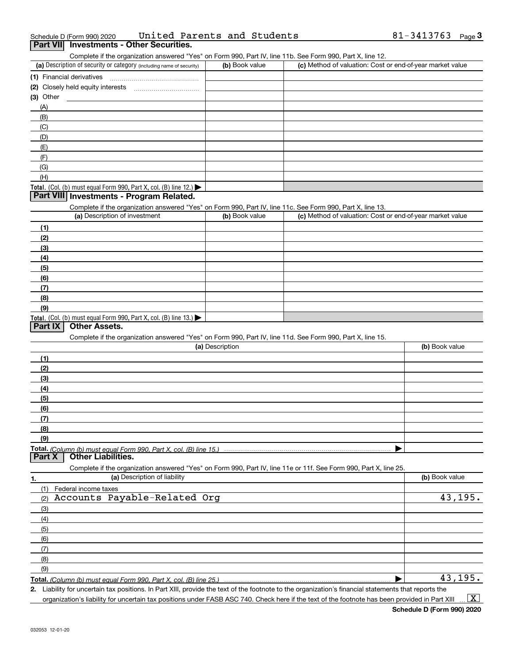| Schedule D (Form 990) 2020                      | United Parents and Students | 81-3413763 | <del>3</del> Page |
|-------------------------------------------------|-----------------------------|------------|-------------------|
| <b>Part VII</b> Investments - Other Securities. |                             |            |                   |

### Complete if the organization answered "Yes" on Form 990, Part IV, line 11b. See Form 990, Part X, line 12.

| (a) Description of security or category (including name of security)                          | (b) Book value | (c) Method of valuation: Cost or end-of-year market value |
|-----------------------------------------------------------------------------------------------|----------------|-----------------------------------------------------------|
| (1) Financial derivatives                                                                     |                |                                                           |
| (2) Closely held equity interests                                                             |                |                                                           |
| $(3)$ Other                                                                                   |                |                                                           |
| (A)                                                                                           |                |                                                           |
| (B)                                                                                           |                |                                                           |
| (C)                                                                                           |                |                                                           |
| (D)                                                                                           |                |                                                           |
| (E)                                                                                           |                |                                                           |
| (F)                                                                                           |                |                                                           |
| (G)                                                                                           |                |                                                           |
| (H)                                                                                           |                |                                                           |
| <b>Total.</b> (Col. (b) must equal Form 990, Part X, col. (B) line 12.) $\blacktriangleright$ |                |                                                           |

# **Part VIII Investments - Program Related.**

Complete if the organization answered "Yes" on Form 990, Part IV, line 11c. See Form 990, Part X, line 13.

| (a) Description of investment                                                                 | (b) Book value | (c) Method of valuation: Cost or end-of-year market value |
|-----------------------------------------------------------------------------------------------|----------------|-----------------------------------------------------------|
| (1)                                                                                           |                |                                                           |
| (2)                                                                                           |                |                                                           |
| $\frac{1}{2}$                                                                                 |                |                                                           |
| (4)                                                                                           |                |                                                           |
| $\left(5\right)$                                                                              |                |                                                           |
| (6)                                                                                           |                |                                                           |
| (7)                                                                                           |                |                                                           |
| (8)                                                                                           |                |                                                           |
| (9)                                                                                           |                |                                                           |
| <b>Total.</b> (Col. (b) must equal Form 990, Part X, col. (B) line 13.) $\blacktriangleright$ |                |                                                           |

# **Part IX Other Assets.**

Complete if the organization answered "Yes" on Form 990, Part IV, line 11d. See Form 990, Part X, line 15.

|               | (a) Description                                                                                                   | (b) Book value |
|---------------|-------------------------------------------------------------------------------------------------------------------|----------------|
| (1)           |                                                                                                                   |                |
| (2)           |                                                                                                                   |                |
| (3)           |                                                                                                                   |                |
| (4)           |                                                                                                                   |                |
| (5)           |                                                                                                                   |                |
| (6)           |                                                                                                                   |                |
| (7)           |                                                                                                                   |                |
| (8)           |                                                                                                                   |                |
| (9)           |                                                                                                                   |                |
|               |                                                                                                                   |                |
| <b>Part X</b> | Other Liabilities.                                                                                                |                |
|               | Complete if the organization answered "Yes" on Form 990, Part IV, line 11e or 11f. See Form 990, Part X, line 25. |                |
| 1.            | (a) Description of liability                                                                                      | (b) Book value |
| (1)           | Federal income taxes                                                                                              |                |
| (2)           | Accounts Payable-Related Org                                                                                      | 43,195.        |
| $\sqrt{2}$    |                                                                                                                   |                |

| (3) |  |
|-----|--|
| (4) |  |
| (5) |  |
| (6) |  |
| (7) |  |
| (8) |  |
| (9) |  |
|     |  |

**Total.**  *(Column (b) must equal Form 990, Part X, col. (B) line 25.)*

**2.** Liability for uncertain tax positions. In Part XIII, provide the text of the footnote to the organization's financial statements that reports the organization's liability for uncertain tax positions under FASB ASC 740. Check here if the text of the footnote has been provided in Part XIII  $\vert$  X  $\vert$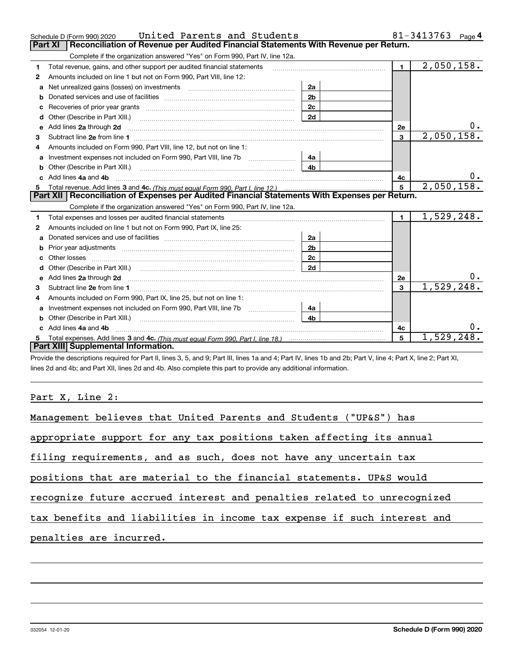|    | United Parents and Students<br>Schedule D (Form 990) 2020                                                                                                                                                                           |                |                | 81-3413763<br>Page 4    |
|----|-------------------------------------------------------------------------------------------------------------------------------------------------------------------------------------------------------------------------------------|----------------|----------------|-------------------------|
|    | Reconciliation of Revenue per Audited Financial Statements With Revenue per Return.<br>Part XI                                                                                                                                      |                |                |                         |
|    | Complete if the organization answered "Yes" on Form 990, Part IV, line 12a.                                                                                                                                                         |                |                |                         |
| 1  | Total revenue, gains, and other support per audited financial statements                                                                                                                                                            |                | $\blacksquare$ | $\overline{2,050},158.$ |
| 2  | Amounts included on line 1 but not on Form 990, Part VIII, line 12:                                                                                                                                                                 |                |                |                         |
| a  | Net unrealized gains (losses) on investments [11] matter contracts and the unrealized gains (losses) on investments                                                                                                                 | 2a             |                |                         |
|    |                                                                                                                                                                                                                                     | 2 <sub>b</sub> |                |                         |
|    |                                                                                                                                                                                                                                     | 2c             |                |                         |
|    |                                                                                                                                                                                                                                     | 2d             |                |                         |
| е  | Add lines 2a through 2d                                                                                                                                                                                                             |                | 2e             | 0.                      |
| 3  |                                                                                                                                                                                                                                     |                | 3              | 2,050,158.              |
| 4  | Amounts included on Form 990. Part VIII. line 12, but not on line 1:                                                                                                                                                                |                |                |                         |
|    |                                                                                                                                                                                                                                     | 4a             |                |                         |
| b  | Other (Describe in Part XIII.) <b>Construction Contract Construction</b> Chemistry Chemistry Chemistry Chemistry Chemistry                                                                                                          | 4 <sub>b</sub> |                |                         |
| c. | Add lines 4a and 4b                                                                                                                                                                                                                 |                | 4с             | 0.                      |
| 5. |                                                                                                                                                                                                                                     |                | 5              | 2,050,158.              |
|    |                                                                                                                                                                                                                                     |                |                |                         |
|    | Part XII   Reconciliation of Expenses per Audited Financial Statements With Expenses per Return.                                                                                                                                    |                |                |                         |
|    | Complete if the organization answered "Yes" on Form 990, Part IV, line 12a.                                                                                                                                                         |                |                |                         |
| 1. | Total expenses and losses per audited financial statements [11] [12] manuscription and contract the statements [13] manuscription and the statements [13] manuscription and the statements and the statements and the statemen      |                | $\blacksquare$ | 1,529,248.              |
| 2  | Amounts included on line 1 but not on Form 990, Part IX, line 25:                                                                                                                                                                   |                |                |                         |
| a  |                                                                                                                                                                                                                                     | 2a             |                |                         |
|    |                                                                                                                                                                                                                                     | 2 <sub>b</sub> |                |                         |
| c  |                                                                                                                                                                                                                                     | 2c             |                |                         |
|    |                                                                                                                                                                                                                                     | 2d             |                |                         |
|    |                                                                                                                                                                                                                                     |                | 2e             | 0.                      |
| 3  | e Add lines 2a through 2d <b>contract and a contract and a contract a</b> contract a contract and a contract a contract a contract a contract a contract a contract a contract a contract a contract a contract a contract a contra |                | 3              | 1,529,248.              |
| 4  | Amounts included on Form 990, Part IX, line 25, but not on line 1:                                                                                                                                                                  |                |                |                         |
| a  | Investment expenses not included on Form 990, Part VIII, line 7b [11, 111, 111, 111]                                                                                                                                                | 4a             |                |                         |
|    |                                                                                                                                                                                                                                     | 4b             |                |                         |
|    | Add lines 4a and 4b                                                                                                                                                                                                                 |                | 4с             | 0.                      |
|    | Part XIII Supplemental Information.                                                                                                                                                                                                 |                | 5              | 1,529,248.              |

Provide the descriptions required for Part II, lines 3, 5, and 9; Part III, lines 1a and 4; Part IV, lines 1b and 2b; Part V, line 4; Part X, line 2; Part XI, lines 2d and 4b; and Part XII, lines 2d and 4b. Also complete this part to provide any additional information.

# Part X, Line 2:

| Management believes that United Parents and Students ("UP&S") has       |
|-------------------------------------------------------------------------|
| appropriate support for any tax positions taken affecting its annual    |
| filing requirements, and as such, does not have any uncertain tax       |
| positions that are material to the financial statements. UP&S would     |
| recognize future accrued interest and penalties related to unrecognized |
| tax benefits and liabilities in income tax expense if such interest and |
| penalties are incurred.                                                 |
|                                                                         |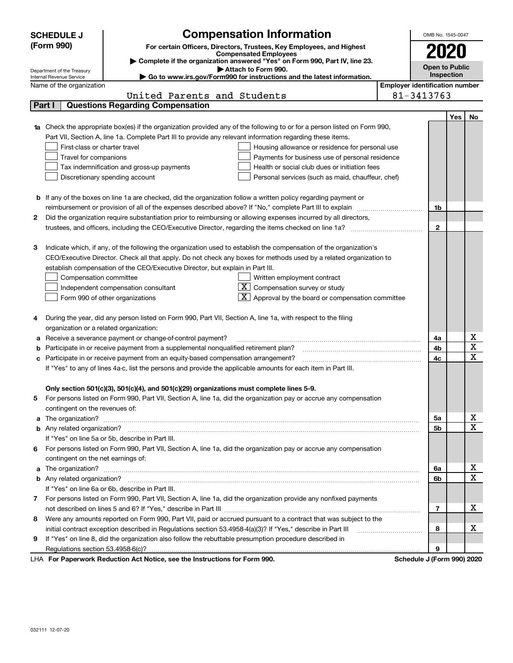|    | <b>SCHEDULE J</b>                                                                                                               | <b>Compensation Information</b>                                                                                             |                                       | OMB No. 1545-0047   |     |                         |  |  |  |
|----|---------------------------------------------------------------------------------------------------------------------------------|-----------------------------------------------------------------------------------------------------------------------------|---------------------------------------|---------------------|-----|-------------------------|--|--|--|
|    | (Form 990)                                                                                                                      | For certain Officers, Directors, Trustees, Key Employees, and Highest                                                       |                                       |                     |     |                         |  |  |  |
|    |                                                                                                                                 | <b>Compensated Employees</b>                                                                                                |                                       |                     |     |                         |  |  |  |
|    | Complete if the organization answered "Yes" on Form 990, Part IV, line 23.<br>Attach to Form 990.<br>Department of the Treasury |                                                                                                                             |                                       |                     |     |                         |  |  |  |
|    | Go to www.irs.gov/Form990 for instructions and the latest information.<br>Internal Revenue Service                              |                                                                                                                             |                                       |                     |     |                         |  |  |  |
|    | Name of the organization                                                                                                        |                                                                                                                             | <b>Employer identification number</b> |                     |     |                         |  |  |  |
|    |                                                                                                                                 | United Parents and Students                                                                                                 |                                       | 81-3413763          |     |                         |  |  |  |
|    | Part I                                                                                                                          | <b>Questions Regarding Compensation</b>                                                                                     |                                       |                     |     |                         |  |  |  |
|    |                                                                                                                                 |                                                                                                                             |                                       |                     | Yes | No                      |  |  |  |
|    |                                                                                                                                 | 1a Check the appropriate box(es) if the organization provided any of the following to or for a person listed on Form 990,   |                                       |                     |     |                         |  |  |  |
|    |                                                                                                                                 | Part VII, Section A, line 1a. Complete Part III to provide any relevant information regarding these items.                  |                                       |                     |     |                         |  |  |  |
|    | First-class or charter travel                                                                                                   | Housing allowance or residence for personal use                                                                             |                                       |                     |     |                         |  |  |  |
|    | Travel for companions                                                                                                           | Payments for business use of personal residence                                                                             |                                       |                     |     |                         |  |  |  |
|    |                                                                                                                                 | Health or social club dues or initiation fees<br>Tax indemnification and gross-up payments                                  |                                       |                     |     |                         |  |  |  |
|    |                                                                                                                                 | Discretionary spending account<br>Personal services (such as maid, chauffeur, chef)                                         |                                       |                     |     |                         |  |  |  |
|    |                                                                                                                                 |                                                                                                                             |                                       |                     |     |                         |  |  |  |
|    |                                                                                                                                 | <b>b</b> If any of the boxes on line 1a are checked, did the organization follow a written policy regarding payment or      |                                       |                     |     |                         |  |  |  |
|    |                                                                                                                                 | reimbursement or provision of all of the expenses described above? If "No," complete Part III to explain                    |                                       | 1b                  |     |                         |  |  |  |
| 2  |                                                                                                                                 | Did the organization require substantiation prior to reimbursing or allowing expenses incurred by all directors,            |                                       |                     |     |                         |  |  |  |
|    |                                                                                                                                 |                                                                                                                             |                                       | $\mathbf{2}$        |     |                         |  |  |  |
| з  |                                                                                                                                 | Indicate which, if any, of the following the organization used to establish the compensation of the organization's          |                                       |                     |     |                         |  |  |  |
|    |                                                                                                                                 | CEO/Executive Director. Check all that apply. Do not check any boxes for methods used by a related organization to          |                                       |                     |     |                         |  |  |  |
|    |                                                                                                                                 | establish compensation of the CEO/Executive Director, but explain in Part III.                                              |                                       |                     |     |                         |  |  |  |
|    | Compensation committee                                                                                                          | Written employment contract                                                                                                 |                                       |                     |     |                         |  |  |  |
|    |                                                                                                                                 | Compensation survey or study<br>Independent compensation consultant                                                         |                                       |                     |     |                         |  |  |  |
|    |                                                                                                                                 | Approval by the board or compensation committee<br>Form 990 of other organizations                                          |                                       |                     |     |                         |  |  |  |
|    |                                                                                                                                 |                                                                                                                             |                                       |                     |     |                         |  |  |  |
|    |                                                                                                                                 | During the year, did any person listed on Form 990, Part VII, Section A, line 1a, with respect to the filing                |                                       |                     |     |                         |  |  |  |
|    | organization or a related organization:                                                                                         |                                                                                                                             |                                       |                     |     |                         |  |  |  |
|    |                                                                                                                                 | Receive a severance payment or change-of-control payment?                                                                   |                                       | 4a                  |     | x                       |  |  |  |
|    |                                                                                                                                 | Participate in or receive payment from a supplemental nonqualified retirement plan?                                         |                                       | 4b                  |     | $\overline{\mathbf{x}}$ |  |  |  |
| с  |                                                                                                                                 | Participate in or receive payment from an equity-based compensation arrangement?                                            |                                       | 4c                  |     | $\overline{\mathbf{x}}$ |  |  |  |
|    |                                                                                                                                 | If "Yes" to any of lines 4a-c, list the persons and provide the applicable amounts for each item in Part III.               |                                       |                     |     |                         |  |  |  |
|    |                                                                                                                                 |                                                                                                                             |                                       |                     |     |                         |  |  |  |
|    |                                                                                                                                 | Only section 501(c)(3), 501(c)(4), and 501(c)(29) organizations must complete lines 5-9.                                    |                                       |                     |     |                         |  |  |  |
| 5  |                                                                                                                                 | For persons listed on Form 990, Part VII, Section A, line 1a, did the organization pay or accrue any compensation           |                                       |                     |     |                         |  |  |  |
|    | contingent on the revenues of:                                                                                                  |                                                                                                                             |                                       |                     |     |                         |  |  |  |
|    |                                                                                                                                 | a The organization? <b>Manual Community Community</b> Community Community Community Community Community Community Community |                                       | 5a                  |     | <u>x</u>                |  |  |  |
|    |                                                                                                                                 |                                                                                                                             |                                       | 5b                  |     | $\overline{\mathbf{x}}$ |  |  |  |
|    |                                                                                                                                 | If "Yes" on line 5a or 5b, describe in Part III.                                                                            |                                       |                     |     |                         |  |  |  |
| 6. |                                                                                                                                 | For persons listed on Form 990, Part VII, Section A, line 1a, did the organization pay or accrue any compensation           |                                       |                     |     |                         |  |  |  |
|    | contingent on the net earnings of:                                                                                              |                                                                                                                             |                                       |                     |     |                         |  |  |  |
|    |                                                                                                                                 |                                                                                                                             |                                       | 6a                  |     | <u>x</u>                |  |  |  |
|    |                                                                                                                                 |                                                                                                                             |                                       | 6b                  |     | $\overline{\mathbf{x}}$ |  |  |  |
|    |                                                                                                                                 | If "Yes" on line 6a or 6b, describe in Part III.                                                                            |                                       |                     |     |                         |  |  |  |
| 7  |                                                                                                                                 | For persons listed on Form 990, Part VII, Section A, line 1a, did the organization provide any nonfixed payments            |                                       |                     |     |                         |  |  |  |
|    |                                                                                                                                 |                                                                                                                             |                                       | $\overline{7}$      |     | х                       |  |  |  |
| 8  |                                                                                                                                 | Were any amounts reported on Form 990, Part VII, paid or accrued pursuant to a contract that was subject to the             |                                       |                     |     |                         |  |  |  |
|    |                                                                                                                                 | initial contract exception described in Regulations section 53.4958-4(a)(3)? If "Yes," describe in Part III                 |                                       | 8                   |     | х                       |  |  |  |
| 9  |                                                                                                                                 | If "Yes" on line 8, did the organization also follow the rebuttable presumption procedure described in                      |                                       |                     |     |                         |  |  |  |
|    |                                                                                                                                 | uli Dedication Ant Nation, and the Instructions for Form 000.                                                               |                                       | 9<br>Calcadola LIPa |     |                         |  |  |  |

LHA For Paperwork Reduction Act Notice, see the Instructions for Form 990. Schedule J (Form 990) 2020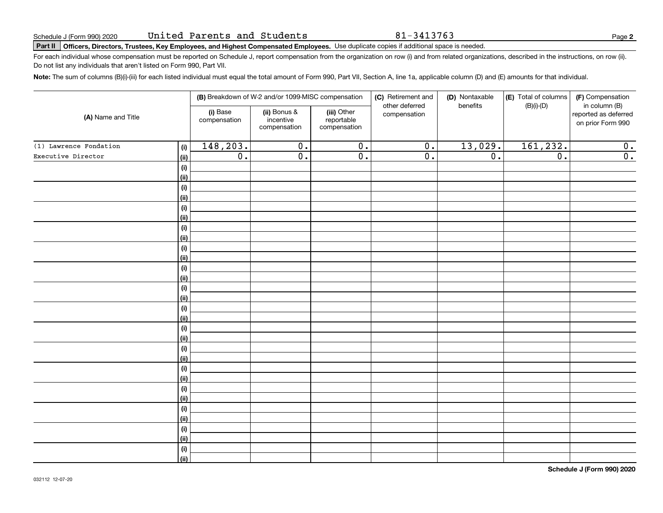81-3413763

**2**

# **Part II Officers, Directors, Trustees, Key Employees, and Highest Compensated Employees.**  Schedule J (Form 990) 2020 Page Use duplicate copies if additional space is needed.

For each individual whose compensation must be reported on Schedule J, report compensation from the organization on row (i) and from related organizations, described in the instructions, on row (ii). Do not list any individuals that aren't listed on Form 990, Part VII.

**Note:**  The sum of columns (B)(i)-(iii) for each listed individual must equal the total amount of Form 990, Part VII, Section A, line 1a, applicable column (D) and (E) amounts for that individual.

|                        |                |                          | (B) Breakdown of W-2 and/or 1099-MISC compensation |                                           | (C) Retirement and<br>other deferred | (D) Nontaxable<br>benefits | (E) Total of columns<br>(F) Compensation<br>$(B)(i)-(D)$<br>in column (B) |                                           |  |  |  |
|------------------------|----------------|--------------------------|----------------------------------------------------|-------------------------------------------|--------------------------------------|----------------------------|---------------------------------------------------------------------------|-------------------------------------------|--|--|--|
| (A) Name and Title     |                | (i) Base<br>compensation | (ii) Bonus &<br>incentive<br>compensation          | (iii) Other<br>reportable<br>compensation | compensation                         |                            |                                                                           | reported as deferred<br>on prior Form 990 |  |  |  |
| (1) Lawrence Fondation | (i)            | 148,203.                 | $\overline{0}$ .                                   | $\overline{0}$ .                          | $\overline{0}$ .                     | 13,029.                    | 161, 232.                                                                 | 0.                                        |  |  |  |
| Executive Director     | (ii)           | $\overline{0}$ .         | $\overline{0}$ .                                   | $\overline{0}$ .                          | $\overline{0}$ .                     | $\overline{0}$ .           | $\overline{0}$ .                                                          | $\overline{0}$ .                          |  |  |  |
|                        | (i)            |                          |                                                    |                                           |                                      |                            |                                                                           |                                           |  |  |  |
|                        | (ii)           |                          |                                                    |                                           |                                      |                            |                                                                           |                                           |  |  |  |
|                        | (i)            |                          |                                                    |                                           |                                      |                            |                                                                           |                                           |  |  |  |
|                        | <u>(ii)</u>    |                          |                                                    |                                           |                                      |                            |                                                                           |                                           |  |  |  |
|                        | (i)            |                          |                                                    |                                           |                                      |                            |                                                                           |                                           |  |  |  |
|                        | <u>(ii)</u>    |                          |                                                    |                                           |                                      |                            |                                                                           |                                           |  |  |  |
|                        | (i)            |                          |                                                    |                                           |                                      |                            |                                                                           |                                           |  |  |  |
|                        | <u>(ii)</u>    |                          |                                                    |                                           |                                      |                            |                                                                           |                                           |  |  |  |
|                        | (i)            |                          |                                                    |                                           |                                      |                            |                                                                           |                                           |  |  |  |
|                        | <u>(ii)</u>    |                          |                                                    |                                           |                                      |                            |                                                                           |                                           |  |  |  |
|                        | (i)            |                          |                                                    |                                           |                                      |                            |                                                                           |                                           |  |  |  |
|                        | (ii)<br>(i)    |                          |                                                    |                                           |                                      |                            |                                                                           |                                           |  |  |  |
|                        | (ii)           |                          |                                                    |                                           |                                      |                            |                                                                           |                                           |  |  |  |
|                        | (i)            |                          |                                                    |                                           |                                      |                            |                                                                           |                                           |  |  |  |
|                        | (ii)           |                          |                                                    |                                           |                                      |                            |                                                                           |                                           |  |  |  |
|                        | (i)            |                          |                                                    |                                           |                                      |                            |                                                                           |                                           |  |  |  |
|                        | (ii)           |                          |                                                    |                                           |                                      |                            |                                                                           |                                           |  |  |  |
|                        | (i)            |                          |                                                    |                                           |                                      |                            |                                                                           |                                           |  |  |  |
|                        | (ii)           |                          |                                                    |                                           |                                      |                            |                                                                           |                                           |  |  |  |
|                        | (i)            |                          |                                                    |                                           |                                      |                            |                                                                           |                                           |  |  |  |
|                        | <u>(ii)</u>    |                          |                                                    |                                           |                                      |                            |                                                                           |                                           |  |  |  |
|                        | (i)            |                          |                                                    |                                           |                                      |                            |                                                                           |                                           |  |  |  |
|                        | (ii)           |                          |                                                    |                                           |                                      |                            |                                                                           |                                           |  |  |  |
|                        | (i)            |                          |                                                    |                                           |                                      |                            |                                                                           |                                           |  |  |  |
|                        | (ii)           |                          |                                                    |                                           |                                      |                            |                                                                           |                                           |  |  |  |
|                        | (i)            |                          |                                                    |                                           |                                      |                            |                                                                           |                                           |  |  |  |
|                        | <u>(ii)</u>    |                          |                                                    |                                           |                                      |                            |                                                                           |                                           |  |  |  |
|                        | (i)            |                          |                                                    |                                           |                                      |                            |                                                                           |                                           |  |  |  |
|                        | $\overline{}}$ |                          |                                                    |                                           |                                      |                            |                                                                           |                                           |  |  |  |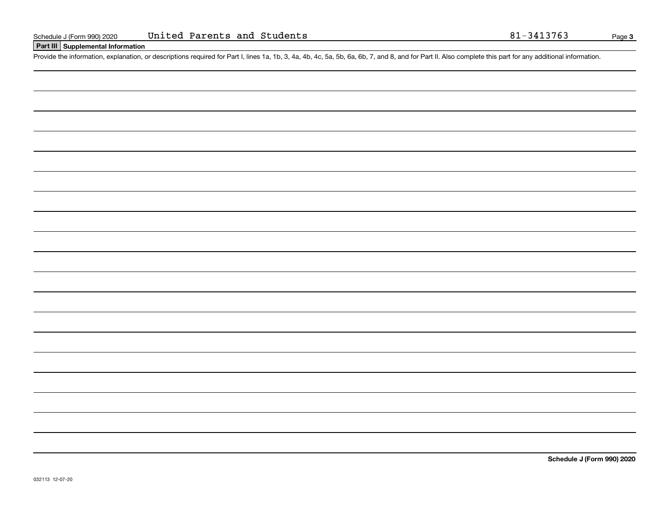# **Part III Supplemental Information**

Schedule J (Form 990) 2020 United Parents and Students<br>
Part III Supplemental Information<br>
Provide the information, explanation, or descriptions required for Part I, lines 1a, 1b, 3, 4a, 4b, 4c, 5a, 5b, 6a, 6b, 7, and 8, a

**Schedule J (Form 990) 2020**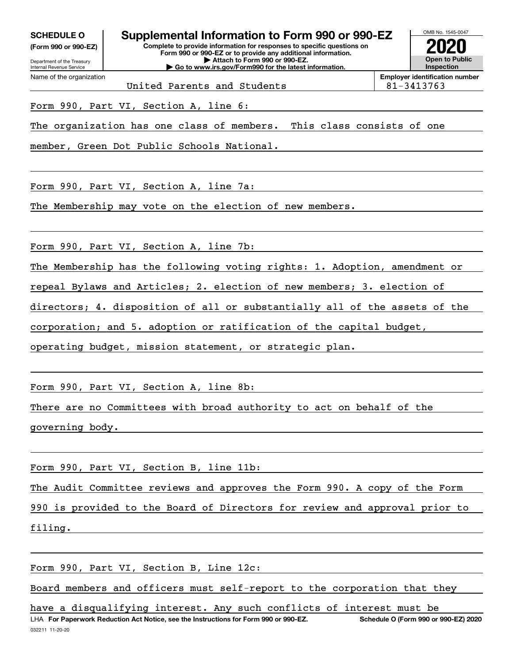**(Form 990 or 990-EZ)**

Department of the Treasury Internal Revenue Service Name of the organization

# **Complete to provide information for responses to specific questions on SCHEDULE O Supplemental Information to Form 990 or 990-EZ**

**Form 990 or 990-EZ or to provide any additional information. | Attach to Form 990 or 990-EZ. | Go to www.irs.gov/Form990 for the latest information.**

**Open to Public InspectionEmployer identification number 2020**

OMB No. 1545-0047

United Parents and Students 81-3413763

Form 990, Part VI, Section A, line 6:

The organization has one class of members. This class consists of one

member, Green Dot Public Schools National.

Form 990, Part VI, Section A, line 7a:

The Membership may vote on the election of new members.

Form 990, Part VI, Section A, line 7b:

The Membership has the following voting rights: 1. Adoption, amendment or

repeal Bylaws and Articles; 2. election of new members; 3. election of

directors; 4. disposition of all or substantially all of the assets of the

corporation; and 5. adoption or ratification of the capital budget,

operating budget, mission statement, or strategic plan.

Form 990, Part VI, Section A, line 8b:

There are no Committees with broad authority to act on behalf of the

governing body.

Form 990, Part VI, Section B, line 11b:

The Audit Committee reviews and approves the Form 990. A copy of the Form

990 is provided to the Board of Directors for review and approval prior to

filing.

Form 990, Part VI, Section B, Line 12c:

Board members and officers must self-report to the corporation that they

032211 11-20-20 LHA For Paperwork Reduction Act Notice, see the Instructions for Form 990 or 990-EZ. Schedule O (Form 990 or 990-EZ) 2020 have a disqualifying interest. Any such conflicts of interest must be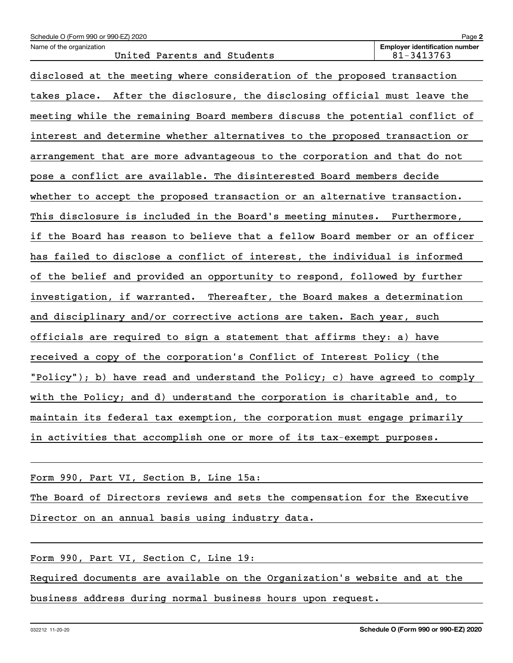| Schedule O (Form 990 or 990-EZ) 2020                                        | Page 2                                              |
|-----------------------------------------------------------------------------|-----------------------------------------------------|
| Name of the organization<br>United Parents and Students                     | <b>Employer identification number</b><br>81-3413763 |
| disclosed at the meeting where consideration of the proposed transaction    |                                                     |
| takes place. After the disclosure, the disclosing official must leave the   |                                                     |
| meeting while the remaining Board members discuss the potential conflict of |                                                     |
| interest and determine whether alternatives to the proposed transaction or  |                                                     |
| arrangement that are more advantageous to the corporation and that do not   |                                                     |
| pose a conflict are available. The disinterested Board members decide       |                                                     |
| whether to accept the proposed transaction or an alternative transaction.   |                                                     |
| This disclosure is included in the Board's meeting minutes. Furthermore,    |                                                     |
| if the Board has reason to believe that a fellow Board member or an officer |                                                     |
| has failed to disclose a conflict of interest, the individual is informed   |                                                     |
| of the belief and provided an opportunity to respond, followed by further   |                                                     |
| investigation, if warranted. Thereafter, the Board makes a determination    |                                                     |
| and disciplinary and/or corrective actions are taken. Each year, such       |                                                     |
| officials are required to sign a statement that affirms they: a) have       |                                                     |
| received a copy of the corporation's Conflict of Interest Policy (the       |                                                     |
| "Policy"); b) have read and understand the Policy; c) have agreed to comply |                                                     |
| with the Policy; and d) understand the corporation is charitable and, to    |                                                     |
| maintain its federal tax exemption, the corporation must engage primarily   |                                                     |
| in activities that accomplish one or more of its tax-exempt purposes.       |                                                     |

Form 990, Part VI, Section B, Line 15a:

The Board of Directors reviews and sets the compensation for the Executive Director on an annual basis using industry data.

Form 990, Part VI, Section C, Line 19:

Required documents are available on the Organization's website and at the business address during normal business hours upon request.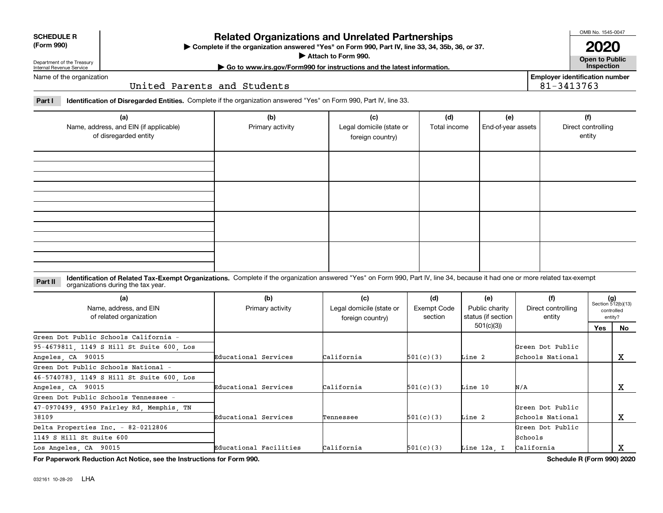| <b>SCHEDULE R</b> |
|-------------------|
| ----              |

## **(Form 990)**

# **Related Organizations and Unrelated Partnerships**

**Complete if the organization answered "Yes" on Form 990, Part IV, line 33, 34, 35b, 36, or 37.** |

**Attach to Form 990.**  |

OMB No. 1545-0047

**Open to Public | Go to www.irs.gov/Form990 for instructions and the latest information. Inspection 2020**

**Employer identification number**

81-3413763

Department of the Treasury Internal Revenue Service Name of the organization

United Parents and Students

**Part I Identification of Disregarded Entities.**  Complete if the organization answered "Yes" on Form 990, Part IV, line 33.

| (a)<br>Name, address, and EIN (if applicable)<br>of disregarded entity | (b)<br>Primary activity | (c)<br>Legal domicile (state or<br>foreign country) | (d)<br>Total income | (e)<br>End-of-year assets | (f)<br>Direct controlling<br>entity |
|------------------------------------------------------------------------|-------------------------|-----------------------------------------------------|---------------------|---------------------------|-------------------------------------|
|                                                                        |                         |                                                     |                     |                           |                                     |
|                                                                        |                         |                                                     |                     |                           |                                     |
|                                                                        |                         |                                                     |                     |                           |                                     |
|                                                                        |                         |                                                     |                     |                           |                                     |

#### **Identification of Related Tax-Exempt Organizations.** Complete if the organization answered "Yes" on Form 990, Part IV, line 34, because it had one or more related tax-exempt **Part II** organizations during the tax year.

| (a)<br>Name, address, and EIN<br>of related organization | (b)<br>Primary activity | (c)<br>Legal domicile (state or<br>foreign country) | (d)<br>Exempt Code<br>section | (e)<br>Public charity<br>status (if section | (f)<br>Direct controlling<br>entity |            | $(g)$<br>Section 512(b)(13)<br>controlled<br>entity? |
|----------------------------------------------------------|-------------------------|-----------------------------------------------------|-------------------------------|---------------------------------------------|-------------------------------------|------------|------------------------------------------------------|
|                                                          |                         |                                                     |                               | 501(c)(3)                                   |                                     | <b>Yes</b> | <b>No</b>                                            |
| Green Dot Public Schools California -                    |                         |                                                     |                               |                                             |                                     |            |                                                      |
| 95-4679811, 1149 S Hill St Suite 600, Los                |                         |                                                     |                               |                                             | Green Dot Public                    |            |                                                      |
| Angeles, CA 90015                                        | Educational Services    | California                                          | 501(c)(3)                     | Line 2                                      | Schools National                    |            | х                                                    |
| Green Dot Public Schools National -                      |                         |                                                     |                               |                                             |                                     |            |                                                      |
| 46-5740783, 1149 S Hill St Suite 600, Los                |                         |                                                     |                               |                                             |                                     |            |                                                      |
| Angeles, CA 90015                                        | Educational Services    | California                                          | 501(c)(3)                     | Line 10                                     | N/A                                 |            | х                                                    |
| Green Dot Public Schools Tennessee -                     |                         |                                                     |                               |                                             |                                     |            |                                                      |
| 47-0970499, 4950 Fairley Rd, Memphis, TN                 |                         |                                                     |                               |                                             | Green Dot Public                    |            |                                                      |
| 38109                                                    | Educational Services    | Tennessee                                           | 501(c)(3)                     | Line 2                                      | Schools National                    |            | х                                                    |
| Delta Properties Inc. - 82-0212806                       |                         |                                                     |                               |                                             | Green Dot Public                    |            |                                                      |
| 1149 S Hill St Suite 600                                 |                         |                                                     |                               |                                             | Schools                             |            |                                                      |
| Los Angeles, CA 90015                                    | Educational Facilities  | California                                          | 501(c)(3)                     | Line 12a. I                                 | California                          |            | x                                                    |

**For Paperwork Reduction Act Notice, see the Instructions for Form 990. Schedule R (Form 990) 2020**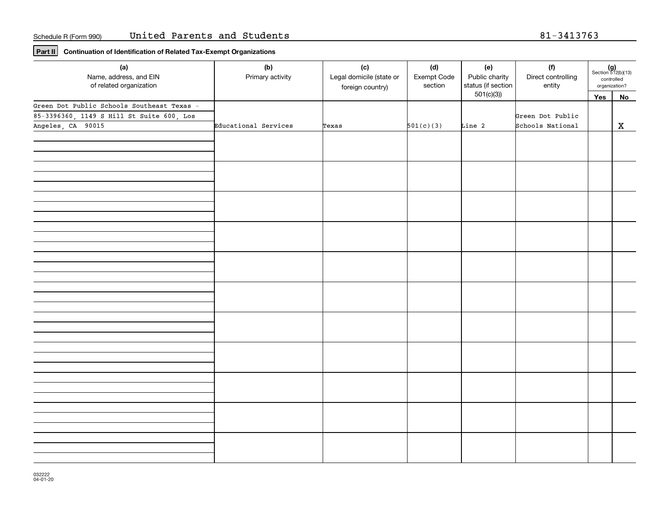**Part II Continuation of Identification of Related Tax-Exempt Organizations**

| (a)<br>Name, address, and EIN<br>of related organization | (b)<br>(d)<br>(c)<br>Primary activity<br>Legal domicile (state or<br>Exempt Code<br>section<br>foreign country) |       | (e)<br>Public charity<br>status (if section | (f)<br>Direct controlling<br>entity | controlled<br>organization? | $(g)$<br>Section 512(b)(13) |             |
|----------------------------------------------------------|-----------------------------------------------------------------------------------------------------------------|-------|---------------------------------------------|-------------------------------------|-----------------------------|-----------------------------|-------------|
|                                                          |                                                                                                                 |       |                                             | 501(c)(3)                           |                             | Yes                         | No          |
| Green Dot Public Schools Southeast Texas -               |                                                                                                                 |       |                                             |                                     |                             |                             |             |
| 85-3396360, 1149 S Hill St Suite 600, Los                |                                                                                                                 |       |                                             |                                     | Green Dot Public            |                             |             |
| Angeles, CA 90015                                        | Educational Services                                                                                            | Texas | 501(c)(3)                                   | Line 2                              | Schools National            |                             | $\mathbf x$ |
|                                                          |                                                                                                                 |       |                                             |                                     |                             |                             |             |
|                                                          |                                                                                                                 |       |                                             |                                     |                             |                             |             |
|                                                          |                                                                                                                 |       |                                             |                                     |                             |                             |             |
|                                                          |                                                                                                                 |       |                                             |                                     |                             |                             |             |
|                                                          |                                                                                                                 |       |                                             |                                     |                             |                             |             |
|                                                          |                                                                                                                 |       |                                             |                                     |                             |                             |             |
|                                                          |                                                                                                                 |       |                                             |                                     |                             |                             |             |
|                                                          |                                                                                                                 |       |                                             |                                     |                             |                             |             |
|                                                          |                                                                                                                 |       |                                             |                                     |                             |                             |             |
|                                                          |                                                                                                                 |       |                                             |                                     |                             |                             |             |
|                                                          |                                                                                                                 |       |                                             |                                     |                             |                             |             |
|                                                          |                                                                                                                 |       |                                             |                                     |                             |                             |             |
|                                                          |                                                                                                                 |       |                                             |                                     |                             |                             |             |
|                                                          |                                                                                                                 |       |                                             |                                     |                             |                             |             |
|                                                          |                                                                                                                 |       |                                             |                                     |                             |                             |             |
|                                                          |                                                                                                                 |       |                                             |                                     |                             |                             |             |
|                                                          |                                                                                                                 |       |                                             |                                     |                             |                             |             |
|                                                          |                                                                                                                 |       |                                             |                                     |                             |                             |             |
|                                                          |                                                                                                                 |       |                                             |                                     |                             |                             |             |
|                                                          |                                                                                                                 |       |                                             |                                     |                             |                             |             |
|                                                          |                                                                                                                 |       |                                             |                                     |                             |                             |             |
|                                                          |                                                                                                                 |       |                                             |                                     |                             |                             |             |
|                                                          |                                                                                                                 |       |                                             |                                     |                             |                             |             |
|                                                          |                                                                                                                 |       |                                             |                                     |                             |                             |             |
|                                                          |                                                                                                                 |       |                                             |                                     |                             |                             |             |
|                                                          |                                                                                                                 |       |                                             |                                     |                             |                             |             |
|                                                          |                                                                                                                 |       |                                             |                                     |                             |                             |             |
|                                                          |                                                                                                                 |       |                                             |                                     |                             |                             |             |
|                                                          |                                                                                                                 |       |                                             |                                     |                             |                             |             |
|                                                          |                                                                                                                 |       |                                             |                                     |                             |                             |             |
|                                                          |                                                                                                                 |       |                                             |                                     |                             |                             |             |
|                                                          |                                                                                                                 |       |                                             |                                     |                             |                             |             |
|                                                          |                                                                                                                 |       |                                             |                                     |                             |                             |             |
|                                                          |                                                                                                                 |       |                                             |                                     |                             |                             |             |
|                                                          |                                                                                                                 |       |                                             |                                     |                             |                             |             |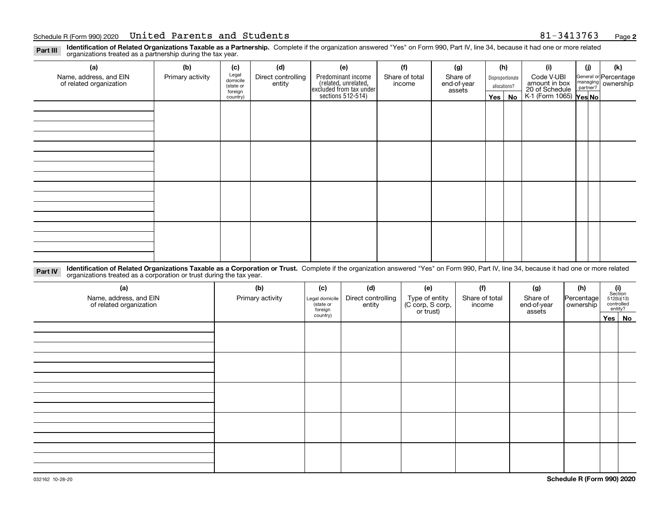**Identification of Related Organizations Taxable as a Partnership.** Complete if the organization answered "Yes" on Form 990, Part IV, line 34, because it had one or more related **Part III** organizations treated as a partnership during the tax year.

| (a)<br>Name, address, and EIN<br>of related organization | (b)<br>Primary activity | (c)<br>Legal<br>domicile<br>(state or<br>foreign<br>country) | (d)<br>Direct controlling<br>entity | (e)<br>Predominant income<br>(related, unrelated,<br>excluded from tax under<br>sections 512-514) | (f)<br>Share of total<br>income | (g)<br>Share of<br>end-of-year<br>assets | (h)<br>$Yes \mid$ | Disproportionate<br>allocations?<br>No | (i)<br>Code V-UBI<br>amount in box<br>20 of Schedule<br>K-1 (Form 1065) Yes No | (i) | (k)<br>General or Percentage<br>managing<br>partner?<br>partner? |
|----------------------------------------------------------|-------------------------|--------------------------------------------------------------|-------------------------------------|---------------------------------------------------------------------------------------------------|---------------------------------|------------------------------------------|-------------------|----------------------------------------|--------------------------------------------------------------------------------|-----|------------------------------------------------------------------|
|                                                          |                         |                                                              |                                     |                                                                                                   |                                 |                                          |                   |                                        |                                                                                |     |                                                                  |
|                                                          |                         |                                                              |                                     |                                                                                                   |                                 |                                          |                   |                                        |                                                                                |     |                                                                  |
|                                                          |                         |                                                              |                                     |                                                                                                   |                                 |                                          |                   |                                        |                                                                                |     |                                                                  |
|                                                          |                         |                                                              |                                     |                                                                                                   |                                 |                                          |                   |                                        |                                                                                |     |                                                                  |

**Identification of Related Organizations Taxable as a Corporation or Trust.** Complete if the organization answered "Yes" on Form 990, Part IV, line 34, because it had one or more related **Part IV** organizations treated as a corporation or trust during the tax year.

| (a)<br>Name, address, and EIN<br>of related organization | (b)<br>Primary activity | (c)<br>Legal domicile<br>(state or<br>foreign | (d)<br>Direct controlling<br>entity | (e)<br>Type of entity<br>(C corp, S corp,<br>or trust) | (f)<br>Share of total<br>income | (g)<br>Share of<br>end-of-year<br>assets | (h)<br>Percentage<br>ownership |  | $(i)$ Section<br>512(b)(13)<br>controlled<br>entity? |  |  |
|----------------------------------------------------------|-------------------------|-----------------------------------------------|-------------------------------------|--------------------------------------------------------|---------------------------------|------------------------------------------|--------------------------------|--|------------------------------------------------------|--|--|
|                                                          |                         | country)                                      |                                     |                                                        |                                 |                                          |                                |  | Yes   No                                             |  |  |
|                                                          |                         |                                               |                                     |                                                        |                                 |                                          |                                |  |                                                      |  |  |
|                                                          |                         |                                               |                                     |                                                        |                                 |                                          |                                |  |                                                      |  |  |
|                                                          |                         |                                               |                                     |                                                        |                                 |                                          |                                |  |                                                      |  |  |
|                                                          |                         |                                               |                                     |                                                        |                                 |                                          |                                |  |                                                      |  |  |
|                                                          |                         |                                               |                                     |                                                        |                                 |                                          |                                |  |                                                      |  |  |
|                                                          |                         |                                               |                                     |                                                        |                                 |                                          |                                |  |                                                      |  |  |
|                                                          |                         |                                               |                                     |                                                        |                                 |                                          |                                |  |                                                      |  |  |
|                                                          |                         |                                               |                                     |                                                        |                                 |                                          |                                |  |                                                      |  |  |
|                                                          |                         |                                               |                                     |                                                        |                                 |                                          |                                |  |                                                      |  |  |
|                                                          |                         |                                               |                                     |                                                        |                                 |                                          |                                |  |                                                      |  |  |
|                                                          |                         |                                               |                                     |                                                        |                                 |                                          |                                |  |                                                      |  |  |
|                                                          |                         |                                               |                                     |                                                        |                                 |                                          |                                |  |                                                      |  |  |
|                                                          |                         |                                               |                                     |                                                        |                                 |                                          |                                |  |                                                      |  |  |
|                                                          |                         |                                               |                                     |                                                        |                                 |                                          |                                |  |                                                      |  |  |
|                                                          |                         |                                               |                                     |                                                        |                                 |                                          |                                |  |                                                      |  |  |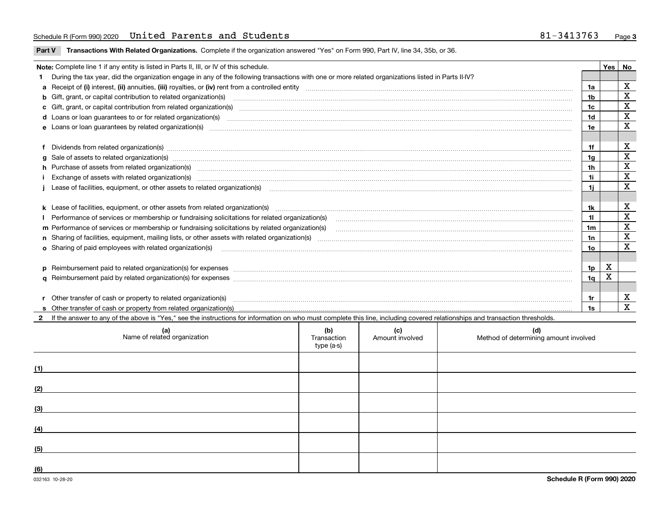**Part V** T**ransactions With Related Organizations.** Complete if the organization answered "Yes" on Form 990, Part IV, line 34, 35b, or 36.

| Note: Complete line 1 if any entity is listed in Parts II, III, or IV of this schedule. |                                                                                                                                                                                                                                |     |   |             |  |  |  |  |
|-----------------------------------------------------------------------------------------|--------------------------------------------------------------------------------------------------------------------------------------------------------------------------------------------------------------------------------|-----|---|-------------|--|--|--|--|
|                                                                                         | During the tax year, did the organization engage in any of the following transactions with one or more related organizations listed in Parts II-IV?                                                                            |     |   |             |  |  |  |  |
|                                                                                         |                                                                                                                                                                                                                                | 1a  |   | х           |  |  |  |  |
|                                                                                         | <b>b</b> Gift, grant, or capital contribution to related organization(s)                                                                                                                                                       | 1b  |   | х           |  |  |  |  |
|                                                                                         | c Gift, grant, or capital contribution from related organization(s) manufaction(s) and contain an account of the substitution of the state or capital contribution from related organization(s) manufaction contains and conta | 1c  |   | X           |  |  |  |  |
|                                                                                         | <b>d</b> Loans or loan quarantees to or for related organization(s)                                                                                                                                                            | 1d  |   | $\mathbf X$ |  |  |  |  |
|                                                                                         | e Loans or loan guarantees by related organization(s) encontraction contains and contains and contains and contains and contains and contains and contains and contains and contains and contains and contains and contains an | 1e  |   | $\mathbf x$ |  |  |  |  |
|                                                                                         |                                                                                                                                                                                                                                |     |   |             |  |  |  |  |
|                                                                                         | Dividends from related organization(s) www.communicallycommunicallycommunicallycommunicallycommunicallycommunicallycommunicallycommunicallycommunicallycommunicallycommunicallycommunicallycommunicallycommunicallycommunicall | 1f  |   | х           |  |  |  |  |
|                                                                                         |                                                                                                                                                                                                                                | 1a  |   | $\mathbf X$ |  |  |  |  |
|                                                                                         | h Purchase of assets from related organization(s) manufactured content to the content of the content of the content of the content of the content of the content of the content of the content of the content of the content o | 1h  |   | $\mathbf X$ |  |  |  |  |
|                                                                                         |                                                                                                                                                                                                                                | 11  |   | $\mathbf X$ |  |  |  |  |
|                                                                                         |                                                                                                                                                                                                                                | 1i. |   | X           |  |  |  |  |
|                                                                                         |                                                                                                                                                                                                                                |     |   |             |  |  |  |  |
|                                                                                         |                                                                                                                                                                                                                                | 1k  |   | X           |  |  |  |  |
|                                                                                         | Performance of services or membership or fundraising solicitations for related organization(s) manufaction.community content and services or membership or fundraising solicitations for related organization(s) manufaction.c | 11  |   | $\mathbf X$ |  |  |  |  |
|                                                                                         | m Performance of services or membership or fundraising solicitations by related organization(s)                                                                                                                                | 1m  |   | X           |  |  |  |  |
|                                                                                         |                                                                                                                                                                                                                                | 1n  |   | $\mathbf X$ |  |  |  |  |
|                                                                                         | <b>o</b> Sharing of paid employees with related organization(s)                                                                                                                                                                | 1о  |   | $\mathbf X$ |  |  |  |  |
|                                                                                         |                                                                                                                                                                                                                                |     |   |             |  |  |  |  |
|                                                                                         | p Reimbursement paid to related organization(s) for expenses [11111] [12] reasonal content of the separation (s) for expenses [11111] [12] reasonal content of the separation (s) for expenses [1111] [12] reasonal content of | 1p. | х |             |  |  |  |  |
|                                                                                         |                                                                                                                                                                                                                                | 1q  | X |             |  |  |  |  |
|                                                                                         |                                                                                                                                                                                                                                |     |   |             |  |  |  |  |
|                                                                                         | r Other transfer of cash or property to related organization(s)                                                                                                                                                                | 1r  |   | х           |  |  |  |  |
|                                                                                         |                                                                                                                                                                                                                                | 1s. |   | X           |  |  |  |  |
|                                                                                         | 2 If the answer to any of the above is "Yes," see the instructions for information on who must complete this line, including covered relationships and transaction thresholds.                                                 |     |   |             |  |  |  |  |

| (a)<br>Name of related organization | (b)<br>Transaction<br>type (a-s) | (c)<br>Amount involved | (d)<br>Method of determining amount involved |
|-------------------------------------|----------------------------------|------------------------|----------------------------------------------|
| (1)                                 |                                  |                        |                                              |
| (2)                                 |                                  |                        |                                              |
| (3)                                 |                                  |                        |                                              |
| (4)                                 |                                  |                        |                                              |
| (5)                                 |                                  |                        |                                              |
| (6)                                 |                                  |                        |                                              |

 $\overline{\phantom{a}}$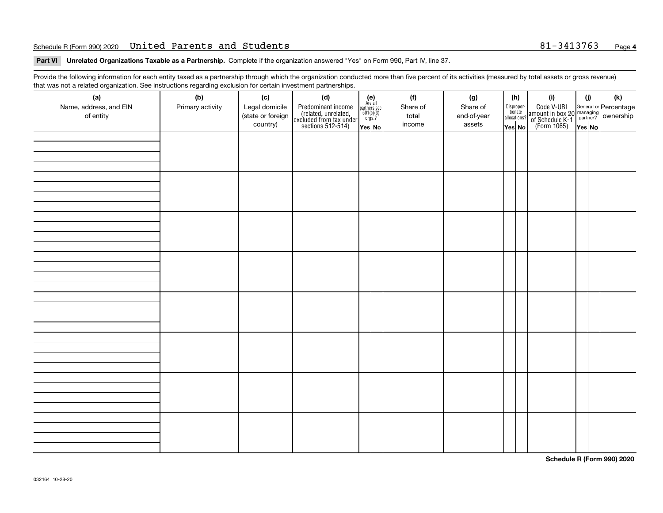### Schedule R(Form 990) 2020 **United Parents and Students** 81-3413763 <sub>Page</sub>

**Part VI Unrelated Organizations Taxable as a Partnership. Complete if the organization answered "Yes" on Form 990, Part IV, line 37.** 

Provide the following information for each entity taxed as a partnership through which the organization conducted more than five percent of its activities (measured by total assets or gross revenue) that was not a related organization. See instructions regarding exclusion for certain investment partnerships.

| ັ<br>(a)<br>Name, address, and EIN<br>of entity | ັ<br>ັ<br>(b)<br>Primary activity | (c)<br>Legal domicile<br>(state or foreign<br>country) | (d)<br>Predominant income<br>(related, unrelated,<br>excluded from tax under<br>sections 512-514) | (e)<br>Are all<br>$\begin{array}{c}\n\text{partners} & \text{sec.} \\ 501(c)(3) & \text{orgs.?} \n\end{array}$<br>Yes No | (f)<br>Share of<br>total<br>income | (g)<br>Share of<br>end-of-year<br>assets | (h)<br>Dispropor-<br>tionate<br>allocations?<br>Yes No | (i)<br>Code V-UBI<br>  amount in box 20 managing<br>  of Schedule K-1 partner? ownership<br>  of Schedule K-1 partner? ownership<br>  Yes No | (i)<br>Yes No | (k) |
|-------------------------------------------------|-----------------------------------|--------------------------------------------------------|---------------------------------------------------------------------------------------------------|--------------------------------------------------------------------------------------------------------------------------|------------------------------------|------------------------------------------|--------------------------------------------------------|----------------------------------------------------------------------------------------------------------------------------------------------|---------------|-----|
|                                                 |                                   |                                                        |                                                                                                   |                                                                                                                          |                                    |                                          |                                                        |                                                                                                                                              |               |     |
|                                                 |                                   |                                                        |                                                                                                   |                                                                                                                          |                                    |                                          |                                                        |                                                                                                                                              |               |     |
|                                                 |                                   |                                                        |                                                                                                   |                                                                                                                          |                                    |                                          |                                                        |                                                                                                                                              |               |     |
|                                                 |                                   |                                                        |                                                                                                   |                                                                                                                          |                                    |                                          |                                                        |                                                                                                                                              |               |     |
|                                                 |                                   |                                                        |                                                                                                   |                                                                                                                          |                                    |                                          |                                                        |                                                                                                                                              |               |     |
|                                                 |                                   |                                                        |                                                                                                   |                                                                                                                          |                                    |                                          |                                                        |                                                                                                                                              |               |     |
|                                                 |                                   |                                                        |                                                                                                   |                                                                                                                          |                                    |                                          |                                                        |                                                                                                                                              |               |     |
|                                                 |                                   |                                                        |                                                                                                   |                                                                                                                          |                                    |                                          |                                                        |                                                                                                                                              |               |     |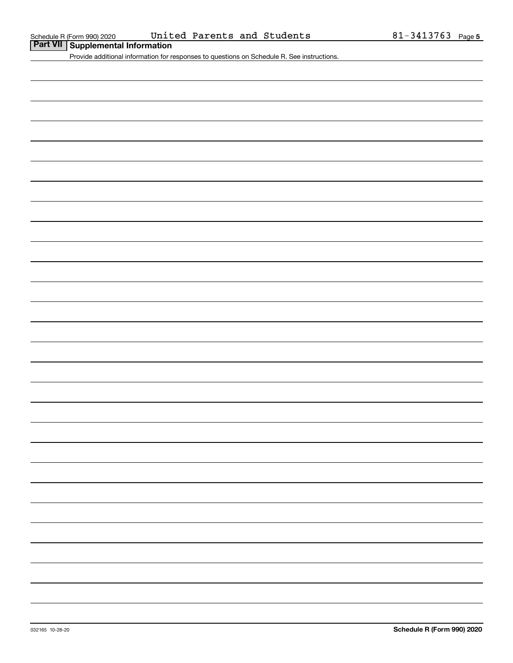Provide additional information for responses to questions on Schedule R. See instructions.